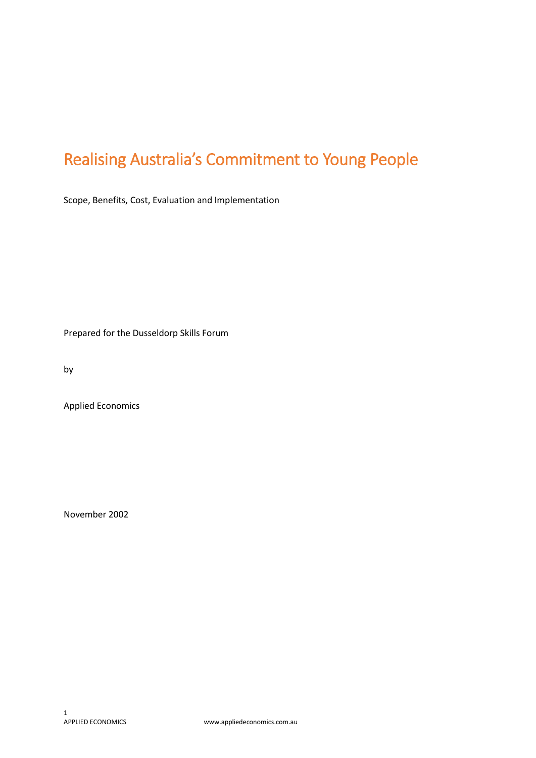# <span id="page-0-0"></span>Realising Australia's Commitment to Young People

Scope, Benefits, Cost, Evaluation and Implementation

Prepared for the Dusseldorp Skills Forum

by

Applied Economics

November 2002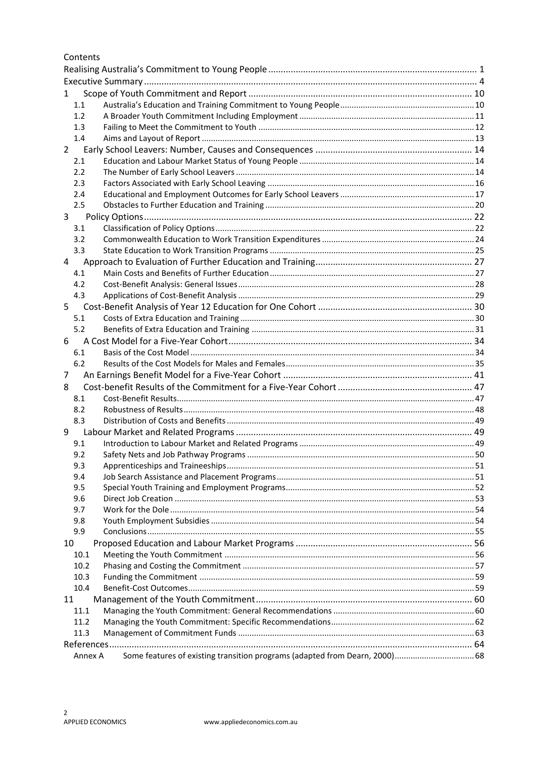Contents

| 1<br>1.1<br>1.2<br>1.3<br>1.4<br>$\mathbf{2}$<br>2.1<br>2.2<br>2.3<br>2.4<br>2.5<br>3<br>3.1<br>3.2<br>3.3<br>4<br>4.1<br>4.2<br>4.3<br>5<br>5.1<br>5.2<br>6<br>6.1<br>6.2<br>7<br>8<br>8.1<br>8.2<br>8.3<br>9<br>9.1<br>9.2<br>9.3<br>9.4<br>9.5<br>9.6<br>9.7<br>9.8<br>9.9<br>10<br>10.1<br>10.2<br>10.3<br>10.4<br>11<br>11.1<br>11.2<br>11.3<br>Some features of existing transition programs (adapted from Dearn, 2000) 68<br>Annex A |  |  |
|---------------------------------------------------------------------------------------------------------------------------------------------------------------------------------------------------------------------------------------------------------------------------------------------------------------------------------------------------------------------------------------------------------------------------------------------|--|--|
|                                                                                                                                                                                                                                                                                                                                                                                                                                             |  |  |
|                                                                                                                                                                                                                                                                                                                                                                                                                                             |  |  |
|                                                                                                                                                                                                                                                                                                                                                                                                                                             |  |  |
|                                                                                                                                                                                                                                                                                                                                                                                                                                             |  |  |
|                                                                                                                                                                                                                                                                                                                                                                                                                                             |  |  |
|                                                                                                                                                                                                                                                                                                                                                                                                                                             |  |  |
|                                                                                                                                                                                                                                                                                                                                                                                                                                             |  |  |
|                                                                                                                                                                                                                                                                                                                                                                                                                                             |  |  |
|                                                                                                                                                                                                                                                                                                                                                                                                                                             |  |  |
|                                                                                                                                                                                                                                                                                                                                                                                                                                             |  |  |
|                                                                                                                                                                                                                                                                                                                                                                                                                                             |  |  |
|                                                                                                                                                                                                                                                                                                                                                                                                                                             |  |  |
|                                                                                                                                                                                                                                                                                                                                                                                                                                             |  |  |
|                                                                                                                                                                                                                                                                                                                                                                                                                                             |  |  |
|                                                                                                                                                                                                                                                                                                                                                                                                                                             |  |  |
|                                                                                                                                                                                                                                                                                                                                                                                                                                             |  |  |
|                                                                                                                                                                                                                                                                                                                                                                                                                                             |  |  |
|                                                                                                                                                                                                                                                                                                                                                                                                                                             |  |  |
|                                                                                                                                                                                                                                                                                                                                                                                                                                             |  |  |
|                                                                                                                                                                                                                                                                                                                                                                                                                                             |  |  |
|                                                                                                                                                                                                                                                                                                                                                                                                                                             |  |  |
|                                                                                                                                                                                                                                                                                                                                                                                                                                             |  |  |
|                                                                                                                                                                                                                                                                                                                                                                                                                                             |  |  |
|                                                                                                                                                                                                                                                                                                                                                                                                                                             |  |  |
|                                                                                                                                                                                                                                                                                                                                                                                                                                             |  |  |
|                                                                                                                                                                                                                                                                                                                                                                                                                                             |  |  |
|                                                                                                                                                                                                                                                                                                                                                                                                                                             |  |  |
|                                                                                                                                                                                                                                                                                                                                                                                                                                             |  |  |
|                                                                                                                                                                                                                                                                                                                                                                                                                                             |  |  |
|                                                                                                                                                                                                                                                                                                                                                                                                                                             |  |  |
|                                                                                                                                                                                                                                                                                                                                                                                                                                             |  |  |
|                                                                                                                                                                                                                                                                                                                                                                                                                                             |  |  |
|                                                                                                                                                                                                                                                                                                                                                                                                                                             |  |  |
|                                                                                                                                                                                                                                                                                                                                                                                                                                             |  |  |
|                                                                                                                                                                                                                                                                                                                                                                                                                                             |  |  |
|                                                                                                                                                                                                                                                                                                                                                                                                                                             |  |  |
|                                                                                                                                                                                                                                                                                                                                                                                                                                             |  |  |
|                                                                                                                                                                                                                                                                                                                                                                                                                                             |  |  |
|                                                                                                                                                                                                                                                                                                                                                                                                                                             |  |  |
|                                                                                                                                                                                                                                                                                                                                                                                                                                             |  |  |
|                                                                                                                                                                                                                                                                                                                                                                                                                                             |  |  |
|                                                                                                                                                                                                                                                                                                                                                                                                                                             |  |  |
|                                                                                                                                                                                                                                                                                                                                                                                                                                             |  |  |
|                                                                                                                                                                                                                                                                                                                                                                                                                                             |  |  |
|                                                                                                                                                                                                                                                                                                                                                                                                                                             |  |  |
|                                                                                                                                                                                                                                                                                                                                                                                                                                             |  |  |
|                                                                                                                                                                                                                                                                                                                                                                                                                                             |  |  |
|                                                                                                                                                                                                                                                                                                                                                                                                                                             |  |  |
|                                                                                                                                                                                                                                                                                                                                                                                                                                             |  |  |
|                                                                                                                                                                                                                                                                                                                                                                                                                                             |  |  |
|                                                                                                                                                                                                                                                                                                                                                                                                                                             |  |  |
|                                                                                                                                                                                                                                                                                                                                                                                                                                             |  |  |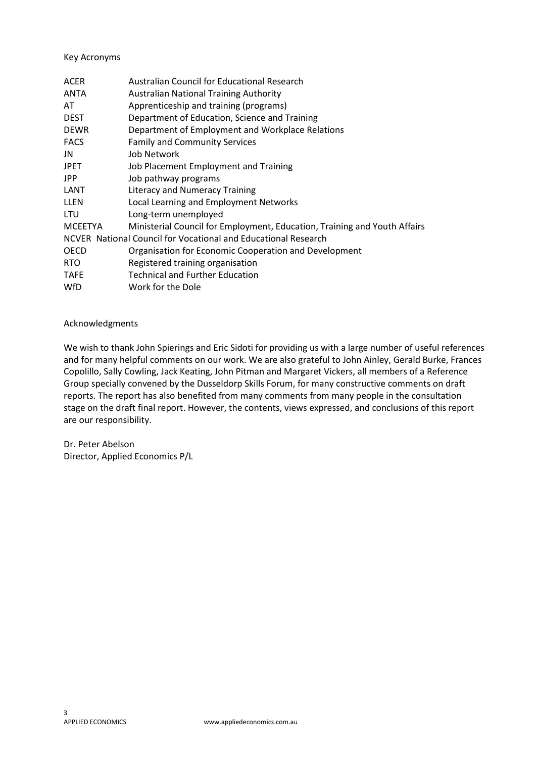#### Key Acronyms

| <b>ACER</b>    | Australian Council for Educational Research                               |
|----------------|---------------------------------------------------------------------------|
| <b>ANTA</b>    | <b>Australian National Training Authority</b>                             |
| AT             | Apprenticeship and training (programs)                                    |
| <b>DEST</b>    | Department of Education, Science and Training                             |
| <b>DEWR</b>    | Department of Employment and Workplace Relations                          |
| <b>FACS</b>    | <b>Family and Community Services</b>                                      |
| JN             | Job Network                                                               |
| <b>JPET</b>    | Job Placement Employment and Training                                     |
| <b>JPP</b>     | Job pathway programs                                                      |
| LANT           | Literacy and Numeracy Training                                            |
| <b>LLEN</b>    | Local Learning and Employment Networks                                    |
| LTU            | Long-term unemployed                                                      |
| <b>MCEETYA</b> | Ministerial Council for Employment, Education, Training and Youth Affairs |
|                | NCVER National Council for Vocational and Educational Research            |
| <b>OECD</b>    | Organisation for Economic Cooperation and Development                     |
| <b>RTO</b>     | Registered training organisation                                          |
| <b>TAFE</b>    | <b>Technical and Further Education</b>                                    |
| WfD            | Work for the Dole                                                         |

#### Acknowledgments

We wish to thank John Spierings and Eric Sidoti for providing us with a large number of useful references and for many helpful comments on our work. We are also grateful to John Ainley, Gerald Burke, Frances Copolillo, Sally Cowling, Jack Keating, John Pitman and Margaret Vickers, all members of a Reference Group specially convened by the Dusseldorp Skills Forum, for many constructive comments on draft reports. The report has also benefited from many comments from many people in the consultation stage on the draft final report. However, the contents, views expressed, and conclusions of this report are our responsibility.

Dr. Peter Abelson Director, Applied Economics P/L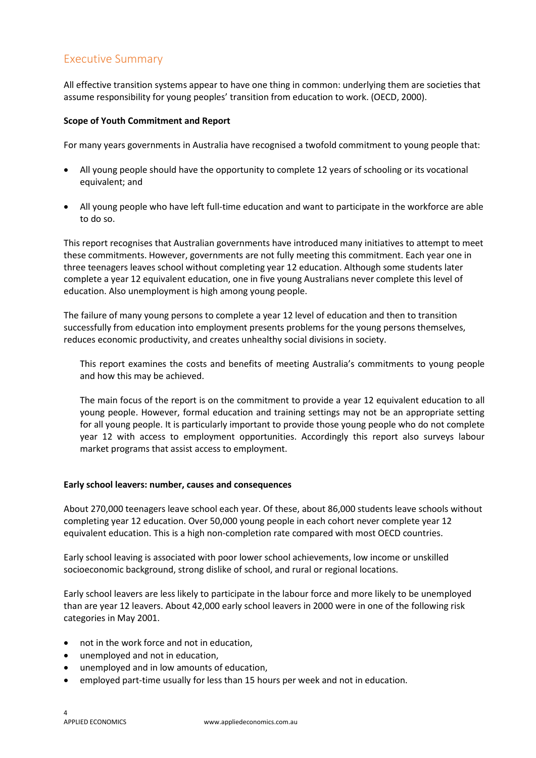# <span id="page-3-0"></span>Executive Summary

All effective transition systems appear to have one thing in common: underlying them are societies that assume responsibility for young peoples' transition from education to work. (OECD, 2000).

#### **Scope of Youth Commitment and Report**

For many years governments in Australia have recognised a twofold commitment to young people that:

- All young people should have the opportunity to complete 12 years of schooling or its vocational equivalent; and
- All young people who have left full-time education and want to participate in the workforce are able to do so.

This report recognises that Australian governments have introduced many initiatives to attempt to meet these commitments. However, governments are not fully meeting this commitment. Each year one in three teenagers leaves school without completing year 12 education. Although some students later complete a year 12 equivalent education, one in five young Australians never complete this level of education. Also unemployment is high among young people.

The failure of many young persons to complete a year 12 level of education and then to transition successfully from education into employment presents problems for the young persons themselves, reduces economic productivity, and creates unhealthy social divisions in society.

This report examines the costs and benefits of meeting Australia's commitments to young people and how this may be achieved.

The main focus of the report is on the commitment to provide a year 12 equivalent education to all young people. However, formal education and training settings may not be an appropriate setting for all young people. It is particularly important to provide those young people who do not complete year 12 with access to employment opportunities. Accordingly this report also surveys labour market programs that assist access to employment.

#### **Early school leavers: number, causes and consequences**

About 270,000 teenagers leave school each year. Of these, about 86,000 students leave schools without completing year 12 education. Over 50,000 young people in each cohort never complete year 12 equivalent education. This is a high non-completion rate compared with most OECD countries.

Early school leaving is associated with poor lower school achievements, low income or unskilled socioeconomic background, strong dislike of school, and rural or regional locations.

Early school leavers are less likely to participate in the labour force and more likely to be unemployed than are year 12 leavers. About 42,000 early school leavers in 2000 were in one of the following risk categories in May 2001.

- not in the work force and not in education,
- unemployed and not in education,
- unemployed and in low amounts of education,
- employed part-time usually for less than 15 hours per week and not in education.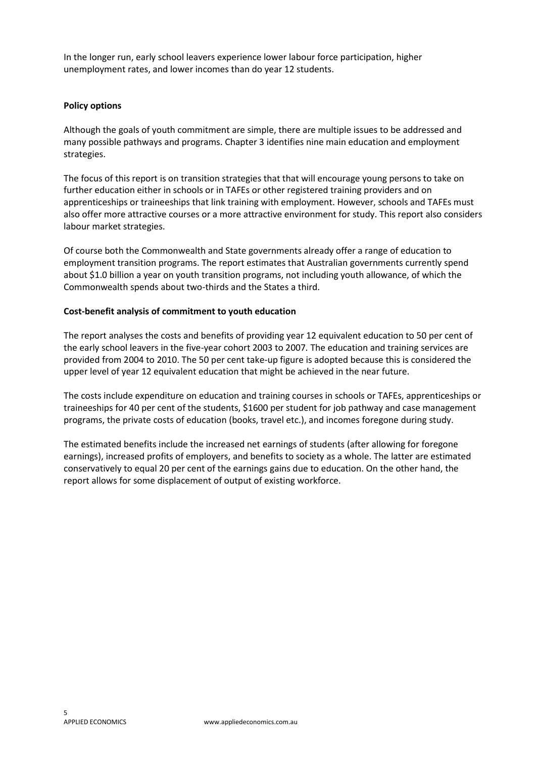In the longer run, early school leavers experience lower labour force participation, higher unemployment rates, and lower incomes than do year 12 students.

#### **Policy options**

Although the goals of youth commitment are simple, there are multiple issues to be addressed and many possible pathways and programs. Chapter 3 identifies nine main education and employment strategies.

The focus of this report is on transition strategies that that will encourage young persons to take on further education either in schools or in TAFEs or other registered training providers and on apprenticeships or traineeships that link training with employment. However, schools and TAFEs must also offer more attractive courses or a more attractive environment for study. This report also considers labour market strategies.

Of course both the Commonwealth and State governments already offer a range of education to employment transition programs. The report estimates that Australian governments currently spend about \$1.0 billion a year on youth transition programs, not including youth allowance, of which the Commonwealth spends about two-thirds and the States a third.

#### **Cost-benefit analysis of commitment to youth education**

The report analyses the costs and benefits of providing year 12 equivalent education to 50 per cent of the early school leavers in the five-year cohort 2003 to 2007*.* The education and training services are provided from 2004 to 2010. The 50 per cent take-up figure is adopted because this is considered the upper level of year 12 equivalent education that might be achieved in the near future.

The costs include expenditure on education and training courses in schools or TAFEs, apprenticeships or traineeships for 40 per cent of the students, \$1600 per student for job pathway and case management programs, the private costs of education (books, travel etc.), and incomes foregone during study.

The estimated benefits include the increased net earnings of students (after allowing for foregone earnings), increased profits of employers, and benefits to society as a whole. The latter are estimated conservatively to equal 20 per cent of the earnings gains due to education. On the other hand, the report allows for some displacement of output of existing workforce.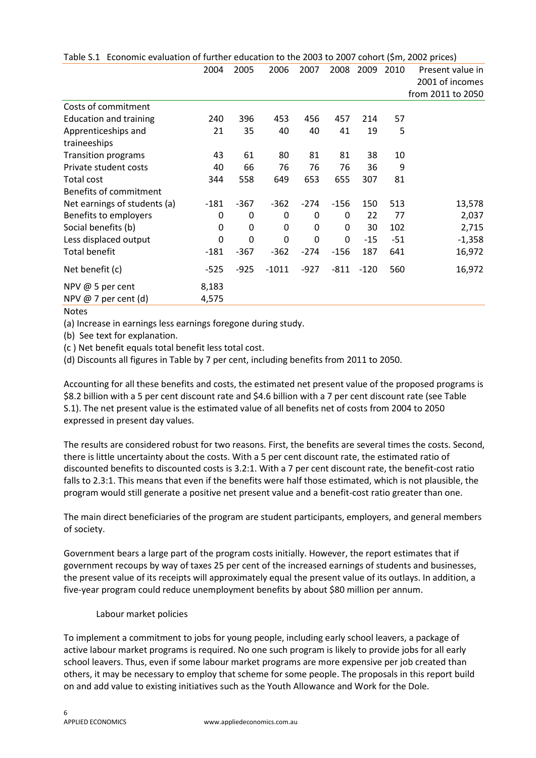|                               | 2004   | 2005   | 2006    | 2007   | 2008   | 2009   | 2010  | Present value in<br>2001 of incomes |
|-------------------------------|--------|--------|---------|--------|--------|--------|-------|-------------------------------------|
|                               |        |        |         |        |        |        |       | from 2011 to 2050                   |
| Costs of commitment           |        |        |         |        |        |        |       |                                     |
| <b>Education and training</b> | 240    | 396    | 453     | 456    | 457    | 214    | 57    |                                     |
| Apprenticeships and           | 21     | 35     | 40      | 40     | 41     | 19     | 5     |                                     |
| traineeships                  |        |        |         |        |        |        |       |                                     |
| Transition programs           | 43     | 61     | 80      | 81     | 81     | 38     | 10    |                                     |
| Private student costs         | 40     | 66     | 76      | 76     | 76     | 36     | 9     |                                     |
| Total cost                    | 344    | 558    | 649     | 653    | 655    | 307    | 81    |                                     |
| Benefits of commitment        |        |        |         |        |        |        |       |                                     |
| Net earnings of students (a)  | $-181$ | -367   | $-362$  | $-274$ | $-156$ | 150    | 513   | 13,578                              |
| Benefits to employers         | 0      | 0      | 0       | 0      | 0      | 22     | 77    | 2,037                               |
| Social benefits (b)           | 0      | 0      | 0       | 0      | 0      | 30     | 102   | 2,715                               |
| Less displaced output         | 0      | 0      | 0       | 0      | 0      | $-15$  | $-51$ | $-1,358$                            |
| <b>Total benefit</b>          | $-181$ | $-367$ | $-362$  | $-274$ | $-156$ | 187    | 641   | 16,972                              |
| Net benefit (c)               | $-525$ | $-925$ | $-1011$ | $-927$ | -811   | $-120$ | 560   | 16,972                              |
| NPV @ 5 per cent              | 8,183  |        |         |        |        |        |       |                                     |
| NPV @ 7 per cent (d)          | 4,575  |        |         |        |        |        |       |                                     |

Table S.1 Economic evaluation of further education to the 2003 to 2007 cohort (\$m, 2002 prices)

Notes

(a) Increase in earnings less earnings foregone during study.

(b) See text for explanation.

(c ) Net benefit equals total benefit less total cost.

(d) Discounts all figures in Table by 7 per cent, including benefits from 2011 to 2050.

Accounting for all these benefits and costs, the estimated net present value of the proposed programs is \$8.2 billion with a 5 per cent discount rate and \$4.6 billion with a 7 per cent discount rate (see Table S.1). The net present value is the estimated value of all benefits net of costs from 2004 to 2050 expressed in present day values.

The results are considered robust for two reasons. First, the benefits are several times the costs. Second, there is little uncertainty about the costs. With a 5 per cent discount rate, the estimated ratio of discounted benefits to discounted costs is 3.2:1. With a 7 per cent discount rate, the benefit-cost ratio falls to 2.3:1. This means that even if the benefits were half those estimated, which is not plausible, the program would still generate a positive net present value and a benefit-cost ratio greater than one.

The main direct beneficiaries of the program are student participants, employers, and general members of society.

Government bears a large part of the program costs initially. However, the report estimates that if government recoups by way of taxes 25 per cent of the increased earnings of students and businesses, the present value of its receipts will approximately equal the present value of its outlays. In addition, a five-year program could reduce unemployment benefits by about \$80 million per annum.

#### Labour market policies

To implement a commitment to jobs for young people, including early school leavers, a package of active labour market programs is required. No one such program is likely to provide jobs for all early school leavers. Thus, even if some labour market programs are more expensive per job created than others, it may be necessary to employ that scheme for some people. The proposals in this report build on and add value to existing initiatives such as the Youth Allowance and Work for the Dole.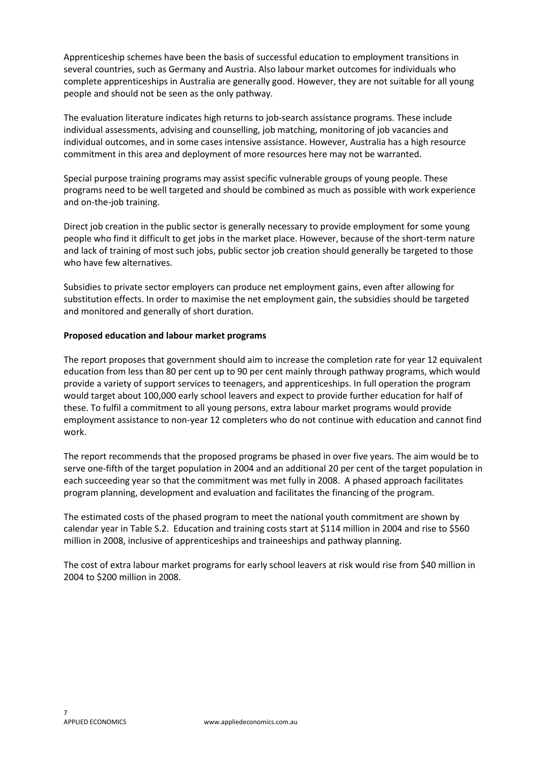Apprenticeship schemes have been the basis of successful education to employment transitions in several countries, such as Germany and Austria. Also labour market outcomes for individuals who complete apprenticeships in Australia are generally good. However, they are not suitable for all young people and should not be seen as the only pathway.

The evaluation literature indicates high returns to job-search assistance programs. These include individual assessments, advising and counselling, job matching, monitoring of job vacancies and individual outcomes, and in some cases intensive assistance. However, Australia has a high resource commitment in this area and deployment of more resources here may not be warranted.

Special purpose training programs may assist specific vulnerable groups of young people. These programs need to be well targeted and should be combined as much as possible with work experience and on-the-job training.

Direct job creation in the public sector is generally necessary to provide employment for some young people who find it difficult to get jobs in the market place. However, because of the short-term nature and lack of training of most such jobs, public sector job creation should generally be targeted to those who have few alternatives.

Subsidies to private sector employers can produce net employment gains, even after allowing for substitution effects. In order to maximise the net employment gain, the subsidies should be targeted and monitored and generally of short duration.

#### **Proposed education and labour market programs**

The report proposes that government should aim to increase the completion rate for year 12 equivalent education from less than 80 per cent up to 90 per cent mainly through pathway programs, which would provide a variety of support services to teenagers, and apprenticeships. In full operation the program would target about 100,000 early school leavers and expect to provide further education for half of these. To fulfil a commitment to all young persons, extra labour market programs would provide employment assistance to non-year 12 completers who do not continue with education and cannot find work.

The report recommends that the proposed programs be phased in over five years. The aim would be to serve one-fifth of the target population in 2004 and an additional 20 per cent of the target population in each succeeding year so that the commitment was met fully in 2008. A phased approach facilitates program planning, development and evaluation and facilitates the financing of the program.

The estimated costs of the phased program to meet the national youth commitment are shown by calendar year in Table S.2. Education and training costs start at \$114 million in 2004 and rise to \$560 million in 2008, inclusive of apprenticeships and traineeships and pathway planning.

The cost of extra labour market programs for early school leavers at risk would rise from \$40 million in 2004 to \$200 million in 2008.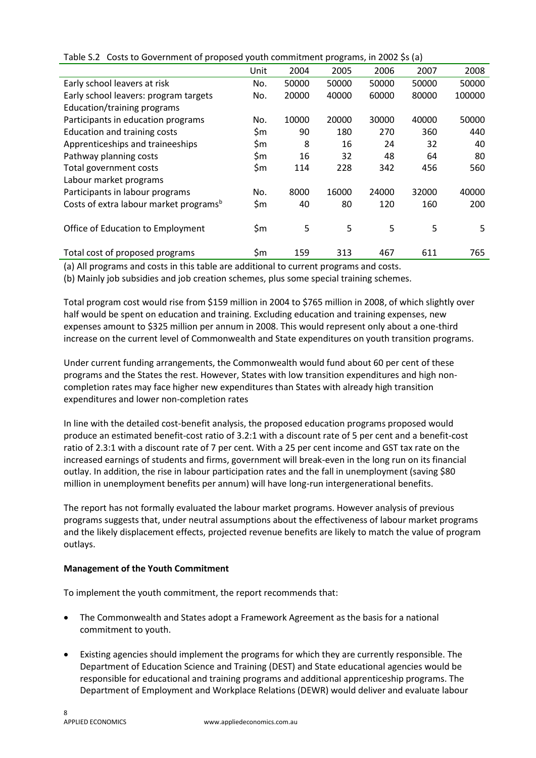|                                                    | Unit | 2004  | 2005  | 2006  | 2007  | 2008   |
|----------------------------------------------------|------|-------|-------|-------|-------|--------|
| Early school leavers at risk                       | No.  | 50000 | 50000 | 50000 | 50000 | 50000  |
| Early school leavers: program targets              | No.  | 20000 | 40000 | 60000 | 80000 | 100000 |
| Education/training programs                        |      |       |       |       |       |        |
| Participants in education programs                 | No.  | 10000 | 20000 | 30000 | 40000 | 50000  |
| <b>Education and training costs</b>                | \$m  | 90    | 180   | 270   | 360   | 440    |
| Apprenticeships and traineeships                   | \$m  | 8     | 16    | 24    | 32    | 40     |
| Pathway planning costs                             | \$m  | 16    | 32    | 48    | 64    | 80     |
| Total government costs                             | \$m  | 114   | 228   | 342   | 456   | 560    |
| Labour market programs                             |      |       |       |       |       |        |
| Participants in labour programs                    | No.  | 8000  | 16000 | 24000 | 32000 | 40000  |
| Costs of extra labour market programs <sup>b</sup> | \$m  | 40    | 80    | 120   | 160   | 200    |
|                                                    |      |       |       |       |       |        |
| Office of Education to Employment                  | \$m  | 5     | 5     | 5     | 5     | 5      |
|                                                    |      |       |       |       |       |        |
| Total cost of proposed programs                    | \$m  | 159   | 313   | 467   | 611   | 765    |

Table S.2 Costs to Government of proposed youth commitment programs, in 2002 \$s (a)

(a) All programs and costs in this table are additional to current programs and costs.

(b) Mainly job subsidies and job creation schemes, plus some special training schemes.

Total program cost would rise from \$159 million in 2004 to \$765 million in 2008, of which slightly over half would be spent on education and training. Excluding education and training expenses, new expenses amount to \$325 million per annum in 2008. This would represent only about a one-third increase on the current level of Commonwealth and State expenditures on youth transition programs.

Under current funding arrangements, the Commonwealth would fund about 60 per cent of these programs and the States the rest. However, States with low transition expenditures and high noncompletion rates may face higher new expenditures than States with already high transition expenditures and lower non-completion rates

In line with the detailed cost-benefit analysis, the proposed education programs proposed would produce an estimated benefit-cost ratio of 3.2:1 with a discount rate of 5 per cent and a benefit-cost ratio of 2.3:1 with a discount rate of 7 per cent. With a 25 per cent income and GST tax rate on the increased earnings of students and firms, government will break-even in the long run on its financial outlay. In addition, the rise in labour participation rates and the fall in unemployment (saving \$80 million in unemployment benefits per annum) will have long-run intergenerational benefits.

The report has not formally evaluated the labour market programs. However analysis of previous programs suggests that, under neutral assumptions about the effectiveness of labour market programs and the likely displacement effects, projected revenue benefits are likely to match the value of program outlays.

#### **Management of the Youth Commitment**

To implement the youth commitment, the report recommends that:

- The Commonwealth and States adopt a Framework Agreement as the basis for a national commitment to youth.
- Existing agencies should implement the programs for which they are currently responsible. The Department of Education Science and Training (DEST) and State educational agencies would be responsible for educational and training programs and additional apprenticeship programs. The Department of Employment and Workplace Relations (DEWR) would deliver and evaluate labour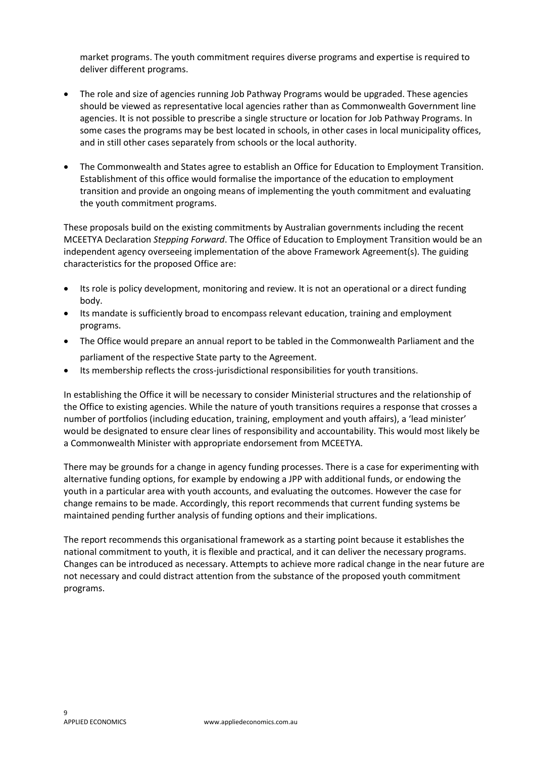market programs. The youth commitment requires diverse programs and expertise is required to deliver different programs.

- The role and size of agencies running Job Pathway Programs would be upgraded. These agencies should be viewed as representative local agencies rather than as Commonwealth Government line agencies. It is not possible to prescribe a single structure or location for Job Pathway Programs. In some cases the programs may be best located in schools, in other cases in local municipality offices, and in still other cases separately from schools or the local authority.
- The Commonwealth and States agree to establish an Office for Education to Employment Transition. Establishment of this office would formalise the importance of the education to employment transition and provide an ongoing means of implementing the youth commitment and evaluating the youth commitment programs.

These proposals build on the existing commitments by Australian governments including the recent MCEETYA Declaration *Stepping Forward*. The Office of Education to Employment Transition would be an independent agency overseeing implementation of the above Framework Agreement(s). The guiding characteristics for the proposed Office are:

- Its role is policy development, monitoring and review. It is not an operational or a direct funding body.
- Its mandate is sufficiently broad to encompass relevant education, training and employment programs.
- The Office would prepare an annual report to be tabled in the Commonwealth Parliament and the parliament of the respective State party to the Agreement.
- Its membership reflects the cross-jurisdictional responsibilities for youth transitions.

In establishing the Office it will be necessary to consider Ministerial structures and the relationship of the Office to existing agencies. While the nature of youth transitions requires a response that crosses a number of portfolios (including education, training, employment and youth affairs), a 'lead minister' would be designated to ensure clear lines of responsibility and accountability. This would most likely be a Commonwealth Minister with appropriate endorsement from MCEETYA.

There may be grounds for a change in agency funding processes. There is a case for experimenting with alternative funding options, for example by endowing a JPP with additional funds, or endowing the youth in a particular area with youth accounts, and evaluating the outcomes. However the case for change remains to be made. Accordingly, this report recommends that current funding systems be maintained pending further analysis of funding options and their implications.

The report recommends this organisational framework as a starting point because it establishes the national commitment to youth, it is flexible and practical, and it can deliver the necessary programs. Changes can be introduced as necessary. Attempts to achieve more radical change in the near future are not necessary and could distract attention from the substance of the proposed youth commitment programs.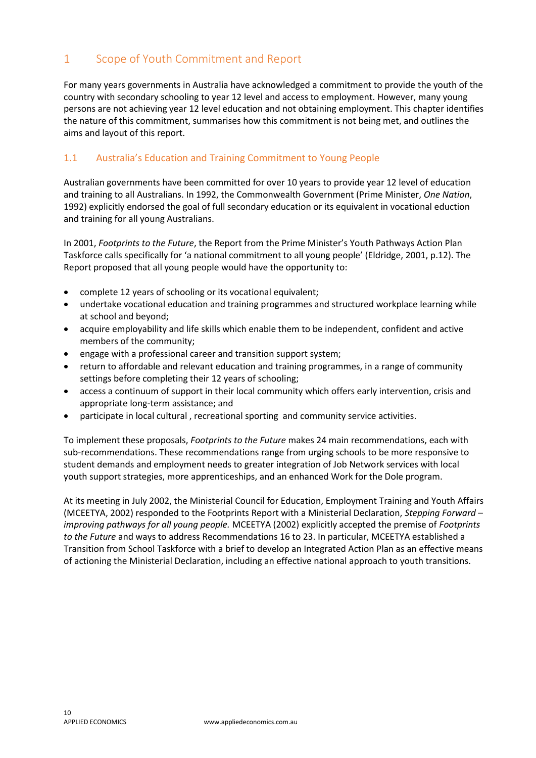# <span id="page-9-0"></span>1 Scope of Youth Commitment and Report

For many years governments in Australia have acknowledged a commitment to provide the youth of the country with secondary schooling to year 12 level and access to employment. However, many young persons are not achieving year 12 level education and not obtaining employment. This chapter identifies the nature of this commitment, summarises how this commitment is not being met, and outlines the aims and layout of this report.

# <span id="page-9-1"></span>1.1 Australia's Education and Training Commitment to Young People

Australian governments have been committed for over 10 years to provide year 12 level of education and training to all Australians. In 1992, the Commonwealth Government (Prime Minister, *One Nation*, 1992) explicitly endorsed the goal of full secondary education or its equivalent in vocational eduction and training for all young Australians.

In 2001, *Footprints to the Future*, the Report from the Prime Minister's Youth Pathways Action Plan Taskforce calls specifically for 'a national commitment to all young people' (Eldridge, 2001, p.12). The Report proposed that all young people would have the opportunity to:

- complete 12 years of schooling or its vocational equivalent;
- undertake vocational education and training programmes and structured workplace learning while at school and beyond;
- acquire employability and life skills which enable them to be independent, confident and active members of the community;
- engage with a professional career and transition support system;
- return to affordable and relevant education and training programmes, in a range of community settings before completing their 12 years of schooling;
- access a continuum of support in their local community which offers early intervention, crisis and appropriate long-term assistance; and
- participate in local cultural , recreational sporting and community service activities.

To implement these proposals, *Footprints to the Future* makes 24 main recommendations, each with sub-recommendations. These recommendations range from urging schools to be more responsive to student demands and employment needs to greater integration of Job Network services with local youth support strategies, more apprenticeships, and an enhanced Work for the Dole program.

At its meeting in July 2002, the Ministerial Council for Education, Employment Training and Youth Affairs (MCEETYA, 2002) responded to the Footprints Report with a Ministerial Declaration, *Stepping Forward – improving pathways for all young people.* MCEETYA (2002) explicitly accepted the premise of *Footprints to the Future* and ways to address Recommendations 16 to 23. In particular, MCEETYA established a Transition from School Taskforce with a brief to develop an Integrated Action Plan as an effective means of actioning the Ministerial Declaration, including an effective national approach to youth transitions.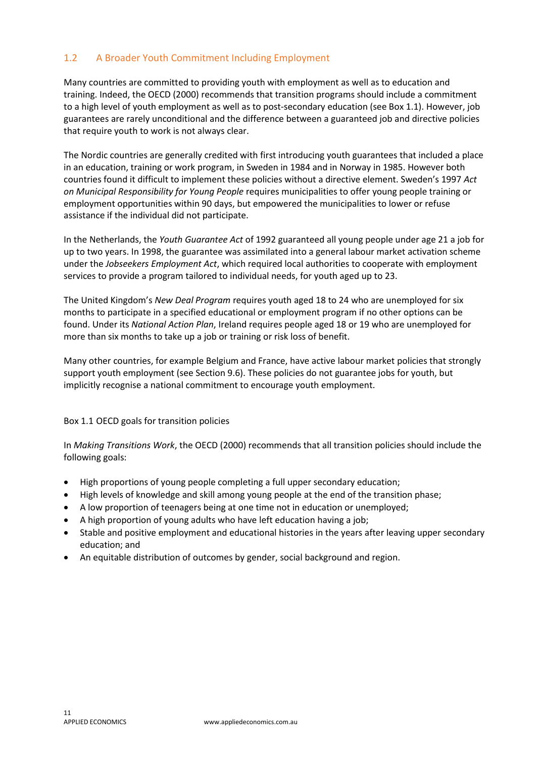# <span id="page-10-0"></span>1.2 A Broader Youth Commitment Including Employment

Many countries are committed to providing youth with employment as well as to education and training. Indeed, the OECD (2000) recommends that transition programs should include a commitment to a high level of youth employment as well as to post-secondary education (see Box 1.1). However, job guarantees are rarely unconditional and the difference between a guaranteed job and directive policies that require youth to work is not always clear.

The Nordic countries are generally credited with first introducing youth guarantees that included a place in an education, training or work program, in Sweden in 1984 and in Norway in 1985. However both countries found it difficult to implement these policies without a directive element. Sweden's 1997 *Act on Municipal Responsibility for Young People* requires municipalities to offer young people training or employment opportunities within 90 days, but empowered the municipalities to lower or refuse assistance if the individual did not participate.

In the Netherlands, the *Youth Guarantee Act* of 1992 guaranteed all young people under age 21 a job for up to two years. In 1998, the guarantee was assimilated into a general labour market activation scheme under the *Jobseekers Employment Act*, which required local authorities to cooperate with employment services to provide a program tailored to individual needs, for youth aged up to 23.

The United Kingdom's *New Deal Program* requires youth aged 18 to 24 who are unemployed for six months to participate in a specified educational or employment program if no other options can be found. Under its *National Action Plan*, Ireland requires people aged 18 or 19 who are unemployed for more than six months to take up a job or training or risk loss of benefit.

Many other countries, for example Belgium and France, have active labour market policies that strongly support youth employment (see Section 9.6). These policies do not guarantee jobs for youth, but implicitly recognise a national commitment to encourage youth employment.

#### Box 1.1 OECD goals for transition policies

In *Making Transitions Work*, the OECD (2000) recommends that all transition policies should include the following goals:

- High proportions of young people completing a full upper secondary education;
- High levels of knowledge and skill among young people at the end of the transition phase;
- A low proportion of teenagers being at one time not in education or unemployed;
- A high proportion of young adults who have left education having a job;
- Stable and positive employment and educational histories in the years after leaving upper secondary education; and
- An equitable distribution of outcomes by gender, social background and region.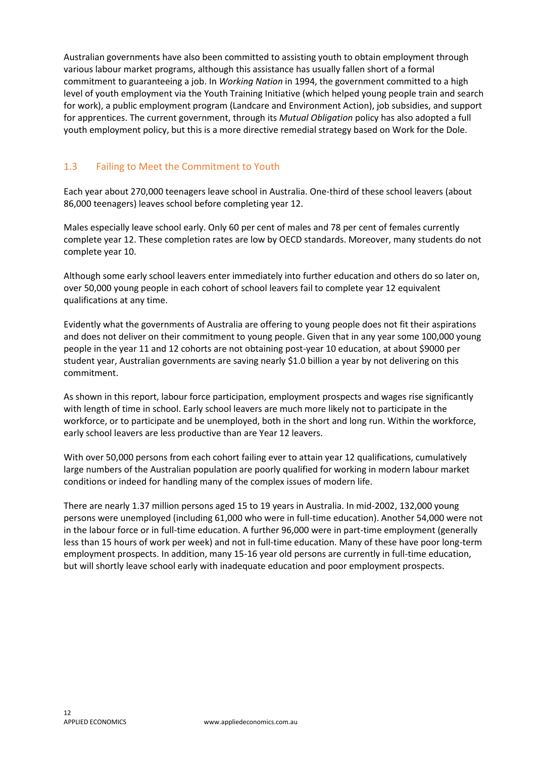Australian governments have also been committed to assisting youth to obtain employment through various labour market programs, although this assistance has usually fallen short of a formal commitment to guaranteeing a job. In *Working Nation* in 1994, the government committed to a high level of youth employment via the Youth Training Initiative (which helped young people train and search for work), a public employment program (Landcare and Environment Action), job subsidies, and support for apprentices. The current government, through its *Mutual Obligation* policy has also adopted a full youth employment policy, but this is a more directive remedial strategy based on Work for the Dole.

# <span id="page-11-0"></span>1.3 Failing to Meet the Commitment to Youth

Each year about 270,000 teenagers leave school in Australia. One-third of these school leavers (about 86,000 teenagers) leaves school before completing year 12.

Males especially leave school early. Only 60 per cent of males and 78 per cent of females currently complete year 12. These completion rates are low by OECD standards. Moreover, many students do not complete year 10.

Although some early school leavers enter immediately into further education and others do so later on, over 50,000 young people in each cohort of school leavers fail to complete year 12 equivalent qualifications at any time.

Evidently what the governments of Australia are offering to young people does not fit their aspirations and does not deliver on their commitment to young people. Given that in any year some 100,000 young people in the year 11 and 12 cohorts are not obtaining post-year 10 education, at about \$9000 per student year, Australian governments are saving nearly \$1.0 billion a year by not delivering on this commitment.

As shown in this report, labour force participation, employment prospects and wages rise significantly with length of time in school. Early school leavers are much more likely not to participate in the workforce, or to participate and be unemployed, both in the short and long run. Within the workforce, early school leavers are less productive than are Year 12 leavers.

With over 50,000 persons from each cohort failing ever to attain year 12 qualifications, cumulatively large numbers of the Australian population are poorly qualified for working in modern labour market conditions or indeed for handling many of the complex issues of modern life.

There are nearly 1.37 million persons aged 15 to 19 years in Australia. In mid-2002, 132,000 young persons were unemployed (including 61,000 who were in full-time education). Another 54,000 were not in the labour force or in full-time education. A further 96,000 were in part-time employment (generally less than 15 hours of work per week) and not in full-time education. Many of these have poor long-term employment prospects. In addition, many 15-16 year old persons are currently in full-time education, but will shortly leave school early with inadequate education and poor employment prospects.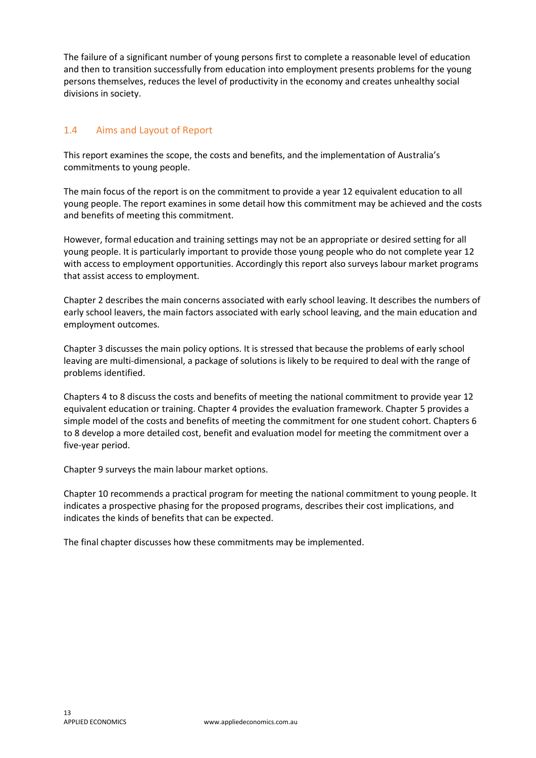The failure of a significant number of young persons first to complete a reasonable level of education and then to transition successfully from education into employment presents problems for the young persons themselves, reduces the level of productivity in the economy and creates unhealthy social divisions in society.

# <span id="page-12-0"></span>1.4 Aims and Layout of Report

This report examines the scope, the costs and benefits, and the implementation of Australia's commitments to young people.

The main focus of the report is on the commitment to provide a year 12 equivalent education to all young people. The report examines in some detail how this commitment may be achieved and the costs and benefits of meeting this commitment.

However, formal education and training settings may not be an appropriate or desired setting for all young people. It is particularly important to provide those young people who do not complete year 12 with access to employment opportunities. Accordingly this report also surveys labour market programs that assist access to employment.

Chapter 2 describes the main concerns associated with early school leaving. It describes the numbers of early school leavers, the main factors associated with early school leaving, and the main education and employment outcomes.

Chapter 3 discusses the main policy options. It is stressed that because the problems of early school leaving are multi-dimensional, a package of solutions is likely to be required to deal with the range of problems identified.

Chapters 4 to 8 discuss the costs and benefits of meeting the national commitment to provide year 12 equivalent education or training. Chapter 4 provides the evaluation framework. Chapter 5 provides a simple model of the costs and benefits of meeting the commitment for one student cohort. Chapters 6 to 8 develop a more detailed cost, benefit and evaluation model for meeting the commitment over a five-year period.

Chapter 9 surveys the main labour market options.

Chapter 10 recommends a practical program for meeting the national commitment to young people. It indicates a prospective phasing for the proposed programs, describes their cost implications, and indicates the kinds of benefits that can be expected.

The final chapter discusses how these commitments may be implemented.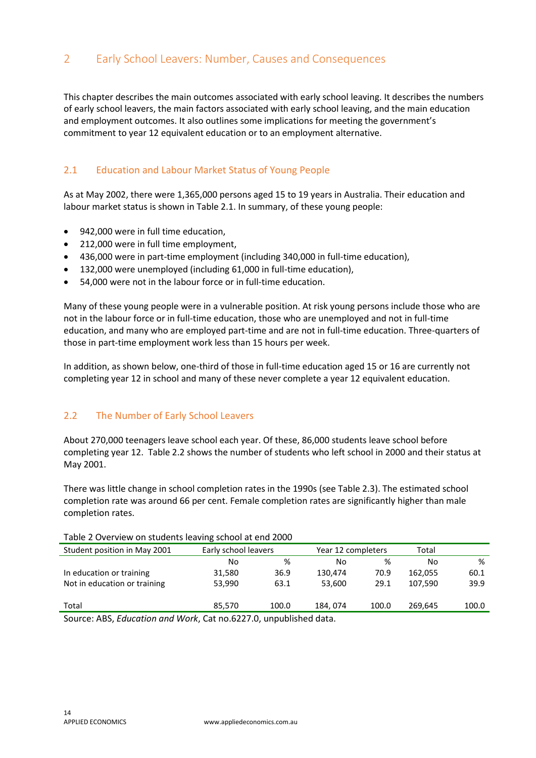# <span id="page-13-0"></span>2 Early School Leavers: Number, Causes and Consequences

This chapter describes the main outcomes associated with early school leaving. It describes the numbers of early school leavers, the main factors associated with early school leaving, and the main education and employment outcomes. It also outlines some implications for meeting the government's commitment to year 12 equivalent education or to an employment alternative.

#### <span id="page-13-1"></span>2.1 Education and Labour Market Status of Young People

As at May 2002, there were 1,365,000 persons aged 15 to 19 years in Australia. Their education and labour market status is shown in Table 2.1. In summary, of these young people:

- 942,000 were in full time education,
- 212,000 were in full time employment,
- 436,000 were in part-time employment (including 340,000 in full-time education),
- 132,000 were unemployed (including 61,000 in full-time education),
- 54,000 were not in the labour force or in full-time education.

Many of these young people were in a vulnerable position. At risk young persons include those who are not in the labour force or in full-time education, those who are unemployed and not in full-time education, and many who are employed part-time and are not in full-time education. Three-quarters of those in part-time employment work less than 15 hours per week.

In addition, as shown below, one-third of those in full-time education aged 15 or 16 are currently not completing year 12 in school and many of these never complete a year 12 equivalent education.

#### <span id="page-13-2"></span>2.2 The Number of Early School Leavers

About 270,000 teenagers leave school each year. Of these, 86,000 students leave school before completing year 12. Table 2.2 shows the number of students who left school in 2000 and their status at May 2001.

There was little change in school completion rates in the 1990s (see Table 2.3). The estimated school completion rate was around 66 per cent. Female completion rates are significantly higher than male completion rates.

| Table 2 OVERTUR OIL SEGGETES ICAVING SCHOOL GE CHU 2000 |                                                                  |       |                    |       |         |       |  |  |  |  |
|---------------------------------------------------------|------------------------------------------------------------------|-------|--------------------|-------|---------|-------|--|--|--|--|
| Student position in May 2001                            | Early school leavers                                             |       | Year 12 completers |       | Total   |       |  |  |  |  |
|                                                         | No                                                               | %     | No                 | %     | No      | %     |  |  |  |  |
| In education or training                                | 31.580                                                           | 36.9  | 130.474            | 70.9  | 162.055 | 60.1  |  |  |  |  |
| Not in education or training                            | 53,990                                                           | 63.1  | 53.600             | 29.1  | 107.590 | 39.9  |  |  |  |  |
|                                                         |                                                                  |       |                    |       |         |       |  |  |  |  |
| Total                                                   | 85.570                                                           | 100.0 | 184, 074           | 100.0 | 269.645 | 100.0 |  |  |  |  |
|                                                         | Source: ABS, Education and Wark, Cat no 6227 0, unpublished data |       |                    |       |         |       |  |  |  |  |

Table 2 Overview on students leaving school at end 2000

Source: ABS, *Education and Work*, Cat no.6227.0, unpublished data.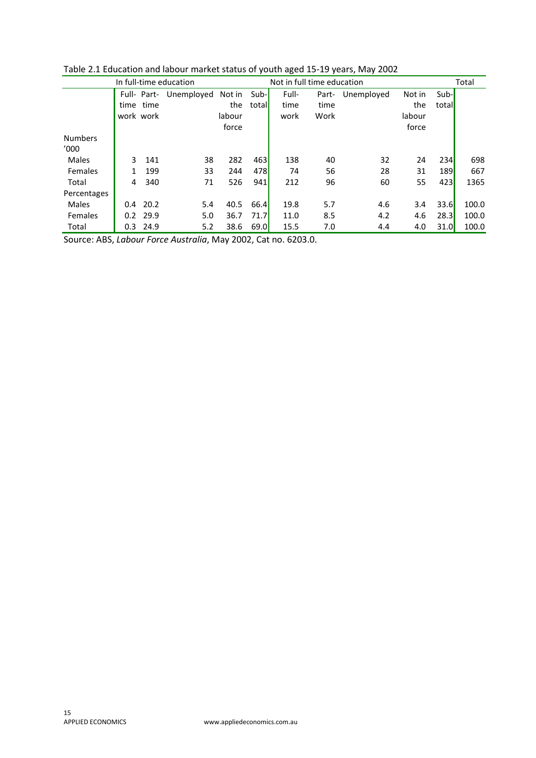| In full-time education |     |            |                        |        | Not in full time education |       |       |            |        | Total      |       |
|------------------------|-----|------------|------------------------|--------|----------------------------|-------|-------|------------|--------|------------|-------|
|                        |     |            | Full- Part- Unemployed | Not in | Sub-                       | Full- | Part- | Unemployed | Not in | Sub-       |       |
|                        |     | time time  |                        | the    | totall                     | time  | time  |            | the    | total      |       |
|                        |     | work work  |                        | labour |                            | work  | Work  |            | labour |            |       |
|                        |     |            |                        | force  |                            |       |       |            | force  |            |       |
| <b>Numbers</b>         |     |            |                        |        |                            |       |       |            |        |            |       |
| '000                   |     |            |                        |        |                            |       |       |            |        |            |       |
| Males                  | 3.  | 141        | 38                     | 282    | 463                        | 138   | 40    | 32         | 24     | 234        | 698   |
| Females                | 1   | 199        | 33                     | 244    | 478                        | 74    | 56    | 28         | 31     | <b>189</b> | 667   |
| Total                  | 4   | 340        | 71                     | 526    | 941                        | 212   | 96    | 60         | 55     | 423        | 1365  |
| Percentages            |     |            |                        |        |                            |       |       |            |        |            |       |
| <b>Males</b>           |     | $0.4$ 20.2 | 5.4                    | 40.5   | 66.4                       | 19.8  | 5.7   | 4.6        | 3.4    | 33.6       | 100.0 |
| Females                |     | $0.2$ 29.9 | 5.0                    | 36.7   | 71.7                       | 11.0  | 8.5   | 4.2        | 4.6    | 28.3       | 100.0 |
| Total                  | 0.3 | 24.9       | 5.2                    | 38.6   | 69.0                       | 15.5  | 7.0   | 4.4        | 4.0    | 31.0       | 100.0 |

Table 2.1 Education and labour market status of youth aged 15-19 years, May 2002

Source: ABS, *Labour Force Australia*, May 2002, Cat no. 6203.0.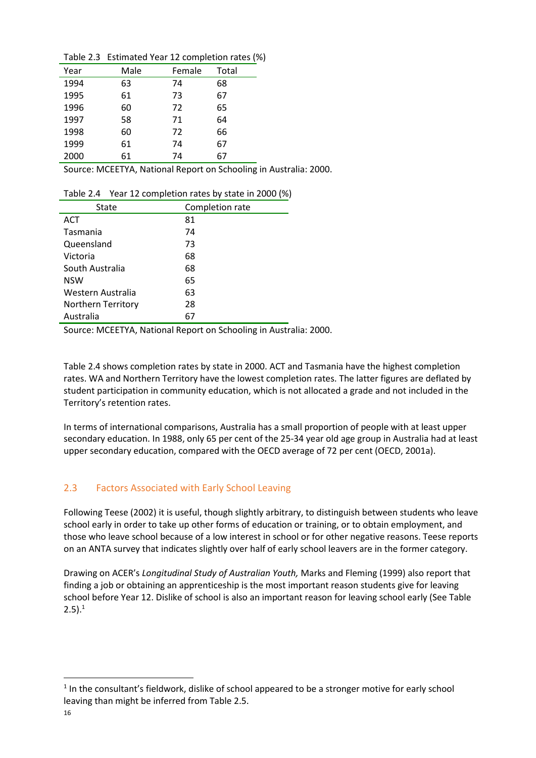Table 2.3 Estimated Year 12 completion rates (%)

| Year | Male | Female | Total |
|------|------|--------|-------|
| 1994 | 63   | 74     | 68    |
| 1995 | 61   | 73     | 67    |
| 1996 | 60   | 72     | 65    |
| 1997 | 58   | 71     | 64    |
| 1998 | 60   | 72     | 66    |
| 1999 | 61   | 74     | 67    |
| 2000 | 61   | 74     | 67    |

Source: MCEETYA, National Report on Schooling in Australia: 2000.

Table 2.4 Year 12 completion rates by state in 2000 (%)

| State              | Completion rate |
|--------------------|-----------------|
| ACT                | 81              |
| Tasmania           | 74              |
| Queensland         | 73              |
| Victoria           | 68              |
| South Australia    | 68              |
| <b>NSW</b>         | 65              |
| Western Australia  | 63              |
| Northern Territory | 28              |
| Australia          | 67              |

Source: MCEETYA, National Report on Schooling in Australia: 2000.

Table 2.4 shows completion rates by state in 2000. ACT and Tasmania have the highest completion rates. WA and Northern Territory have the lowest completion rates. The latter figures are deflated by student participation in community education, which is not allocated a grade and not included in the Territory's retention rates.

In terms of international comparisons, Australia has a small proportion of people with at least upper secondary education. In 1988, only 65 per cent of the 25-34 year old age group in Australia had at least upper secondary education, compared with the OECD average of 72 per cent (OECD, 2001a).

# <span id="page-15-0"></span>2.3 Factors Associated with Early School Leaving

Following Teese (2002) it is useful, though slightly arbitrary, to distinguish between students who leave school early in order to take up other forms of education or training, or to obtain employment, and those who leave school because of a low interest in school or for other negative reasons. Teese reports on an ANTA survey that indicates slightly over half of early school leavers are in the former category.

Drawing on ACER's *Longitudinal Study of Australian Youth,* Marks and Fleming (1999) also report that finding a job or obtaining an apprenticeship is the most important reason students give for leaving school before Year 12. Dislike of school is also an important reason for leaving school early (See Table  $2.5).<sup>1</sup>$ 

**.** 

 $<sup>1</sup>$  In the consultant's fieldwork, dislike of school appeared to be a stronger motive for early school</sup> leaving than might be inferred from Table 2.5.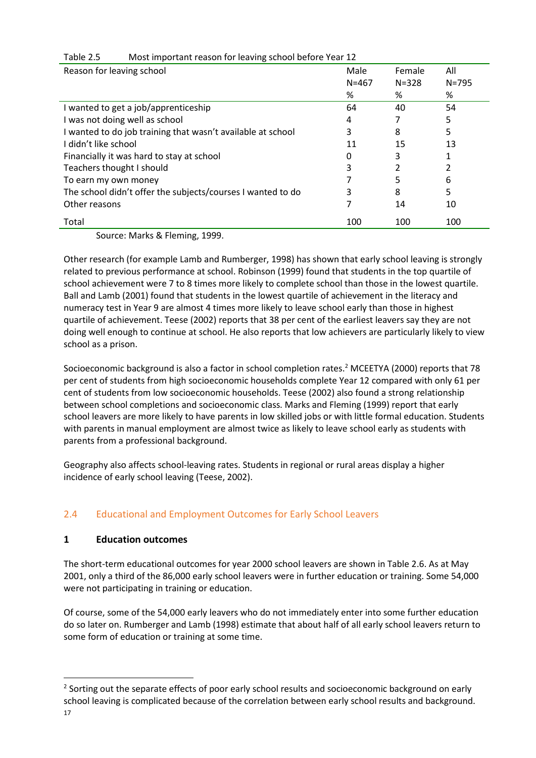| Reason for leaving school                                   | Male<br>$N = 467$ | Female<br>$N = 328$ | All<br>$N = 795$ |
|-------------------------------------------------------------|-------------------|---------------------|------------------|
|                                                             | %                 | %                   | %                |
| I wanted to get a job/apprenticeship                        | 64                | 40                  | 54               |
| I was not doing well as school                              | 4                 |                     | 5                |
| I wanted to do job training that wasn't available at school | 3                 | 8                   | 5                |
| I didn't like school                                        | 11                | 15                  | 13               |
| Financially it was hard to stay at school                   | 0                 | 3                   |                  |
| Teachers thought I should                                   | 3                 |                     |                  |
| To earn my own money                                        |                   | 5                   | 6                |
| The school didn't offer the subjects/courses I wanted to do | 3                 | 8                   | 5                |
| Other reasons                                               |                   | 14                  | 10               |
| Total                                                       | 100               | 100                 | 100              |

#### Table 2.5 Most important reason for leaving school before Year 12

Source: Marks & Fleming, 1999.

Other research (for example Lamb and Rumberger, 1998) has shown that early school leaving is strongly related to previous performance at school. Robinson (1999) found that students in the top quartile of school achievement were 7 to 8 times more likely to complete school than those in the lowest quartile. Ball and Lamb (2001) found that students in the lowest quartile of achievement in the literacy and numeracy test in Year 9 are almost 4 times more likely to leave school early than those in highest quartile of achievement. Teese (2002) reports that 38 per cent of the earliest leavers say they are not doing well enough to continue at school. He also reports that low achievers are particularly likely to view school as a prison.

Socioeconomic background is also a factor in school completion rates.<sup>2</sup> MCEETYA (2000) reports that 78 per cent of students from high socioeconomic households complete Year 12 compared with only 61 per cent of students from low socioeconomic households. Teese (2002) also found a strong relationship between school completions and socioeconomic class. Marks and Fleming (1999) report that early school leavers are more likely to have parents in low skilled jobs or with little formal education. Students with parents in manual employment are almost twice as likely to leave school early as students with parents from a professional background.

Geography also affects school-leaving rates. Students in regional or rural areas display a higher incidence of early school leaving (Teese, 2002).

# <span id="page-16-0"></span>2.4 Educational and Employment Outcomes for Early School Leavers

#### **1 Education outcomes**

The short-term educational outcomes for year 2000 school leavers are shown in Table 2.6. As at May 2001, only a third of the 86,000 early school leavers were in further education or training. Some 54,000 were not participating in training or education.

Of course, some of the 54,000 early leavers who do not immediately enter into some further education do so later on. Rumberger and Lamb (1998) estimate that about half of all early school leavers return to some form of education or training at some time.

**.** 

 $2$  Sorting out the separate effects of poor early school results and socioeconomic background on early school leaving is complicated because of the correlation between early school results and background.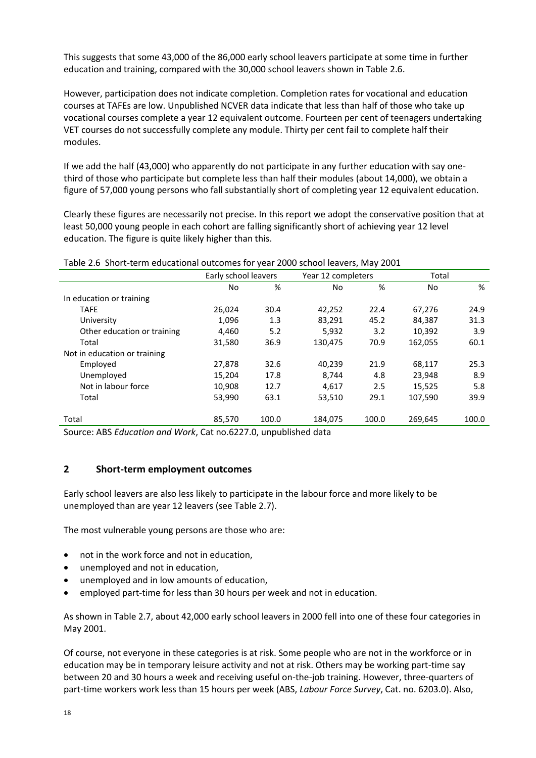This suggests that some 43,000 of the 86,000 early school leavers participate at some time in further education and training, compared with the 30,000 school leavers shown in Table 2.6.

However, participation does not indicate completion. Completion rates for vocational and education courses at TAFEs are low. Unpublished NCVER data indicate that less than half of those who take up vocational courses complete a year 12 equivalent outcome. Fourteen per cent of teenagers undertaking VET courses do not successfully complete any module. Thirty per cent fail to complete half their modules.

If we add the half (43,000) who apparently do not participate in any further education with say onethird of those who participate but complete less than half their modules (about 14,000), we obtain a figure of 57,000 young persons who fall substantially short of completing year 12 equivalent education.

Clearly these figures are necessarily not precise. In this report we adopt the conservative position that at least 50,000 young people in each cohort are falling significantly short of achieving year 12 level education. The figure is quite likely higher than this.

|                              |        | Early school leavers |         | Year 12 completers | Total   |       |  |  |  |  |  |
|------------------------------|--------|----------------------|---------|--------------------|---------|-------|--|--|--|--|--|
|                              | No     | %                    | No      | %                  | No.     | %     |  |  |  |  |  |
| In education or training     |        |                      |         |                    |         |       |  |  |  |  |  |
| <b>TAFE</b>                  | 26,024 | 30.4                 | 42,252  | 22.4               | 67,276  | 24.9  |  |  |  |  |  |
| University                   | 1,096  | 1.3                  | 83,291  | 45.2               | 84,387  | 31.3  |  |  |  |  |  |
| Other education or training  | 4,460  | 5.2                  | 5,932   | 3.2                | 10,392  | 3.9   |  |  |  |  |  |
| Total                        | 31,580 | 36.9                 | 130,475 | 70.9               | 162,055 | 60.1  |  |  |  |  |  |
| Not in education or training |        |                      |         |                    |         |       |  |  |  |  |  |
| Employed                     | 27,878 | 32.6                 | 40,239  | 21.9               | 68,117  | 25.3  |  |  |  |  |  |
| Unemployed                   | 15,204 | 17.8                 | 8,744   | 4.8                | 23,948  | 8.9   |  |  |  |  |  |
| Not in labour force          | 10.908 | 12.7                 | 4.617   | 2.5                | 15,525  | 5.8   |  |  |  |  |  |
| Total                        | 53,990 | 63.1                 | 53,510  | 29.1               | 107,590 | 39.9  |  |  |  |  |  |
|                              |        |                      |         |                    |         |       |  |  |  |  |  |
| Total                        | 85,570 | 100.0                | 184,075 | 100.0              | 269,645 | 100.0 |  |  |  |  |  |
|                              |        |                      |         |                    |         |       |  |  |  |  |  |

Source: ABS *Education and Work*, Cat no.6227.0, unpublished data

#### **2 Short-term employment outcomes**

Early school leavers are also less likely to participate in the labour force and more likely to be unemployed than are year 12 leavers (see Table 2.7).

The most vulnerable young persons are those who are:

- not in the work force and not in education,
- unemployed and not in education,
- unemployed and in low amounts of education,
- employed part-time for less than 30 hours per week and not in education.

As shown in Table 2.7, about 42,000 early school leavers in 2000 fell into one of these four categories in May 2001.

Of course, not everyone in these categories is at risk. Some people who are not in the workforce or in education may be in temporary leisure activity and not at risk. Others may be working part-time say between 20 and 30 hours a week and receiving useful on-the-job training. However, three-quarters of part-time workers work less than 15 hours per week (ABS, *Labour Force Survey*, Cat. no. 6203.0). Also,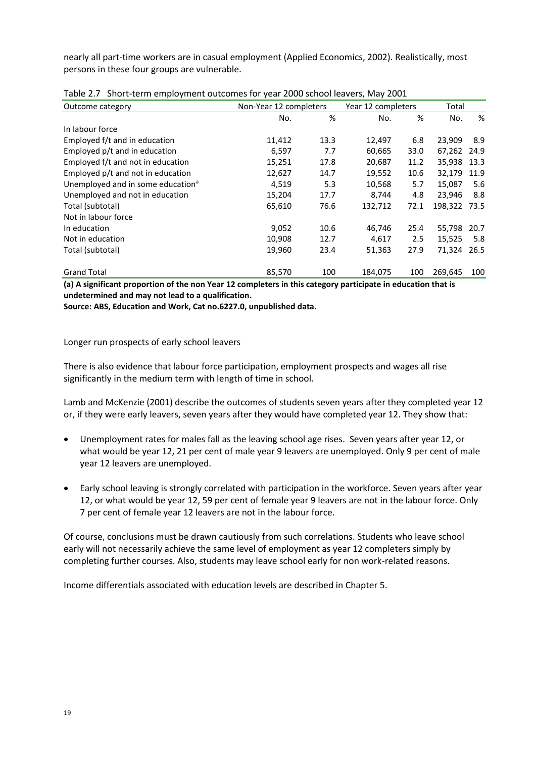nearly all part-time workers are in casual employment (Applied Economics, 2002). Realistically, most persons in these four groups are vulnerable.

| Outcome category                              | Non-Year 12 completers |      | Year 12 completers | Total |         |      |
|-----------------------------------------------|------------------------|------|--------------------|-------|---------|------|
|                                               | No.                    | %    | No.                | %     | No.     | %    |
| In labour force                               |                        |      |                    |       |         |      |
| Employed f/t and in education                 | 11,412                 | 13.3 | 12,497             | 6.8   | 23,909  | 8.9  |
| Employed p/t and in education                 | 6,597                  | 7.7  | 60,665             | 33.0  | 67,262  | 24.9 |
| Employed f/t and not in education             | 15,251                 | 17.8 | 20,687             | 11.2  | 35,938  | 13.3 |
| Employed p/t and not in education             | 12,627                 | 14.7 | 19,552             | 10.6  | 32,179  | 11.9 |
| Unemployed and in some education <sup>a</sup> | 4,519                  | 5.3  | 10,568             | 5.7   | 15,087  | 5.6  |
| Unemployed and not in education               | 15,204                 | 17.7 | 8,744              | 4.8   | 23.946  | 8.8  |
| Total (subtotal)                              | 65,610                 | 76.6 | 132,712            | 72.1  | 198,322 | 73.5 |
| Not in labour force                           |                        |      |                    |       |         |      |
| In education                                  | 9,052                  | 10.6 | 46,746             | 25.4  | 55,798  | 20.7 |
| Not in education                              | 10,908                 | 12.7 | 4,617              | 2.5   | 15,525  | 5.8  |
| Total (subtotal)                              | 19,960                 | 23.4 | 51,363             | 27.9  | 71,324  | 26.5 |
| <b>Grand Total</b>                            | 85,570                 | 100  | 184,075            | 100   | 269,645 | 100  |

| Table 2.7 Short-term employment outcomes for year 2000 school leavers, May 2001 |  |  |
|---------------------------------------------------------------------------------|--|--|
|                                                                                 |  |  |

**(a) A significant proportion of the non Year 12 completers in this category participate in education that is undetermined and may not lead to a qualification.** 

**Source: ABS, Education and Work, Cat no.6227.0, unpublished data.**

Longer run prospects of early school leavers

There is also evidence that labour force participation, employment prospects and wages all rise significantly in the medium term with length of time in school.

Lamb and McKenzie (2001) describe the outcomes of students seven years after they completed year 12 or, if they were early leavers, seven years after they would have completed year 12. They show that:

- Unemployment rates for males fall as the leaving school age rises. Seven years after year 12, or what would be year 12, 21 per cent of male year 9 leavers are unemployed. Only 9 per cent of male year 12 leavers are unemployed.
- Early school leaving is strongly correlated with participation in the workforce. Seven years after year 12, or what would be year 12, 59 per cent of female year 9 leavers are not in the labour force. Only 7 per cent of female year 12 leavers are not in the labour force.

Of course, conclusions must be drawn cautiously from such correlations. Students who leave school early will not necessarily achieve the same level of employment as year 12 completers simply by completing further courses. Also, students may leave school early for non work-related reasons.

Income differentials associated with education levels are described in Chapter 5.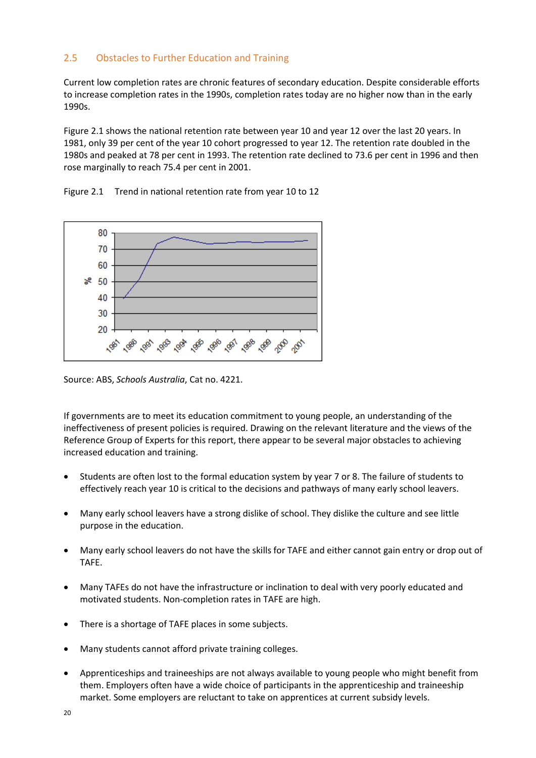#### <span id="page-19-0"></span>2.5 Obstacles to Further Education and Training

Current low completion rates are chronic features of secondary education. Despite considerable efforts to increase completion rates in the 1990s, completion rates today are no higher now than in the early 1990s.

Figure 2.1 shows the national retention rate between year 10 and year 12 over the last 20 years. In 1981, only 39 per cent of the year 10 cohort progressed to year 12. The retention rate doubled in the 1980s and peaked at 78 per cent in 1993. The retention rate declined to 73.6 per cent in 1996 and then rose marginally to reach 75.4 per cent in 2001.

Figure 2.1 Trend in national retention rate from year 10 to 12



Source: ABS, *Schools Australia*, Cat no. 4221.

If governments are to meet its education commitment to young people, an understanding of the ineffectiveness of present policies is required. Drawing on the relevant literature and the views of the Reference Group of Experts for this report, there appear to be several major obstacles to achieving increased education and training.

- Students are often lost to the formal education system by year 7 or 8. The failure of students to effectively reach year 10 is critical to the decisions and pathways of many early school leavers.
- Many early school leavers have a strong dislike of school. They dislike the culture and see little purpose in the education.
- Many early school leavers do not have the skills for TAFE and either cannot gain entry or drop out of TAFE.
- Many TAFEs do not have the infrastructure or inclination to deal with very poorly educated and motivated students. Non-completion rates in TAFE are high.
- There is a shortage of TAFE places in some subjects.
- Many students cannot afford private training colleges.
- Apprenticeships and traineeships are not always available to young people who might benefit from them. Employers often have a wide choice of participants in the apprenticeship and traineeship market. Some employers are reluctant to take on apprentices at current subsidy levels.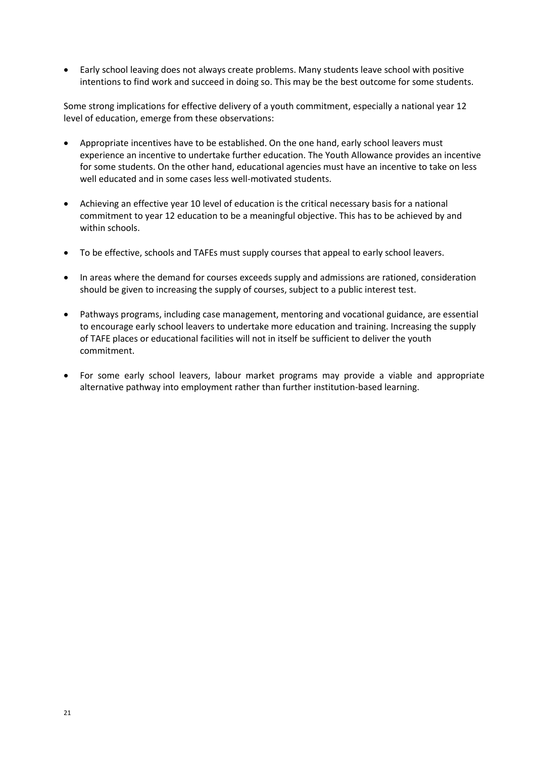• Early school leaving does not always create problems. Many students leave school with positive intentions to find work and succeed in doing so. This may be the best outcome for some students.

Some strong implications for effective delivery of a youth commitment, especially a national year 12 level of education, emerge from these observations:

- Appropriate incentives have to be established. On the one hand, early school leavers must experience an incentive to undertake further education. The Youth Allowance provides an incentive for some students. On the other hand, educational agencies must have an incentive to take on less well educated and in some cases less well-motivated students.
- Achieving an effective year 10 level of education is the critical necessary basis for a national commitment to year 12 education to be a meaningful objective. This has to be achieved by and within schools.
- To be effective, schools and TAFEs must supply courses that appeal to early school leavers.
- In areas where the demand for courses exceeds supply and admissions are rationed, consideration should be given to increasing the supply of courses, subject to a public interest test.
- Pathways programs, including case management, mentoring and vocational guidance, are essential to encourage early school leavers to undertake more education and training. Increasing the supply of TAFE places or educational facilities will not in itself be sufficient to deliver the youth commitment.
- For some early school leavers, labour market programs may provide a viable and appropriate alternative pathway into employment rather than further institution-based learning.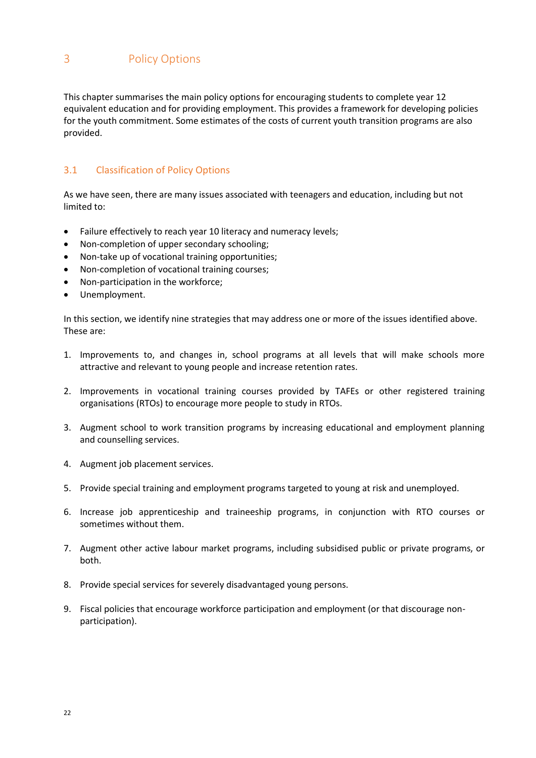<span id="page-21-0"></span>This chapter summarises the main policy options for encouraging students to complete year 12 equivalent education and for providing employment. This provides a framework for developing policies for the youth commitment. Some estimates of the costs of current youth transition programs are also provided.

# <span id="page-21-1"></span>3.1 Classification of Policy Options

As we have seen, there are many issues associated with teenagers and education, including but not limited to:

- Failure effectively to reach year 10 literacy and numeracy levels;
- Non-completion of upper secondary schooling;
- Non-take up of vocational training opportunities;
- Non-completion of vocational training courses;
- Non-participation in the workforce;
- Unemployment.

In this section, we identify nine strategies that may address one or more of the issues identified above. These are:

- 1. Improvements to, and changes in, school programs at all levels that will make schools more attractive and relevant to young people and increase retention rates.
- 2. Improvements in vocational training courses provided by TAFEs or other registered training organisations (RTOs) to encourage more people to study in RTOs.
- 3. Augment school to work transition programs by increasing educational and employment planning and counselling services.
- 4. Augment job placement services.
- 5. Provide special training and employment programs targeted to young at risk and unemployed.
- 6. Increase job apprenticeship and traineeship programs, in conjunction with RTO courses or sometimes without them.
- 7. Augment other active labour market programs, including subsidised public or private programs, or both.
- 8. Provide special services for severely disadvantaged young persons.
- 9. Fiscal policies that encourage workforce participation and employment (or that discourage nonparticipation).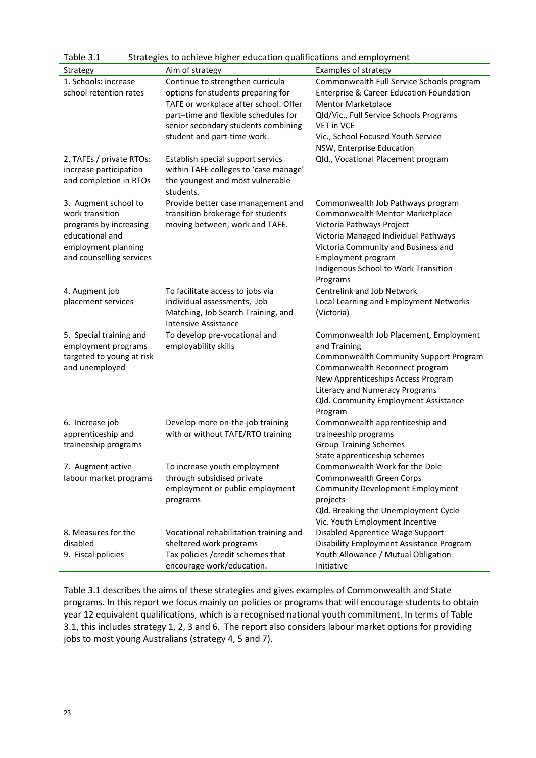| Table 3.1                                                                                                                               | Strategies to achieve higher education qualifications and employment                                                                                                                                                          |                                                                                                                                                                                                                                                                  |
|-----------------------------------------------------------------------------------------------------------------------------------------|-------------------------------------------------------------------------------------------------------------------------------------------------------------------------------------------------------------------------------|------------------------------------------------------------------------------------------------------------------------------------------------------------------------------------------------------------------------------------------------------------------|
| Strategy                                                                                                                                | Aim of strategy                                                                                                                                                                                                               | <b>Examples of strategy</b>                                                                                                                                                                                                                                      |
| 1. Schools: increase<br>school retention rates                                                                                          | Continue to strengthen curricula<br>options for students preparing for<br>TAFE or workplace after school. Offer<br>part-time and flexible schedules for<br>senior secondary students combining<br>student and part-time work. | Commonwealth Full Service Schools program<br><b>Enterprise &amp; Career Education Foundation</b><br><b>Mentor Marketplace</b><br>Qld/Vic., Full Service Schools Programs<br><b>VET in VCE</b><br>Vic., School Focused Youth Service<br>NSW, Enterprise Education |
| 2. TAFEs / private RTOs:<br>increase participation<br>and completion in RTOs                                                            | Establish special support servics<br>within TAFE colleges to 'case manage'<br>the youngest and most vulnerable<br>students.                                                                                                   | Qld., Vocational Placement program                                                                                                                                                                                                                               |
| 3. Augment school to<br>work transition<br>programs by increasing<br>educational and<br>employment planning<br>and counselling services | Provide better case management and<br>transition brokerage for students<br>moving between, work and TAFE.                                                                                                                     | Commonwealth Job Pathways program<br>Commonwealth Mentor Marketplace<br>Victoria Pathways Project<br>Victoria Managed Individual Pathways<br>Victoria Community and Business and<br>Employment program<br>Indigenous School to Work Transition<br>Programs       |
| 4. Augment job<br>placement services                                                                                                    | To facilitate access to jobs via<br>individual assessments, Job<br>Matching, Job Search Training, and<br><b>Intensive Assistance</b>                                                                                          | Centrelink and Job Network<br>Local Learning and Employment Networks<br>(Victoria)                                                                                                                                                                               |
| 5. Special training and<br>employment programs<br>targeted to young at risk<br>and unemployed                                           | To develop pre-vocational and<br>employability skills                                                                                                                                                                         | Commonwealth Job Placement, Employment<br>and Training<br>Commonwealth Community Support Program<br>Commonwealth Reconnect program<br>New Apprenticeships Access Program<br>Literacy and Numeracy Programs<br>Qld. Community Employment Assistance<br>Program    |
| 6. Increase job<br>apprenticeship and<br>traineeship programs                                                                           | Develop more on-the-job training<br>with or without TAFE/RTO training                                                                                                                                                         | Commonwealth apprenticeship and<br>traineeship programs<br><b>Group Training Schemes</b><br>State apprenticeship schemes                                                                                                                                         |
| 7. Augment active<br>labour market programs                                                                                             | To increase youth employment<br>through subsidised private<br>employment or public employment<br>programs                                                                                                                     | Commonwealth Work for the Dole<br>Commonwealth Green Corps<br><b>Community Development Employment</b><br>projects<br>Qld. Breaking the Unemployment Cycle<br>Vic. Youth Employment Incentive                                                                     |
| 8. Measures for the<br>disabled<br>9. Fiscal policies                                                                                   | Vocational rehabilitation training and<br>sheltered work programs<br>Tax policies / credit schemes that<br>encourage work/education.                                                                                          | Disabled Apprentice Wage Support<br>Disability Employment Assistance Program<br>Youth Allowance / Mutual Obligation<br>Initiative                                                                                                                                |

<span id="page-22-0"></span>Table 3.1 describes the aims of these strategies and gives examples of Commonwealth and State programs. In this report we focus mainly on policies or programs that will encourage students to obtain year 12 equivalent qualifications, which is a recognised national youth commitment. In terms of Table 3.1, this includes strategy 1, 2, 3 and 6. The report also considers labour market options for providing jobs to most young Australians (strategy 4, 5 and 7).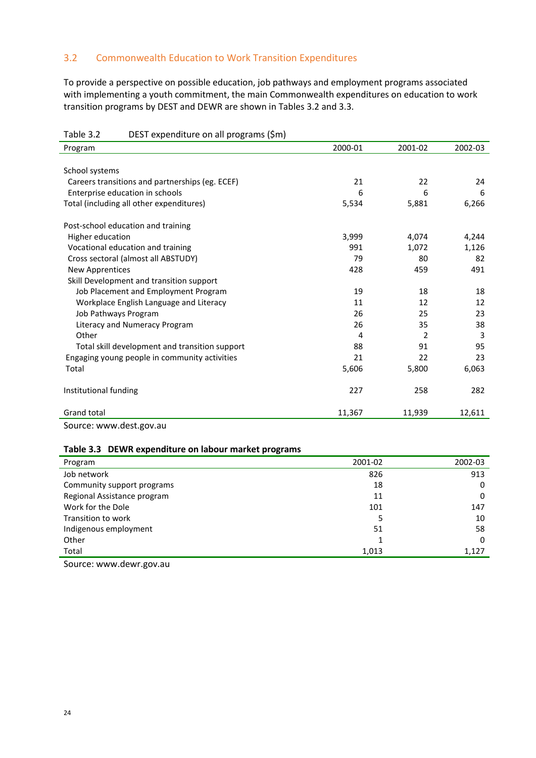#### 3.2 Commonwealth Education to Work Transition Expenditures

To provide a perspective on possible education, job pathways and employment programs associated with implementing a youth commitment, the main Commonwealth expenditures on education to work transition programs by DEST and DEWR are shown in Tables 3.2 and 3.3.

| DEST expenditure on all programs (\$m)<br>Table 3.2 |         |               |         |
|-----------------------------------------------------|---------|---------------|---------|
| Program                                             | 2000-01 | 2001-02       | 2002-03 |
|                                                     |         |               |         |
| School systems                                      |         |               |         |
| Careers transitions and partnerships (eg. ECEF)     | 21      | 22            | 24      |
| Enterprise education in schools                     | 6       | 6             | 6       |
| Total (including all other expenditures)            | 5,534   | 5,881         | 6,266   |
| Post-school education and training                  |         |               |         |
| Higher education                                    | 3,999   | 4,074         | 4,244   |
| Vocational education and training                   | 991     | 1,072         | 1,126   |
| Cross sectoral (almost all ABSTUDY)                 | 79      | 80            | 82      |
| New Apprentices                                     | 428     | 459           | 491     |
| Skill Development and transition support            |         |               |         |
| Job Placement and Employment Program                | 19      | 18            | 18      |
| Workplace English Language and Literacy             | 11      | 12            | 12      |
| Job Pathways Program                                | 26      | 25            | 23      |
| Literacy and Numeracy Program                       | 26      | 35            | 38      |
| Other                                               | 4       | $\mathcal{P}$ | 3       |
| Total skill development and transition support      | 88      | 91            | 95      |
| Engaging young people in community activities       | 21      | 22            | 23      |
| Total                                               | 5,606   | 5,800         | 6,063   |
| Institutional funding                               | 227     | 258           | 282     |
| <b>Grand total</b>                                  | 11,367  | 11,939        | 12,611  |

Source: www.dest.gov.au

#### **Table 3.3 DEWR expenditure on labour market programs**

| Program                     | 2001-02 | 2002-03 |
|-----------------------------|---------|---------|
| Job network                 | 826     | 913     |
| Community support programs  | 18      | 0       |
| Regional Assistance program | 11      | 0       |
| Work for the Dole           | 101     | 147     |
| Transition to work          | 5       | 10      |
| Indigenous employment       | 51      | 58      |
| Other                       |         | 0       |
| Total                       | 1,013   | 1,127   |

Source: www.dewr.gov.au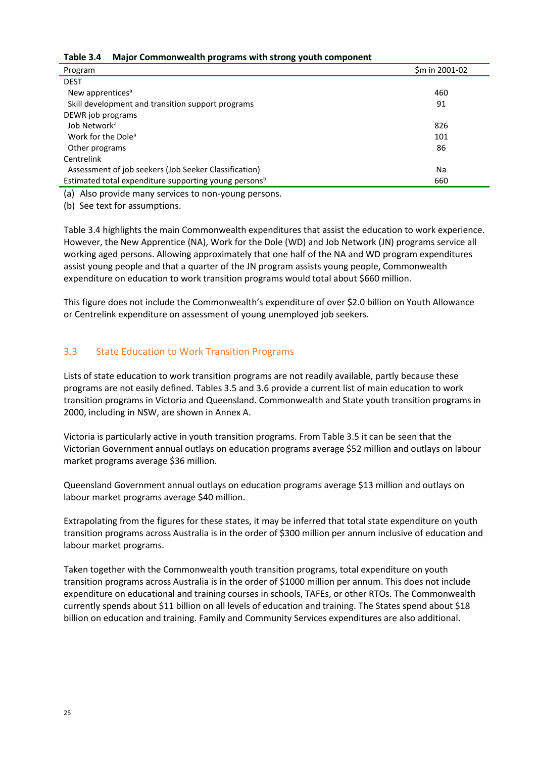|  | Table 3.4 Major Commonwealth programs with strong youth component |
|--|-------------------------------------------------------------------|
|--|-------------------------------------------------------------------|

| Program                                                           | \$m in 2001-02 |
|-------------------------------------------------------------------|----------------|
| <b>DEST</b>                                                       |                |
| New apprentices <sup>a</sup>                                      | 460            |
| Skill development and transition support programs                 | 91             |
| DEWR job programs                                                 |                |
| Job Network <sup>a</sup>                                          | 826            |
| Work for the Dole <sup>a</sup>                                    | 101            |
| Other programs                                                    | 86             |
| Centrelink                                                        |                |
| Assessment of job seekers (Job Seeker Classification)             | Na             |
| Estimated total expenditure supporting young persons <sup>b</sup> | 660            |

(a) Also provide many services to non-young persons.

(b) See text for assumptions.

Table 3.4 highlights the main Commonwealth expenditures that assist the education to work experience. However, the New Apprentice (NA), Work for the Dole (WD) and Job Network (JN) programs service all working aged persons. Allowing approximately that one half of the NA and WD program expenditures assist young people and that a quarter of the JN program assists young people, Commonwealth expenditure on education to work transition programs would total about \$660 million.

This figure does not include the Commonwealth's expenditure of over \$2.0 billion on Youth Allowance or Centrelink expenditure on assessment of young unemployed job seekers.

#### <span id="page-24-0"></span>3.3 State Education to Work Transition Programs

Lists of state education to work transition programs are not readily available, partly because these programs are not easily defined. Tables 3.5 and 3.6 provide a current list of main education to work transition programs in Victoria and Queensland. Commonwealth and State youth transition programs in 2000, including in NSW, are shown in Annex A.

Victoria is particularly active in youth transition programs. From Table 3.5 it can be seen that the Victorian Government annual outlays on education programs average \$52 million and outlays on labour market programs average \$36 million.

Queensland Government annual outlays on education programs average \$13 million and outlays on labour market programs average \$40 million.

Extrapolating from the figures for these states, it may be inferred that total state expenditure on youth transition programs across Australia is in the order of \$300 million per annum inclusive of education and labour market programs.

Taken together with the Commonwealth youth transition programs, total expenditure on youth transition programs across Australia is in the order of \$1000 million per annum. This does not include expenditure on educational and training courses in schools, TAFEs, or other RTOs. The Commonwealth currently spends about \$11 billion on all levels of education and training. The States spend about \$18 billion on education and training. Family and Community Services expenditures are also additional.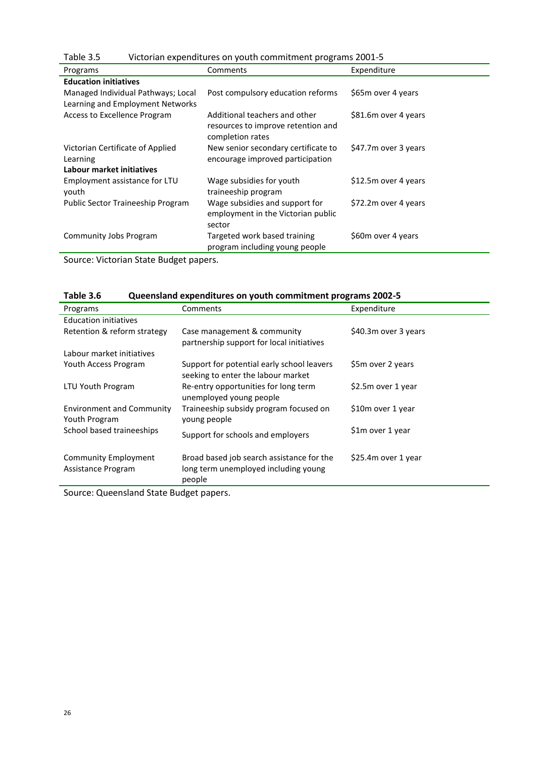| Table 3.5                                                              | Victorian expenditures on youth commitment programs 2001-5                              |                      |  |  |  |  |
|------------------------------------------------------------------------|-----------------------------------------------------------------------------------------|----------------------|--|--|--|--|
| Programs                                                               | Comments                                                                                | Expenditure          |  |  |  |  |
| <b>Education initiatives</b>                                           |                                                                                         |                      |  |  |  |  |
| Managed Individual Pathways; Local<br>Learning and Employment Networks | Post compulsory education reforms                                                       | \$65m over 4 years   |  |  |  |  |
| Access to Excellence Program                                           | Additional teachers and other<br>resources to improve retention and<br>completion rates | \$81.6m over 4 years |  |  |  |  |
| Victorian Certificate of Applied<br>Learning                           | New senior secondary certificate to<br>encourage improved participation                 | \$47.7m over 3 years |  |  |  |  |
| Labour market initiatives                                              |                                                                                         |                      |  |  |  |  |
| Employment assistance for LTU<br>youth                                 | Wage subsidies for youth<br>traineeship program                                         | \$12.5m over 4 years |  |  |  |  |
| Public Sector Traineeship Program                                      | Wage subsidies and support for<br>employment in the Victorian public<br>sector          | \$72.2m over 4 years |  |  |  |  |
| Community Jobs Program                                                 | Targeted work based training<br>program including young people                          | \$60m over 4 years   |  |  |  |  |

Source: Victorian State Budget papers.

| Table 3.6 | Queensland expenditures on youth commitment programs 2002-5 |
|-----------|-------------------------------------------------------------|
|-----------|-------------------------------------------------------------|

| Programs                                          | Comments                                                                                    | Expenditure          |
|---------------------------------------------------|---------------------------------------------------------------------------------------------|----------------------|
| <b>Education initiatives</b>                      |                                                                                             |                      |
| Retention & reform strategy                       | Case management & community<br>partnership support for local initiatives                    | \$40.3m over 3 years |
| Labour market initiatives                         |                                                                                             |                      |
| Youth Access Program                              | Support for potential early school leavers<br>seeking to enter the labour market            | \$5m over 2 years    |
| LTU Youth Program                                 | Re-entry opportunities for long term<br>unemployed young people                             | \$2.5m over 1 year   |
| <b>Environment and Community</b><br>Youth Program | Traineeship subsidy program focused on<br>young people                                      | \$10m over 1 year    |
| School based traineeships                         | Support for schools and employers                                                           | \$1m over 1 year     |
| <b>Community Employment</b><br>Assistance Program | Broad based job search assistance for the<br>long term unemployed including young<br>people | \$25.4m over 1 year  |

Source: Queensland State Budget papers.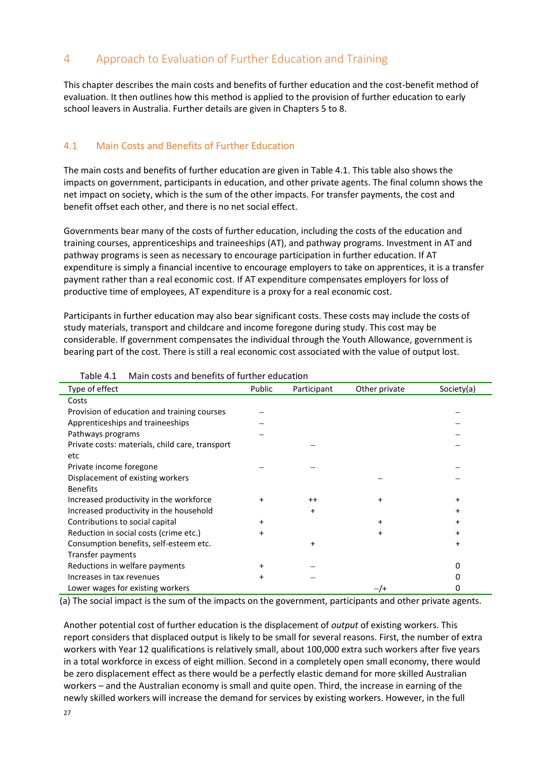# <span id="page-26-0"></span>4 Approach to Evaluation of Further Education and Training

This chapter describes the main costs and benefits of further education and the cost-benefit method of evaluation. It then outlines how this method is applied to the provision of further education to early school leavers in Australia. Further details are given in Chapters 5 to 8.

#### <span id="page-26-1"></span>4.1 Main Costs and Benefits of Further Education

The main costs and benefits of further education are given in Table 4.1. This table also shows the impacts on government, participants in education, and other private agents. The final column shows the net impact on society, which is the sum of the other impacts. For transfer payments, the cost and benefit offset each other, and there is no net social effect.

Governments bear many of the costs of further education, including the costs of the education and training courses, apprenticeships and traineeships (AT), and pathway programs. Investment in AT and pathway programs is seen as necessary to encourage participation in further education. If AT expenditure is simply a financial incentive to encourage employers to take on apprentices, it is a transfer payment rather than a real economic cost. If AT expenditure compensates employers for loss of productive time of employees, AT expenditure is a proxy for a real economic cost.

Participants in further education may also bear significant costs. These costs may include the costs of study materials, transport and childcare and income foregone during study. This cost may be considerable. If government compensates the individual through the Youth Allowance, government is bearing part of the cost. There is still a real economic cost associated with the value of output lost.

| Type of effect                                  | Public    | Participant | Other private | Society(a) |
|-------------------------------------------------|-----------|-------------|---------------|------------|
| Costs                                           |           |             |               |            |
| Provision of education and training courses     |           |             |               |            |
| Apprenticeships and traineeships                |           |             |               |            |
| Pathways programs                               |           |             |               |            |
| Private costs: materials, child care, transport |           |             |               |            |
| etc                                             |           |             |               |            |
| Private income foregone                         |           |             |               |            |
| Displacement of existing workers                |           |             |               |            |
| <b>Benefits</b>                                 |           |             |               |            |
| Increased productivity in the workforce         | $\ddot{}$ | $^{++}$     | +             | +          |
| Increased productivity in the household         |           | $\ddot{}$   |               |            |
| Contributions to social capital                 | $\ddot{}$ |             | +             |            |
| Reduction in social costs (crime etc.)          | $\ddot{}$ |             | +             | +          |
| Consumption benefits, self-esteem etc.          |           | +           |               | +          |
| Transfer payments                               |           |             |               |            |
| Reductions in welfare payments                  | $\ddot{}$ |             |               |            |
| Increases in tax revenues                       | $\ddot{}$ |             |               |            |
| Lower wages for existing workers                |           |             |               |            |

Table 4.1 Main costs and benefits of further education

(a) The social impact is the sum of the impacts on the government, participants and other private agents.

Another potential cost of further education is the displacement of *output* of existing workers. This report considers that displaced output is likely to be small for several reasons. First, the number of extra workers with Year 12 qualifications is relatively small, about 100,000 extra such workers after five years in a total workforce in excess of eight million. Second in a completely open small economy, there would be zero displacement effect as there would be a perfectly elastic demand for more skilled Australian workers – and the Australian economy is small and quite open. Third, the increase in earning of the newly skilled workers will increase the demand for services by existing workers. However, in the full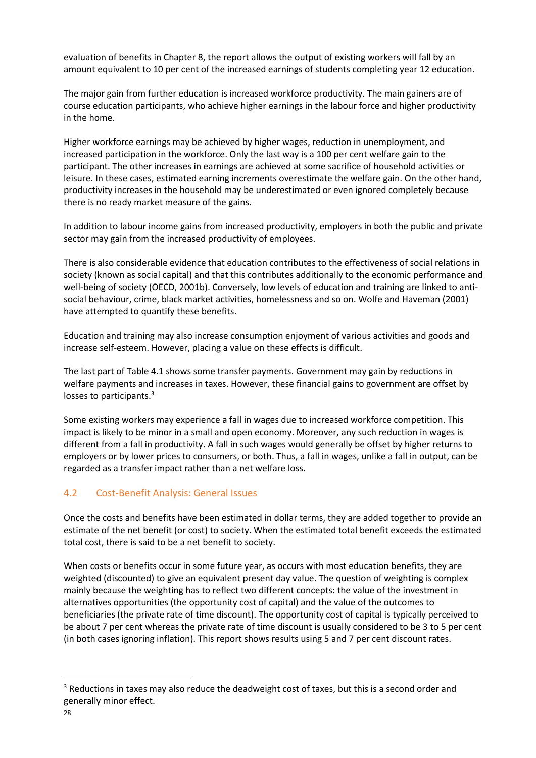evaluation of benefits in Chapter 8, the report allows the output of existing workers will fall by an amount equivalent to 10 per cent of the increased earnings of students completing year 12 education.

The major gain from further education is increased workforce productivity. The main gainers are of course education participants, who achieve higher earnings in the labour force and higher productivity in the home.

Higher workforce earnings may be achieved by higher wages, reduction in unemployment, and increased participation in the workforce. Only the last way is a 100 per cent welfare gain to the participant. The other increases in earnings are achieved at some sacrifice of household activities or leisure. In these cases, estimated earning increments overestimate the welfare gain. On the other hand, productivity increases in the household may be underestimated or even ignored completely because there is no ready market measure of the gains.

In addition to labour income gains from increased productivity, employers in both the public and private sector may gain from the increased productivity of employees.

There is also considerable evidence that education contributes to the effectiveness of social relations in society (known as social capital) and that this contributes additionally to the economic performance and well-being of society (OECD, 2001b). Conversely, low levels of education and training are linked to antisocial behaviour, crime, black market activities, homelessness and so on. Wolfe and Haveman (2001) have attempted to quantify these benefits.

Education and training may also increase consumption enjoyment of various activities and goods and increase self-esteem. However, placing a value on these effects is difficult.

The last part of Table 4.1 shows some transfer payments. Government may gain by reductions in welfare payments and increases in taxes. However, these financial gains to government are offset by losses to participants.<sup>3</sup>

Some existing workers may experience a fall in wages due to increased workforce competition. This impact is likely to be minor in a small and open economy. Moreover, any such reduction in wages is different from a fall in productivity. A fall in such wages would generally be offset by higher returns to employers or by lower prices to consumers, or both. Thus, a fall in wages, unlike a fall in output, can be regarded as a transfer impact rather than a net welfare loss.

#### <span id="page-27-0"></span>4.2 Cost-Benefit Analysis: General Issues

Once the costs and benefits have been estimated in dollar terms, they are added together to provide an estimate of the net benefit (or cost) to society. When the estimated total benefit exceeds the estimated total cost, there is said to be a net benefit to society.

When costs or benefits occur in some future year, as occurs with most education benefits, they are weighted (discounted) to give an equivalent present day value. The question of weighting is complex mainly because the weighting has to reflect two different concepts: the value of the investment in alternatives opportunities (the opportunity cost of capital) and the value of the outcomes to beneficiaries (the private rate of time discount). The opportunity cost of capital is typically perceived to be about 7 per cent whereas the private rate of time discount is usually considered to be 3 to 5 per cent (in both cases ignoring inflation). This report shows results using 5 and 7 per cent discount rates.

**.** 

<sup>&</sup>lt;sup>3</sup> Reductions in taxes may also reduce the deadweight cost of taxes, but this is a second order and generally minor effect.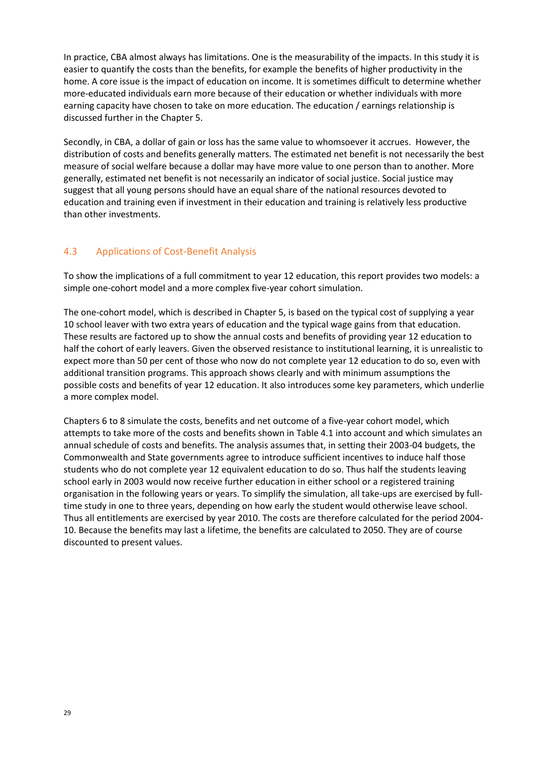In practice, CBA almost always has limitations. One is the measurability of the impacts. In this study it is easier to quantify the costs than the benefits, for example the benefits of higher productivity in the home. A core issue is the impact of education on income. It is sometimes difficult to determine whether more-educated individuals earn more because of their education or whether individuals with more earning capacity have chosen to take on more education. The education / earnings relationship is discussed further in the Chapter 5.

Secondly, in CBA, a dollar of gain or loss has the same value to whomsoever it accrues. However, the distribution of costs and benefits generally matters. The estimated net benefit is not necessarily the best measure of social welfare because a dollar may have more value to one person than to another. More generally, estimated net benefit is not necessarily an indicator of social justice. Social justice may suggest that all young persons should have an equal share of the national resources devoted to education and training even if investment in their education and training is relatively less productive than other investments.

#### <span id="page-28-0"></span>4.3 Applications of Cost-Benefit Analysis

To show the implications of a full commitment to year 12 education, this report provides two models: a simple one-cohort model and a more complex five-year cohort simulation.

The one-cohort model, which is described in Chapter 5, is based on the typical cost of supplying a year 10 school leaver with two extra years of education and the typical wage gains from that education. These results are factored up to show the annual costs and benefits of providing year 12 education to half the cohort of early leavers. Given the observed resistance to institutional learning, it is unrealistic to expect more than 50 per cent of those who now do not complete year 12 education to do so, even with additional transition programs. This approach shows clearly and with minimum assumptions the possible costs and benefits of year 12 education. It also introduces some key parameters, which underlie a more complex model.

Chapters 6 to 8 simulate the costs, benefits and net outcome of a five-year cohort model, which attempts to take more of the costs and benefits shown in Table 4.1 into account and which simulates an annual schedule of costs and benefits. The analysis assumes that, in setting their 2003-04 budgets, the Commonwealth and State governments agree to introduce sufficient incentives to induce half those students who do not complete year 12 equivalent education to do so. Thus half the students leaving school early in 2003 would now receive further education in either school or a registered training organisation in the following years or years. To simplify the simulation, all take-ups are exercised by fulltime study in one to three years, depending on how early the student would otherwise leave school. Thus all entitlements are exercised by year 2010. The costs are therefore calculated for the period 2004- 10. Because the benefits may last a lifetime, the benefits are calculated to 2050. They are of course discounted to present values.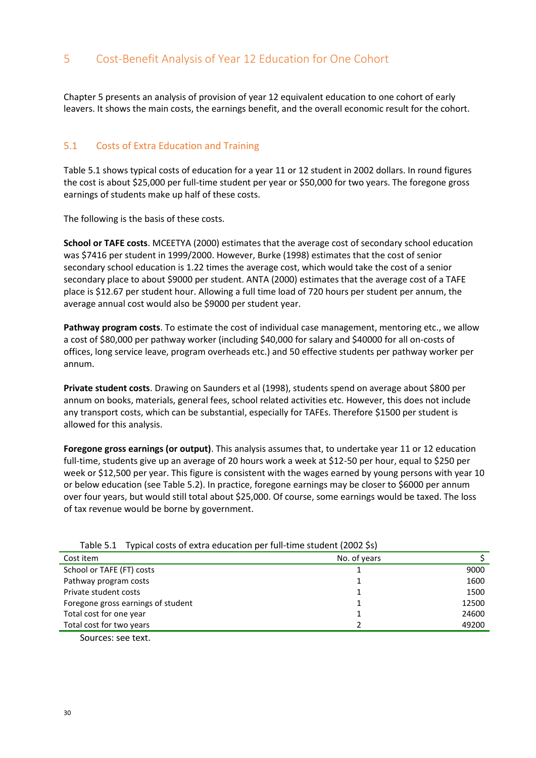# <span id="page-29-0"></span>5 Cost-Benefit Analysis of Year 12 Education for One Cohort

Chapter 5 presents an analysis of provision of year 12 equivalent education to one cohort of early leavers. It shows the main costs, the earnings benefit, and the overall economic result for the cohort.

#### <span id="page-29-1"></span>5.1 Costs of Extra Education and Training

Table 5.1 shows typical costs of education for a year 11 or 12 student in 2002 dollars. In round figures the cost is about \$25,000 per full-time student per year or \$50,000 for two years. The foregone gross earnings of students make up half of these costs.

The following is the basis of these costs.

**School or TAFE costs**. MCEETYA (2000) estimates that the average cost of secondary school education was \$7416 per student in 1999/2000. However, Burke (1998) estimates that the cost of senior secondary school education is 1.22 times the average cost, which would take the cost of a senior secondary place to about \$9000 per student. ANTA (2000) estimates that the average cost of a TAFE place is \$12.67 per student hour. Allowing a full time load of 720 hours per student per annum, the average annual cost would also be \$9000 per student year.

**Pathway program costs**. To estimate the cost of individual case management, mentoring etc., we allow a cost of \$80,000 per pathway worker (including \$40,000 for salary and \$40000 for all on-costs of offices, long service leave, program overheads etc.) and 50 effective students per pathway worker per annum.

**Private student costs**. Drawing on Saunders et al (1998), students spend on average about \$800 per annum on books, materials, general fees, school related activities etc. However, this does not include any transport costs, which can be substantial, especially for TAFEs. Therefore \$1500 per student is allowed for this analysis.

**Foregone gross earnings (or output)**. This analysis assumes that, to undertake year 11 or 12 education full-time, students give up an average of 20 hours work a week at \$12-50 per hour, equal to \$250 per week or \$12,500 per year. This figure is consistent with the wages earned by young persons with year 10 or below education (see Table 5.2). In practice, foregone earnings may be closer to \$6000 per annum over four years, but would still total about \$25,000. Of course, some earnings would be taxed. The loss of tax revenue would be borne by government.

| Cost item                          | No. of years |       |
|------------------------------------|--------------|-------|
| School or TAFE (FT) costs          |              | 9000  |
| Pathway program costs              |              | 1600  |
| Private student costs              |              | 1500  |
| Foregone gross earnings of student |              | 12500 |
| Total cost for one year            |              | 24600 |
| Total cost for two years           |              | 49200 |
|                                    |              |       |

Table 5.1 Typical costs of extra education per full-time student (2002 \$s)

Sources: see text.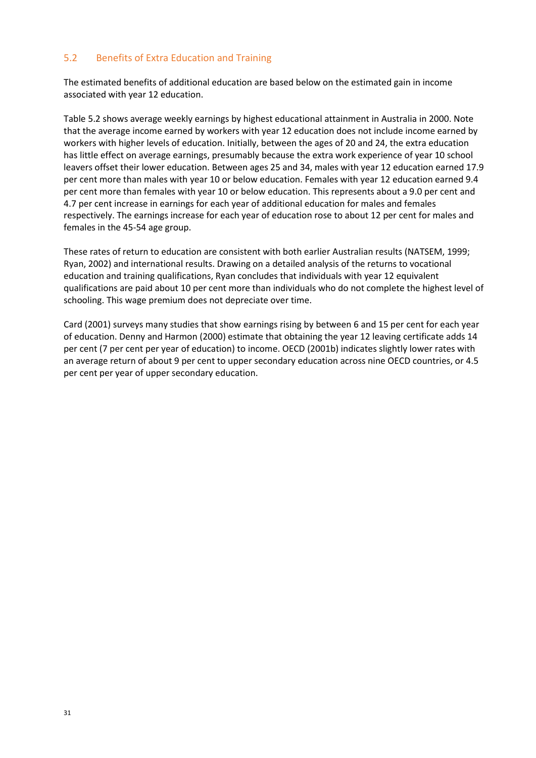#### <span id="page-30-0"></span>5.2 Benefits of Extra Education and Training

The estimated benefits of additional education are based below on the estimated gain in income associated with year 12 education.

Table 5.2 shows average weekly earnings by highest educational attainment in Australia in 2000. Note that the average income earned by workers with year 12 education does not include income earned by workers with higher levels of education. Initially, between the ages of 20 and 24, the extra education has little effect on average earnings, presumably because the extra work experience of year 10 school leavers offset their lower education. Between ages 25 and 34, males with year 12 education earned 17.9 per cent more than males with year 10 or below education. Females with year 12 education earned 9.4 per cent more than females with year 10 or below education. This represents about a 9.0 per cent and 4.7 per cent increase in earnings for each year of additional education for males and females respectively. The earnings increase for each year of education rose to about 12 per cent for males and females in the 45-54 age group.

These rates of return to education are consistent with both earlier Australian results (NATSEM, 1999; Ryan, 2002) and international results. Drawing on a detailed analysis of the returns to vocational education and training qualifications, Ryan concludes that individuals with year 12 equivalent qualifications are paid about 10 per cent more than individuals who do not complete the highest level of schooling. This wage premium does not depreciate over time.

Card (2001) surveys many studies that show earnings rising by between 6 and 15 per cent for each year of education. Denny and Harmon (2000) estimate that obtaining the year 12 leaving certificate adds 14 per cent (7 per cent per year of education) to income. OECD (2001b) indicates slightly lower rates with an average return of about 9 per cent to upper secondary education across nine OECD countries, or 4.5 per cent per year of upper secondary education.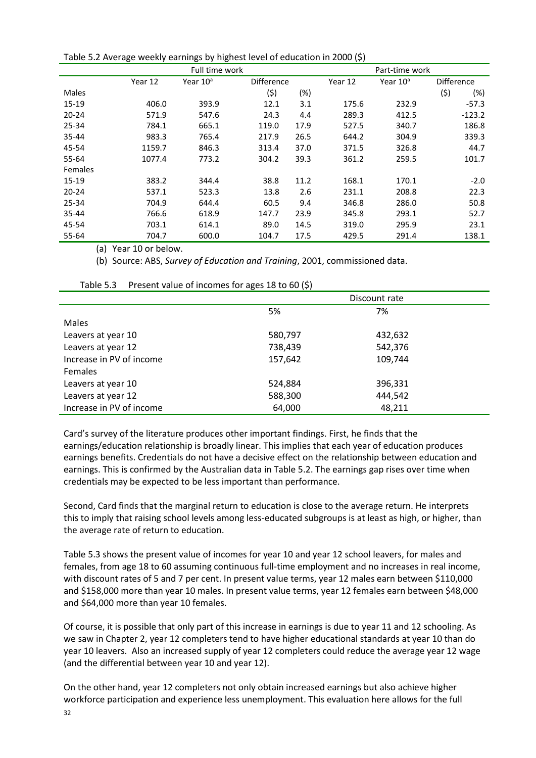|           | ັ              | ັ                    |                   |      | $\cdots$       |                      |                   |          |
|-----------|----------------|----------------------|-------------------|------|----------------|----------------------|-------------------|----------|
|           | Full time work |                      |                   |      | Part-time work |                      |                   |          |
|           | Year 12        | Year 10 <sup>a</sup> | <b>Difference</b> |      | Year 12        | Year 10 <sup>a</sup> | <b>Difference</b> |          |
| Males     |                |                      | (\$)              | (%)  |                |                      | (5)               | $(\%)$   |
| 15-19     | 406.0          | 393.9                | 12.1              | 3.1  | 175.6          | 232.9                |                   | $-57.3$  |
| $20 - 24$ | 571.9          | 547.6                | 24.3              | 4.4  | 289.3          | 412.5                |                   | $-123.2$ |
| 25-34     | 784.1          | 665.1                | 119.0             | 17.9 | 527.5          | 340.7                |                   | 186.8    |
| $35 - 44$ | 983.3          | 765.4                | 217.9             | 26.5 | 644.2          | 304.9                |                   | 339.3    |
| 45-54     | 1159.7         | 846.3                | 313.4             | 37.0 | 371.5          | 326.8                |                   | 44.7     |
| 55-64     | 1077.4         | 773.2                | 304.2             | 39.3 | 361.2          | 259.5                |                   | 101.7    |
| Females   |                |                      |                   |      |                |                      |                   |          |
| 15-19     | 383.2          | 344.4                | 38.8              | 11.2 | 168.1          | 170.1                |                   | $-2.0$   |
| $20 - 24$ | 537.1          | 523.3                | 13.8              | 2.6  | 231.1          | 208.8                |                   | 22.3     |
| 25-34     | 704.9          | 644.4                | 60.5              | 9.4  | 346.8          | 286.0                |                   | 50.8     |
| 35-44     | 766.6          | 618.9                | 147.7             | 23.9 | 345.8          | 293.1                |                   | 52.7     |
| 45-54     | 703.1          | 614.1                | 89.0              | 14.5 | 319.0          | 295.9                |                   | 23.1     |
| 55-64     | 704.7          | 600.0                | 104.7             | 17.5 | 429.5          | 291.4                |                   | 138.1    |

Table 5.2 Average weekly earnings by highest level of education in 2000 (\$)

(a) Year 10 or below.

(b) Source: ABS, *Survey of Education and Training*, 2001, commissioned data.

|                          |         | Discount rate |  |
|--------------------------|---------|---------------|--|
|                          | 5%      | 7%            |  |
| Males                    |         |               |  |
| Leavers at year 10       | 580,797 | 432,632       |  |
| Leavers at year 12       | 738,439 | 542,376       |  |
| Increase in PV of income | 157,642 | 109,744       |  |
| <b>Females</b>           |         |               |  |
| Leavers at year 10       | 524,884 | 396,331       |  |
| Leavers at year 12       | 588,300 | 444,542       |  |
| Increase in PV of income | 64,000  | 48,211        |  |

Table 5.3 Present value of incomes for ages 18 to 60 (\$)

Card's survey of the literature produces other important findings. First, he finds that the earnings/education relationship is broadly linear. This implies that each year of education produces earnings benefits. Credentials do not have a decisive effect on the relationship between education and earnings. This is confirmed by the Australian data in Table 5.2. The earnings gap rises over time when credentials may be expected to be less important than performance.

Second, Card finds that the marginal return to education is close to the average return. He interprets this to imply that raising school levels among less-educated subgroups is at least as high, or higher, than the average rate of return to education.

Table 5.3 shows the present value of incomes for year 10 and year 12 school leavers, for males and females, from age 18 to 60 assuming continuous full-time employment and no increases in real income, with discount rates of 5 and 7 per cent. In present value terms, year 12 males earn between \$110,000 and \$158,000 more than year 10 males. In present value terms, year 12 females earn between \$48,000 and \$64,000 more than year 10 females.

Of course, it is possible that only part of this increase in earnings is due to year 11 and 12 schooling. As we saw in Chapter 2, year 12 completers tend to have higher educational standards at year 10 than do year 10 leavers. Also an increased supply of year 12 completers could reduce the average year 12 wage (and the differential between year 10 and year 12).

On the other hand, year 12 completers not only obtain increased earnings but also achieve higher workforce participation and experience less unemployment. This evaluation here allows for the full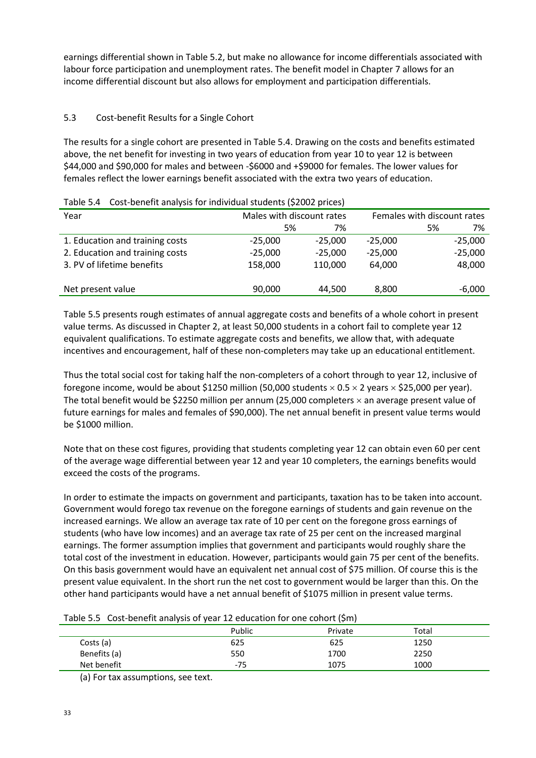earnings differential shown in Table 5.2, but make no allowance for income differentials associated with labour force participation and unemployment rates. The benefit model in Chapter 7 allows for an income differential discount but also allows for employment and participation differentials.

#### 5.3 Cost-benefit Results for a Single Cohort

The results for a single cohort are presented in Table 5.4. Drawing on the costs and benefits estimated above, the net benefit for investing in two years of education from year 10 to year 12 is between \$44,000 and \$90,000 for males and between -\$6000 and +\$9000 for females. The lower values for females reflect the lower earnings benefit associated with the extra two years of education.

| Table 5.4 - Cost benefit analysis for individual students (92002 prices) |                           |           |                             |    |           |
|--------------------------------------------------------------------------|---------------------------|-----------|-----------------------------|----|-----------|
| Year                                                                     | Males with discount rates |           | Females with discount rates |    |           |
|                                                                          | 5%                        | 7%        |                             | 5% | 7%        |
| 1. Education and training costs                                          | $-25,000$                 | $-25.000$ | $-25,000$                   |    | $-25,000$ |
| 2. Education and training costs                                          | $-25.000$                 | $-25.000$ | $-25,000$                   |    | $-25,000$ |
| 3. PV of lifetime benefits                                               | 158,000                   | 110,000   | 64.000                      |    | 48,000    |
|                                                                          |                           |           |                             |    |           |
| Net present value                                                        | 90,000                    | 44.500    | 8,800                       |    | $-6,000$  |

Table 5.4 Cost-benefit analysis for individual students (\$2002 prices)

Table 5.5 presents rough estimates of annual aggregate costs and benefits of a whole cohort in present value terms. As discussed in Chapter 2, at least 50,000 students in a cohort fail to complete year 12 equivalent qualifications. To estimate aggregate costs and benefits, we allow that, with adequate incentives and encouragement, half of these non-completers may take up an educational entitlement.

Thus the total social cost for taking half the non-completers of a cohort through to year 12, inclusive of foregone income, would be about \$1250 million (50,000 students  $\times$  0.5  $\times$  2 years  $\times$  \$25,000 per year). The total benefit would be \$2250 million per annum (25,000 completers  $\times$  an average present value of future earnings for males and females of \$90,000). The net annual benefit in present value terms would be \$1000 million.

Note that on these cost figures, providing that students completing year 12 can obtain even 60 per cent of the average wage differential between year 12 and year 10 completers, the earnings benefits would exceed the costs of the programs.

In order to estimate the impacts on government and participants, taxation has to be taken into account. Government would forego tax revenue on the foregone earnings of students and gain revenue on the increased earnings. We allow an average tax rate of 10 per cent on the foregone gross earnings of students (who have low incomes) and an average tax rate of 25 per cent on the increased marginal earnings. The former assumption implies that government and participants would roughly share the total cost of the investment in education. However, participants would gain 75 per cent of the benefits. On this basis government would have an equivalent net annual cost of \$75 million. Of course this is the present value equivalent. In the short run the net cost to government would be larger than this. On the other hand participants would have a net annual benefit of \$1075 million in present value terms.

|              | Public | Private | Total |  |
|--------------|--------|---------|-------|--|
| Costs (a)    | 625    | 625     | 1250  |  |
| Benefits (a) | 550    | 1700    | 2250  |  |
| Net benefit  | $-75$  | 1075    | 1000  |  |

(a) For tax assumptions, see text.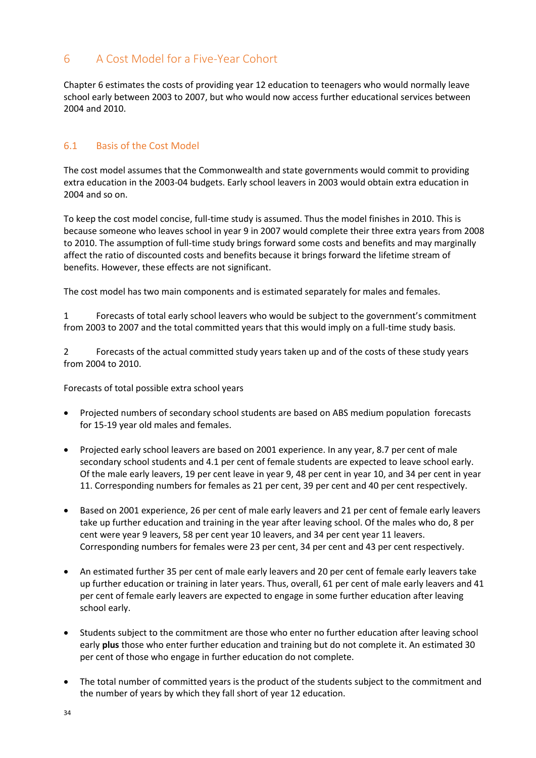# <span id="page-33-0"></span>6 A Cost Model for a Five-Year Cohort

Chapter 6 estimates the costs of providing year 12 education to teenagers who would normally leave school early between 2003 to 2007, but who would now access further educational services between 2004 and 2010.

#### <span id="page-33-1"></span>6.1 Basis of the Cost Model

The cost model assumes that the Commonwealth and state governments would commit to providing extra education in the 2003-04 budgets. Early school leavers in 2003 would obtain extra education in 2004 and so on.

To keep the cost model concise, full-time study is assumed. Thus the model finishes in 2010. This is because someone who leaves school in year 9 in 2007 would complete their three extra years from 2008 to 2010. The assumption of full-time study brings forward some costs and benefits and may marginally affect the ratio of discounted costs and benefits because it brings forward the lifetime stream of benefits. However, these effects are not significant.

The cost model has two main components and is estimated separately for males and females.

1 Forecasts of total early school leavers who would be subject to the government's commitment from 2003 to 2007 and the total committed years that this would imply on a full-time study basis.

2 Forecasts of the actual committed study years taken up and of the costs of these study years from 2004 to 2010.

Forecasts of total possible extra school years

- Projected numbers of secondary school students are based on ABS medium population forecasts for 15-19 year old males and females.
- Projected early school leavers are based on 2001 experience. In any year, 8.7 per cent of male secondary school students and 4.1 per cent of female students are expected to leave school early. Of the male early leavers, 19 per cent leave in year 9, 48 per cent in year 10, and 34 per cent in year 11. Corresponding numbers for females as 21 per cent, 39 per cent and 40 per cent respectively.
- Based on 2001 experience, 26 per cent of male early leavers and 21 per cent of female early leavers take up further education and training in the year after leaving school. Of the males who do, 8 per cent were year 9 leavers, 58 per cent year 10 leavers, and 34 per cent year 11 leavers. Corresponding numbers for females were 23 per cent, 34 per cent and 43 per cent respectively.
- An estimated further 35 per cent of male early leavers and 20 per cent of female early leavers take up further education or training in later years. Thus, overall, 61 per cent of male early leavers and 41 per cent of female early leavers are expected to engage in some further education after leaving school early.
- Students subject to the commitment are those who enter no further education after leaving school early **plus** those who enter further education and training but do not complete it. An estimated 30 per cent of those who engage in further education do not complete.
- The total number of committed years is the product of the students subject to the commitment and the number of years by which they fall short of year 12 education.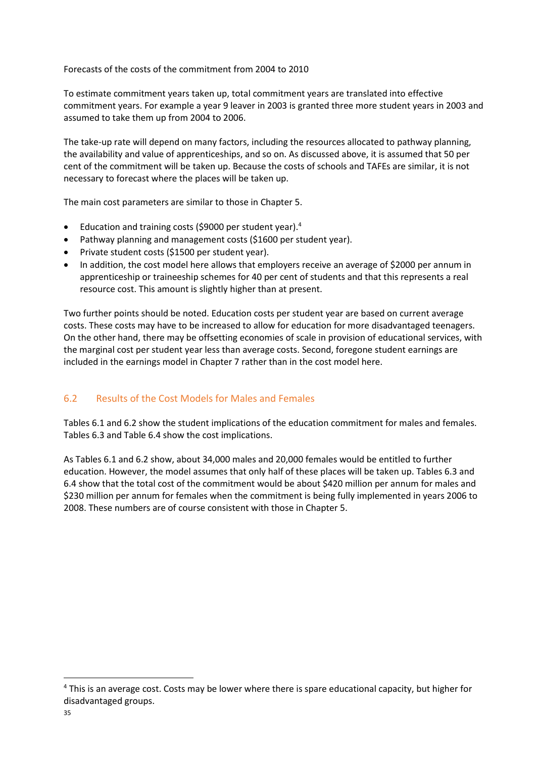Forecasts of the costs of the commitment from 2004 to 2010

To estimate commitment years taken up, total commitment years are translated into effective commitment years. For example a year 9 leaver in 2003 is granted three more student years in 2003 and assumed to take them up from 2004 to 2006.

The take-up rate will depend on many factors, including the resources allocated to pathway planning, the availability and value of apprenticeships, and so on. As discussed above, it is assumed that 50 per cent of the commitment will be taken up. Because the costs of schools and TAFEs are similar, it is not necessary to forecast where the places will be taken up.

The main cost parameters are similar to those in Chapter 5.

- Education and training costs (\$9000 per student year).<sup>4</sup>
- Pathway planning and management costs (\$1600 per student year).
- Private student costs (\$1500 per student year).
- In addition, the cost model here allows that employers receive an average of \$2000 per annum in apprenticeship or traineeship schemes for 40 per cent of students and that this represents a real resource cost. This amount is slightly higher than at present.

Two further points should be noted. Education costs per student year are based on current average costs. These costs may have to be increased to allow for education for more disadvantaged teenagers. On the other hand, there may be offsetting economies of scale in provision of educational services, with the marginal cost per student year less than average costs. Second, foregone student earnings are included in the earnings model in Chapter 7 rather than in the cost model here.

#### <span id="page-34-0"></span>6.2 Results of the Cost Models for Males and Females

Tables 6.1 and 6.2 show the student implications of the education commitment for males and females. Tables 6.3 and Table 6.4 show the cost implications.

As Tables 6.1 and 6.2 show, about 34,000 males and 20,000 females would be entitled to further education. However, the model assumes that only half of these places will be taken up. Tables 6.3 and 6.4 show that the total cost of the commitment would be about \$420 million per annum for males and \$230 million per annum for females when the commitment is being fully implemented in years 2006 to 2008. These numbers are of course consistent with those in Chapter 5.

**.** 

<sup>&</sup>lt;sup>4</sup> This is an average cost. Costs may be lower where there is spare educational capacity, but higher for disadvantaged groups.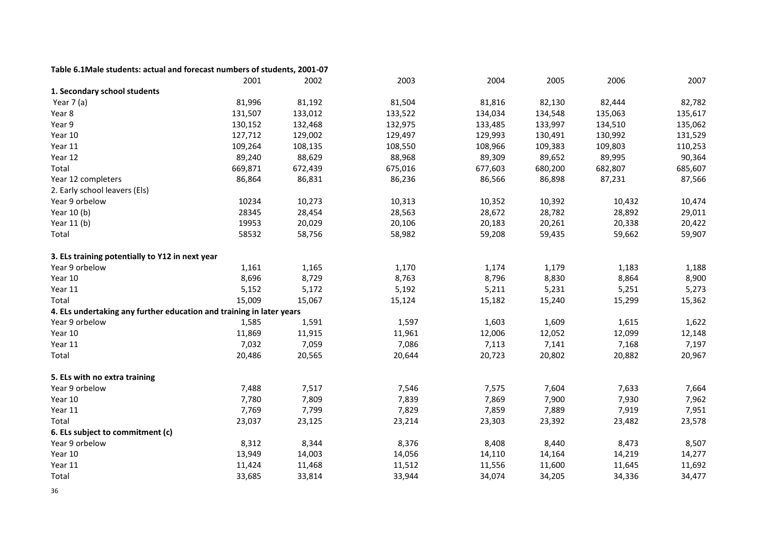#### **Table 6.1Male students: actual and forecast numbers of students, 2001-07**

|                                                                      | 2001    | 2002    | 2003    | 2004    | 2005    | 2006    | 2007    |
|----------------------------------------------------------------------|---------|---------|---------|---------|---------|---------|---------|
| 1. Secondary school students                                         |         |         |         |         |         |         |         |
| Year 7 (a)                                                           | 81,996  | 81,192  | 81,504  | 81,816  | 82,130  | 82,444  | 82,782  |
| Year 8                                                               | 131,507 | 133,012 | 133,522 | 134,034 | 134,548 | 135,063 | 135,617 |
| Year 9                                                               | 130,152 | 132,468 | 132,975 | 133,485 | 133,997 | 134,510 | 135,062 |
| Year 10                                                              | 127,712 | 129,002 | 129,497 | 129,993 | 130,491 | 130,992 | 131,529 |
| Year 11                                                              | 109,264 | 108,135 | 108,550 | 108,966 | 109,383 | 109,803 | 110,253 |
| Year 12                                                              | 89,240  | 88,629  | 88,968  | 89,309  | 89,652  | 89,995  | 90,364  |
| Total                                                                | 669,871 | 672,439 | 675,016 | 677,603 | 680,200 | 682,807 | 685,607 |
| Year 12 completers                                                   | 86,864  | 86,831  | 86,236  | 86,566  | 86,898  | 87,231  | 87,566  |
| 2. Early school leavers (Els)                                        |         |         |         |         |         |         |         |
| Year 9 orbelow                                                       | 10234   | 10,273  | 10,313  | 10,352  | 10,392  | 10,432  | 10,474  |
| Year 10 (b)                                                          | 28345   | 28,454  | 28,563  | 28,672  | 28,782  | 28,892  | 29,011  |
| Year 11 (b)                                                          | 19953   | 20,029  | 20,106  | 20,183  | 20,261  | 20,338  | 20,422  |
| Total                                                                | 58532   | 58,756  | 58,982  | 59,208  | 59,435  | 59,662  | 59,907  |
| 3. ELs training potentially to Y12 in next year                      |         |         |         |         |         |         |         |
| Year 9 orbelow                                                       | 1,161   | 1,165   | 1,170   | 1,174   | 1,179   | 1,183   | 1,188   |
| Year 10                                                              | 8,696   | 8,729   | 8,763   | 8,796   | 8,830   | 8,864   | 8,900   |
| Year 11                                                              | 5,152   | 5,172   | 5,192   | 5,211   | 5,231   | 5,251   | 5,273   |
| Total                                                                | 15,009  | 15,067  | 15,124  | 15,182  | 15,240  | 15,299  | 15,362  |
| 4. ELs undertaking any further education and training in later years |         |         |         |         |         |         |         |
| Year 9 orbelow                                                       | 1,585   | 1,591   | 1,597   | 1,603   | 1,609   | 1,615   | 1,622   |
| Year 10                                                              | 11,869  | 11,915  | 11,961  | 12,006  | 12,052  | 12,099  | 12,148  |
| Year 11                                                              | 7,032   | 7,059   | 7,086   | 7,113   | 7,141   | 7,168   | 7,197   |
| Total                                                                | 20,486  | 20,565  | 20,644  | 20,723  | 20,802  | 20,882  | 20,967  |
| 5. ELs with no extra training                                        |         |         |         |         |         |         |         |
| Year 9 orbelow                                                       | 7,488   | 7,517   | 7,546   | 7,575   | 7,604   | 7,633   | 7,664   |
| Year 10                                                              | 7,780   | 7,809   | 7,839   | 7,869   | 7,900   | 7,930   | 7,962   |
| Year 11                                                              | 7,769   | 7,799   | 7,829   | 7,859   | 7,889   | 7,919   | 7,951   |
| Total                                                                | 23,037  | 23,125  | 23,214  | 23,303  | 23,392  | 23,482  | 23,578  |
| 6. ELs subject to commitment (c)                                     |         |         |         |         |         |         |         |
| Year 9 orbelow                                                       | 8,312   | 8,344   | 8,376   | 8,408   | 8,440   | 8,473   | 8,507   |
| Year 10                                                              | 13,949  | 14,003  | 14,056  | 14,110  | 14,164  | 14,219  | 14,277  |
| Year 11                                                              | 11,424  | 11,468  | 11,512  | 11,556  | 11,600  | 11,645  | 11,692  |
| Total                                                                | 33,685  | 33,814  | 33,944  | 34,074  | 34,205  | 34,336  | 34,477  |

36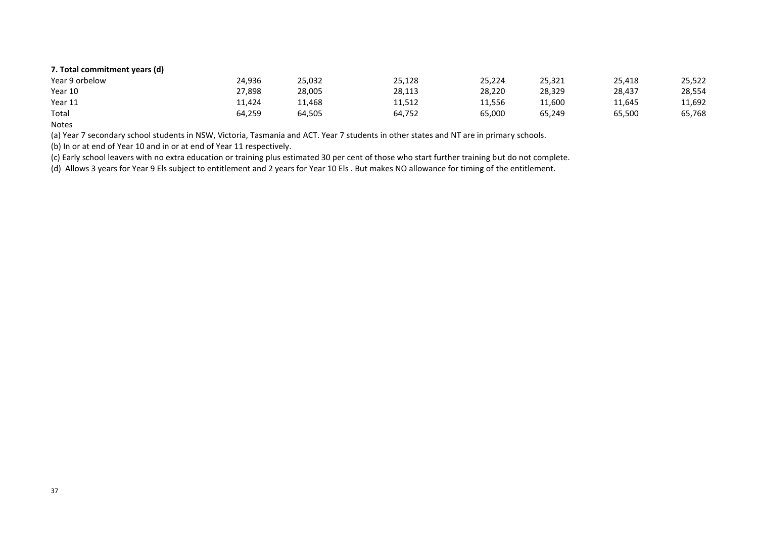#### **7. Total commitment years (d)**

| .              |        |        |        |        |        |        |        |
|----------------|--------|--------|--------|--------|--------|--------|--------|
| Year 9 orbelow | 24,936 | 25,032 | 25,128 | 25,224 | 25,321 | 25,418 | 25,522 |
| Year 10        | 27,898 | 28,005 | 28,113 | 28,220 | 28,329 | 28.437 | 28,554 |
| Year 11        | 11,424 | 11,468 | 11,512 | 11,556 | 11,600 | 11,645 | 11,692 |
| Total          | 64,259 | 64.505 | 64,752 | 65,000 | 65,249 | 65.500 | 65,768 |

Notes

(a) Year 7 secondary school students in NSW, Victoria, Tasmania and ACT. Year 7 students in other states and NT are in primary schools.

(b) In or at end of Year 10 and in or at end of Year 11 respectively.

(c) Early school leavers with no extra education or training plus estimated 30 per cent of those who start further training but do not complete.

(d) Allows 3 years for Year 9 Els subject to entitlement and 2 years for Year 10 Els . But makes NO allowance for timing of the entitlement.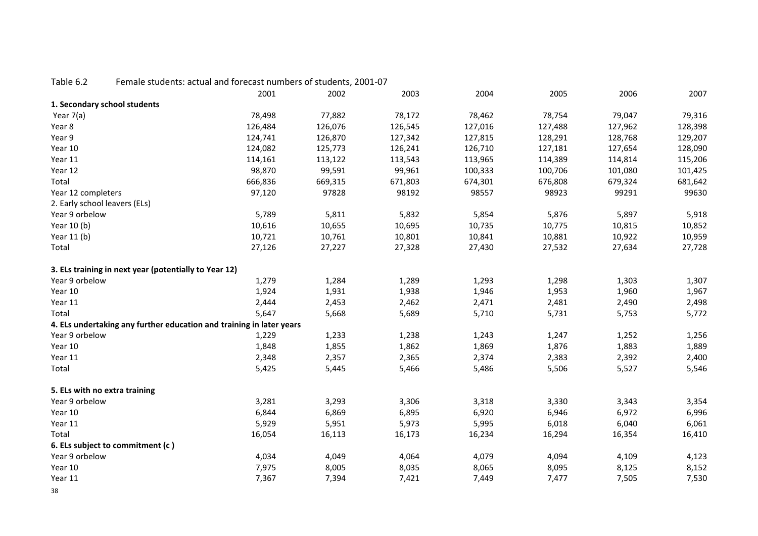# Table 6.2 Female students: actual and forecast numbers of students, 2001-07

| 1. Secondary school students<br>77,882<br>78,172<br>78,754<br>79,047<br>Year 7(a)<br>78,498<br>78,462<br>79,316<br>126,484<br>Year 8<br>126,076<br>126,545<br>127,016<br>127,488<br>127,962<br>128,398<br>Year 9<br>124,741<br>126,870<br>127,342<br>127,815<br>128,291<br>128,768<br>129,207<br>Year 10<br>124,082<br>127,181<br>125,773<br>126,241<br>126,710<br>127,654<br>128,090<br>Year 11<br>114,161<br>113,965<br>114,389<br>115,206<br>113,122<br>113,543<br>114,814<br>Year 12<br>98,870<br>99,591<br>99,961<br>100,333<br>100,706<br>101,425<br>101,080<br>Total<br>666,836<br>669,315<br>671,803<br>674,301<br>676,808<br>679,324<br>681,642<br>97,120<br>97828<br>98557<br>98923<br>Year 12 completers<br>98192<br>99291<br>99630<br>2. Early school leavers (ELs)<br>Year 9 orbelow<br>5,789<br>5,811<br>5,832<br>5,854<br>5,876<br>5,897<br>5,918<br>10,616<br>10,655<br>10,775<br>Year 10 (b)<br>10,695<br>10,735<br>10,815<br>10,852<br>10,721<br>10,761<br>10,801<br>10,881<br>10,922<br>Year 11 (b)<br>10,841<br>10,959<br>Total<br>27,126<br>27,227<br>27,328<br>27,532<br>27,634<br>27,430<br>27,728<br>3. ELs training in next year (potentially to Year 12) |
|------------------------------------------------------------------------------------------------------------------------------------------------------------------------------------------------------------------------------------------------------------------------------------------------------------------------------------------------------------------------------------------------------------------------------------------------------------------------------------------------------------------------------------------------------------------------------------------------------------------------------------------------------------------------------------------------------------------------------------------------------------------------------------------------------------------------------------------------------------------------------------------------------------------------------------------------------------------------------------------------------------------------------------------------------------------------------------------------------------------------------------------------------------------------------------|
|                                                                                                                                                                                                                                                                                                                                                                                                                                                                                                                                                                                                                                                                                                                                                                                                                                                                                                                                                                                                                                                                                                                                                                                    |
|                                                                                                                                                                                                                                                                                                                                                                                                                                                                                                                                                                                                                                                                                                                                                                                                                                                                                                                                                                                                                                                                                                                                                                                    |
|                                                                                                                                                                                                                                                                                                                                                                                                                                                                                                                                                                                                                                                                                                                                                                                                                                                                                                                                                                                                                                                                                                                                                                                    |
|                                                                                                                                                                                                                                                                                                                                                                                                                                                                                                                                                                                                                                                                                                                                                                                                                                                                                                                                                                                                                                                                                                                                                                                    |
|                                                                                                                                                                                                                                                                                                                                                                                                                                                                                                                                                                                                                                                                                                                                                                                                                                                                                                                                                                                                                                                                                                                                                                                    |
|                                                                                                                                                                                                                                                                                                                                                                                                                                                                                                                                                                                                                                                                                                                                                                                                                                                                                                                                                                                                                                                                                                                                                                                    |
|                                                                                                                                                                                                                                                                                                                                                                                                                                                                                                                                                                                                                                                                                                                                                                                                                                                                                                                                                                                                                                                                                                                                                                                    |
|                                                                                                                                                                                                                                                                                                                                                                                                                                                                                                                                                                                                                                                                                                                                                                                                                                                                                                                                                                                                                                                                                                                                                                                    |
|                                                                                                                                                                                                                                                                                                                                                                                                                                                                                                                                                                                                                                                                                                                                                                                                                                                                                                                                                                                                                                                                                                                                                                                    |
|                                                                                                                                                                                                                                                                                                                                                                                                                                                                                                                                                                                                                                                                                                                                                                                                                                                                                                                                                                                                                                                                                                                                                                                    |
|                                                                                                                                                                                                                                                                                                                                                                                                                                                                                                                                                                                                                                                                                                                                                                                                                                                                                                                                                                                                                                                                                                                                                                                    |
|                                                                                                                                                                                                                                                                                                                                                                                                                                                                                                                                                                                                                                                                                                                                                                                                                                                                                                                                                                                                                                                                                                                                                                                    |
|                                                                                                                                                                                                                                                                                                                                                                                                                                                                                                                                                                                                                                                                                                                                                                                                                                                                                                                                                                                                                                                                                                                                                                                    |
|                                                                                                                                                                                                                                                                                                                                                                                                                                                                                                                                                                                                                                                                                                                                                                                                                                                                                                                                                                                                                                                                                                                                                                                    |
|                                                                                                                                                                                                                                                                                                                                                                                                                                                                                                                                                                                                                                                                                                                                                                                                                                                                                                                                                                                                                                                                                                                                                                                    |
| Year 9 orbelow<br>1,284<br>1,293<br>1,298<br>1,303<br>1,279<br>1,289<br>1,307                                                                                                                                                                                                                                                                                                                                                                                                                                                                                                                                                                                                                                                                                                                                                                                                                                                                                                                                                                                                                                                                                                      |
| 1,924<br>1,931<br>1,946<br>1,953<br>1,960<br>Year 10<br>1,938<br>1,967                                                                                                                                                                                                                                                                                                                                                                                                                                                                                                                                                                                                                                                                                                                                                                                                                                                                                                                                                                                                                                                                                                             |
| 2,471<br>2,490<br>Year 11<br>2,444<br>2,453<br>2,462<br>2,481<br>2,498                                                                                                                                                                                                                                                                                                                                                                                                                                                                                                                                                                                                                                                                                                                                                                                                                                                                                                                                                                                                                                                                                                             |
| Total<br>5,647<br>5,668<br>5,710<br>5,731<br>5,753<br>5,772<br>5,689                                                                                                                                                                                                                                                                                                                                                                                                                                                                                                                                                                                                                                                                                                                                                                                                                                                                                                                                                                                                                                                                                                               |
| 4. ELs undertaking any further education and training in later years                                                                                                                                                                                                                                                                                                                                                                                                                                                                                                                                                                                                                                                                                                                                                                                                                                                                                                                                                                                                                                                                                                               |
| Year 9 orbelow<br>1,229<br>1,243<br>1,247<br>1,252<br>1,233<br>1,238<br>1,256                                                                                                                                                                                                                                                                                                                                                                                                                                                                                                                                                                                                                                                                                                                                                                                                                                                                                                                                                                                                                                                                                                      |
| 1,869<br>1,876<br>1,883<br>Year 10<br>1,848<br>1,855<br>1,862<br>1,889                                                                                                                                                                                                                                                                                                                                                                                                                                                                                                                                                                                                                                                                                                                                                                                                                                                                                                                                                                                                                                                                                                             |
| 2,374<br>2,383<br>2,392<br>Year 11<br>2,348<br>2,357<br>2,365<br>2,400                                                                                                                                                                                                                                                                                                                                                                                                                                                                                                                                                                                                                                                                                                                                                                                                                                                                                                                                                                                                                                                                                                             |
| Total<br>5,425<br>5,466<br>5,486<br>5,506<br>5,527<br>5,546<br>5,445                                                                                                                                                                                                                                                                                                                                                                                                                                                                                                                                                                                                                                                                                                                                                                                                                                                                                                                                                                                                                                                                                                               |
| 5. ELs with no extra training                                                                                                                                                                                                                                                                                                                                                                                                                                                                                                                                                                                                                                                                                                                                                                                                                                                                                                                                                                                                                                                                                                                                                      |
| Year 9 orbelow<br>3,281<br>3,293<br>3,318<br>3,330<br>3,343<br>3,306<br>3,354                                                                                                                                                                                                                                                                                                                                                                                                                                                                                                                                                                                                                                                                                                                                                                                                                                                                                                                                                                                                                                                                                                      |
| 6,920<br>6,946<br>6,972<br>Year 10<br>6,844<br>6,869<br>6,895<br>6,996                                                                                                                                                                                                                                                                                                                                                                                                                                                                                                                                                                                                                                                                                                                                                                                                                                                                                                                                                                                                                                                                                                             |
| 5,929<br>5,951<br>5,995<br>6,018<br>6,040<br>Year 11<br>5,973<br>6,061                                                                                                                                                                                                                                                                                                                                                                                                                                                                                                                                                                                                                                                                                                                                                                                                                                                                                                                                                                                                                                                                                                             |
| Total<br>16,054<br>16,113<br>16,173<br>16,234<br>16,294<br>16,354<br>16,410                                                                                                                                                                                                                                                                                                                                                                                                                                                                                                                                                                                                                                                                                                                                                                                                                                                                                                                                                                                                                                                                                                        |
| 6. ELs subject to commitment (c)                                                                                                                                                                                                                                                                                                                                                                                                                                                                                                                                                                                                                                                                                                                                                                                                                                                                                                                                                                                                                                                                                                                                                   |
| Year 9 orbelow<br>4,034<br>4,049<br>4,064<br>4,079<br>4,094<br>4,109<br>4,123                                                                                                                                                                                                                                                                                                                                                                                                                                                                                                                                                                                                                                                                                                                                                                                                                                                                                                                                                                                                                                                                                                      |
| 7,975<br>8,065<br>8,095<br>8,125<br>Year 10<br>8,005<br>8,035<br>8,152                                                                                                                                                                                                                                                                                                                                                                                                                                                                                                                                                                                                                                                                                                                                                                                                                                                                                                                                                                                                                                                                                                             |
| Year 11<br>7,505<br>7,367<br>7,394<br>7,421<br>7,449<br>7,477<br>7,530                                                                                                                                                                                                                                                                                                                                                                                                                                                                                                                                                                                                                                                                                                                                                                                                                                                                                                                                                                                                                                                                                                             |
| 38                                                                                                                                                                                                                                                                                                                                                                                                                                                                                                                                                                                                                                                                                                                                                                                                                                                                                                                                                                                                                                                                                                                                                                                 |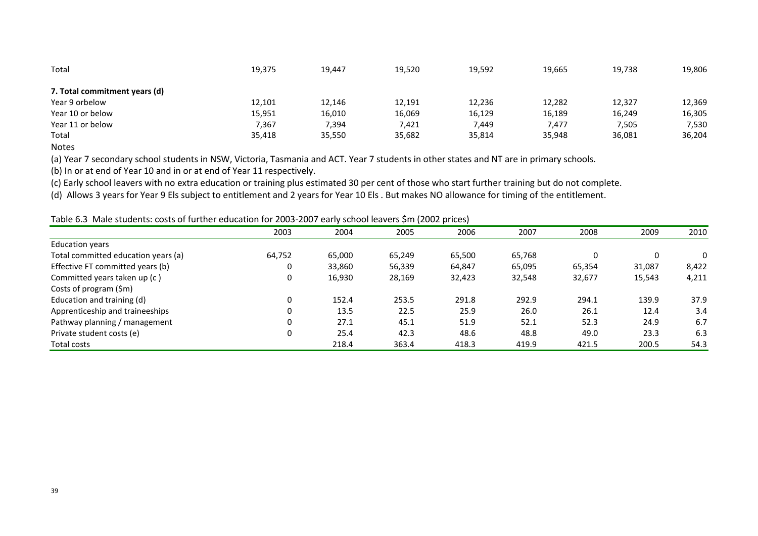| Total                         | 19,375 | 19,447 | 19,520 | 19,592 | 19,665 | 19,738 | 19,806 |
|-------------------------------|--------|--------|--------|--------|--------|--------|--------|
| 7. Total commitment years (d) |        |        |        |        |        |        |        |
| Year 9 orbelow                | 12,101 | 12,146 | 12,191 | 12,236 | 12,282 | 12,327 | 12,369 |
| Year 10 or below              | 15,951 | 16,010 | 16,069 | 16,129 | 16,189 | 16,249 | 16,305 |
| Year 11 or below              | 7,367  | 7,394  | 7,421  | 7,449  | 7,477  | 7,505  | 7,530  |
| Total                         | 35,418 | 35,550 | 35,682 | 35,814 | 35,948 | 36,081 | 36,204 |
| .                             |        |        |        |        |        |        |        |

Notes

(a) Year 7 secondary school students in NSW, Victoria, Tasmania and ACT. Year 7 students in other states and NT are in primary schools.

(b) In or at end of Year 10 and in or at end of Year 11 respectively.

(c) Early school leavers with no extra education or training plus estimated 30 per cent of those who start further training but do not complete.

(d) Allows 3 years for Year 9 Els subject to entitlement and 2 years for Year 10 Els . But makes NO allowance for timing of the entitlement.

Table 6.3 Male students: costs of further education for 2003-2007 early school leavers \$m (2002 prices)

|                                     | 2003   | 2004   | 2005   | 2006   | 2007   | 2008   | 2009     | 2010     |
|-------------------------------------|--------|--------|--------|--------|--------|--------|----------|----------|
| <b>Education years</b>              |        |        |        |        |        |        |          |          |
| Total committed education years (a) | 64,752 | 65,000 | 65,249 | 65,500 | 65,768 |        | $\Omega$ | $\Omega$ |
| Effective FT committed years (b)    | 0      | 33,860 | 56,339 | 64,847 | 65,095 | 65,354 | 31,087   | 8,422    |
| Committed years taken up (c)        | 0      | 16,930 | 28,169 | 32,423 | 32,548 | 32,677 | 15,543   | 4,211    |
| Costs of program (\$m)              |        |        |        |        |        |        |          |          |
| Education and training (d)          | 0      | 152.4  | 253.5  | 291.8  | 292.9  | 294.1  | 139.9    | 37.9     |
| Apprenticeship and traineeships     | 0      | 13.5   | 22.5   | 25.9   | 26.0   | 26.1   | 12.4     | 3.4      |
| Pathway planning / management       | 0      | 27.1   | 45.1   | 51.9   | 52.1   | 52.3   | 24.9     | 6.7      |
| Private student costs (e)           | 0      | 25.4   | 42.3   | 48.6   | 48.8   | 49.0   | 23.3     | 6.3      |
| Total costs                         |        | 218.4  | 363.4  | 418.3  | 419.9  | 421.5  | 200.5    | 54.3     |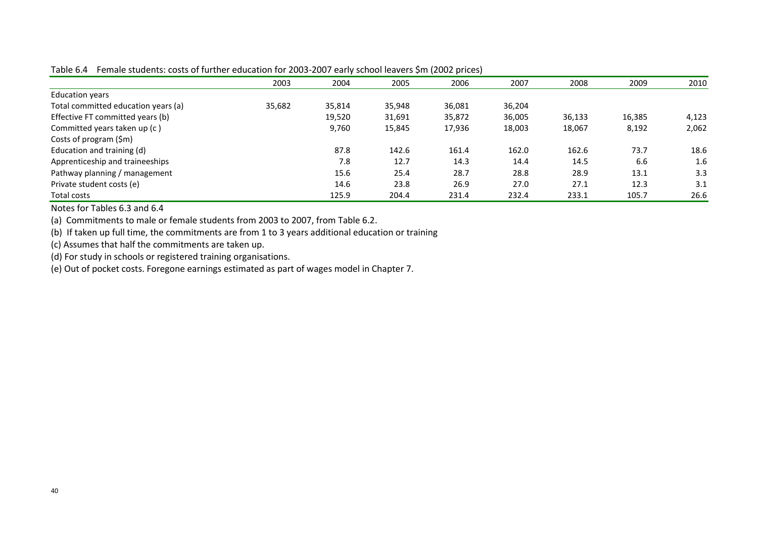|                                     | 2003   | 2004   | 2005   | 2006   | 2007   | 2008   | 2009   | 2010  |
|-------------------------------------|--------|--------|--------|--------|--------|--------|--------|-------|
| <b>Education years</b>              |        |        |        |        |        |        |        |       |
| Total committed education years (a) | 35,682 | 35,814 | 35,948 | 36,081 | 36,204 |        |        |       |
| Effective FT committed years (b)    |        | 19,520 | 31,691 | 35,872 | 36,005 | 36,133 | 16,385 | 4,123 |
| Committed years taken up (c)        |        | 9,760  | 15,845 | 17,936 | 18,003 | 18,067 | 8,192  | 2,062 |
| Costs of program (\$m)              |        |        |        |        |        |        |        |       |
| Education and training (d)          |        | 87.8   | 142.6  | 161.4  | 162.0  | 162.6  | 73.7   | 18.6  |
| Apprenticeship and traineeships     |        | 7.8    | 12.7   | 14.3   | 14.4   | 14.5   | 6.6    | 1.6   |
| Pathway planning / management       |        | 15.6   | 25.4   | 28.7   | 28.8   | 28.9   | 13.1   | 3.3   |
| Private student costs (e)           |        | 14.6   | 23.8   | 26.9   | 27.0   | 27.1   | 12.3   | 3.1   |
| Total costs                         |        | 125.9  | 204.4  | 231.4  | 232.4  | 233.1  | 105.7  | 26.6  |

Table 6.4 Female students: costs of further education for 2003-2007 early school leavers \$m (2002 prices)

Notes for Tables 6.3 and 6.4

(a) Commitments to male or female students from 2003 to 2007, from Table 6.2.

(b) If taken up full time, the commitments are from 1 to 3 years additional education or training

(c) Assumes that half the commitments are taken up.

(d) For study in schools or registered training organisations.

(e) Out of pocket costs. Foregone earnings estimated as part of wages model in Chapter 7.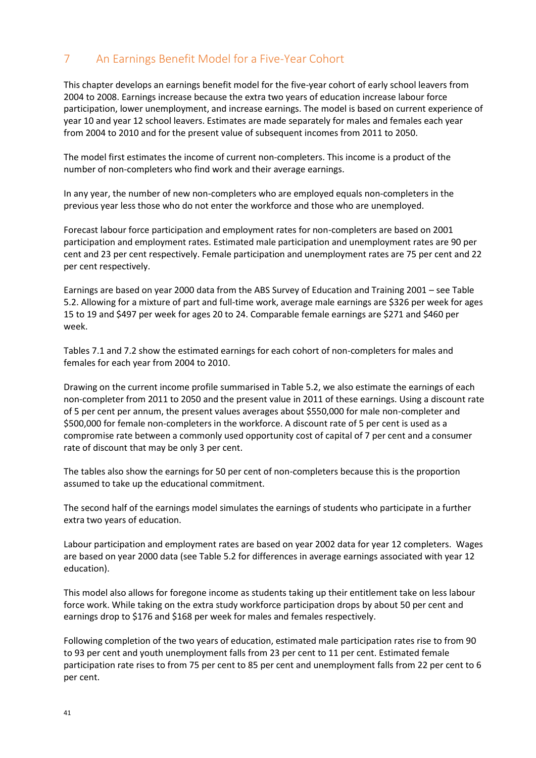# <span id="page-40-0"></span>7 An Earnings Benefit Model for a Five-Year Cohort

This chapter develops an earnings benefit model for the five-year cohort of early school leavers from 2004 to 2008. Earnings increase because the extra two years of education increase labour force participation, lower unemployment, and increase earnings. The model is based on current experience of year 10 and year 12 school leavers. Estimates are made separately for males and females each year from 2004 to 2010 and for the present value of subsequent incomes from 2011 to 2050.

The model first estimates the income of current non-completers. This income is a product of the number of non-completers who find work and their average earnings.

In any year, the number of new non-completers who are employed equals non-completers in the previous year less those who do not enter the workforce and those who are unemployed.

Forecast labour force participation and employment rates for non-completers are based on 2001 participation and employment rates. Estimated male participation and unemployment rates are 90 per cent and 23 per cent respectively. Female participation and unemployment rates are 75 per cent and 22 per cent respectively.

Earnings are based on year 2000 data from the ABS Survey of Education and Training 2001 – see Table 5.2. Allowing for a mixture of part and full-time work, average male earnings are \$326 per week for ages 15 to 19 and \$497 per week for ages 20 to 24. Comparable female earnings are \$271 and \$460 per week.

Tables 7.1 and 7.2 show the estimated earnings for each cohort of non-completers for males and females for each year from 2004 to 2010.

Drawing on the current income profile summarised in Table 5.2, we also estimate the earnings of each non-completer from 2011 to 2050 and the present value in 2011 of these earnings. Using a discount rate of 5 per cent per annum, the present values averages about \$550,000 for male non-completer and \$500,000 for female non-completers in the workforce. A discount rate of 5 per cent is used as a compromise rate between a commonly used opportunity cost of capital of 7 per cent and a consumer rate of discount that may be only 3 per cent.

The tables also show the earnings for 50 per cent of non-completers because this is the proportion assumed to take up the educational commitment.

The second half of the earnings model simulates the earnings of students who participate in a further extra two years of education.

Labour participation and employment rates are based on year 2002 data for year 12 completers. Wages are based on year 2000 data (see Table 5.2 for differences in average earnings associated with year 12 education).

This model also allows for foregone income as students taking up their entitlement take on less labour force work. While taking on the extra study workforce participation drops by about 50 per cent and earnings drop to \$176 and \$168 per week for males and females respectively.

Following completion of the two years of education, estimated male participation rates rise to from 90 to 93 per cent and youth unemployment falls from 23 per cent to 11 per cent. Estimated female participation rate rises to from 75 per cent to 85 per cent and unemployment falls from 22 per cent to 6 per cent.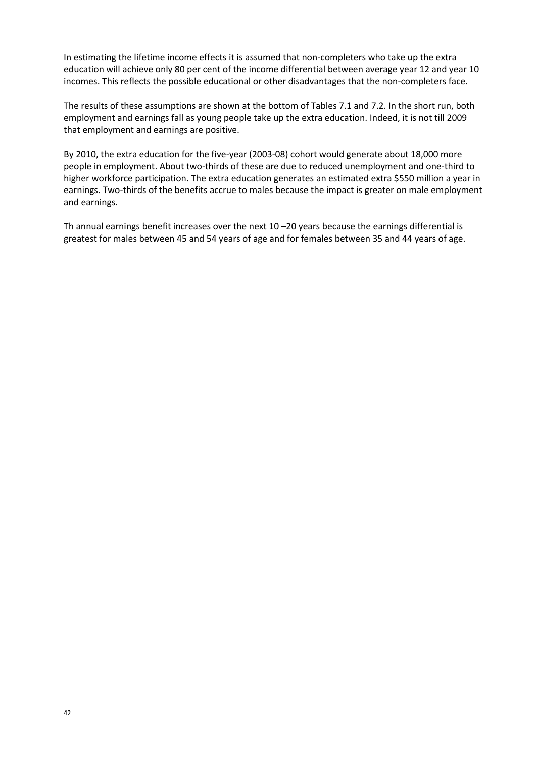In estimating the lifetime income effects it is assumed that non-completers who take up the extra education will achieve only 80 per cent of the income differential between average year 12 and year 10 incomes. This reflects the possible educational or other disadvantages that the non-completers face.

The results of these assumptions are shown at the bottom of Tables 7.1 and 7.2. In the short run, both employment and earnings fall as young people take up the extra education. Indeed, it is not till 2009 that employment and earnings are positive.

By 2010, the extra education for the five-year (2003-08) cohort would generate about 18,000 more people in employment. About two-thirds of these are due to reduced unemployment and one-third to higher workforce participation. The extra education generates an estimated extra \$550 million a year in earnings. Two-thirds of the benefits accrue to males because the impact is greater on male employment and earnings.

Th annual earnings benefit increases over the next 10 –20 years because the earnings differential is greatest for males between 45 and 54 years of age and for females between 35 and 44 years of age.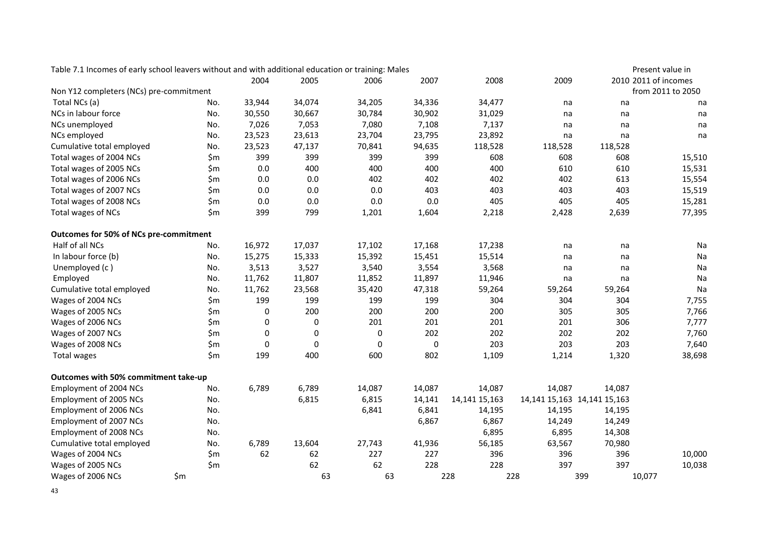| Table 7.1 Incomes of early school leavers without and with additional education or training: Males |       |        |        |        |        |               |                                 |         | Present value in     |
|----------------------------------------------------------------------------------------------------|-------|--------|--------|--------|--------|---------------|---------------------------------|---------|----------------------|
|                                                                                                    |       | 2004   | 2005   | 2006   | 2007   | 2008          | 2009                            |         | 2010 2011 of incomes |
| Non Y12 completers (NCs) pre-commitment                                                            |       |        |        |        |        |               |                                 |         | from 2011 to 2050    |
| Total NCs (a)                                                                                      | No.   | 33,944 | 34,074 | 34,205 | 34,336 | 34,477        | na                              | na      | na                   |
| NCs in labour force                                                                                | No.   | 30,550 | 30,667 | 30,784 | 30,902 | 31,029        | na                              | na      | na                   |
| NCs unemployed                                                                                     | No.   | 7,026  | 7,053  | 7,080  | 7,108  | 7,137         | na                              | na      | na                   |
| NCs employed                                                                                       | No.   | 23,523 | 23,613 | 23,704 | 23,795 | 23,892        | na                              | na      | na                   |
| Cumulative total employed                                                                          | No.   | 23,523 | 47,137 | 70,841 | 94,635 | 118,528       | 118,528                         | 118,528 |                      |
| Total wages of 2004 NCs                                                                            | \$m   | 399    | 399    | 399    | 399    | 608           | 608                             | 608     | 15,510               |
| Total wages of 2005 NCs                                                                            | \$m   | 0.0    | 400    | 400    | 400    | 400           | 610                             | 610     | 15,531               |
| Total wages of 2006 NCs                                                                            | \$m   | 0.0    | 0.0    | 402    | 402    | 402           | 402                             | 613     | 15,554               |
| Total wages of 2007 NCs                                                                            | \$m   | 0.0    | 0.0    | 0.0    | 403    | 403           | 403                             | 403     | 15,519               |
| Total wages of 2008 NCs                                                                            | \$m   | 0.0    | 0.0    | 0.0    | 0.0    | 405           | 405                             | 405     | 15,281               |
| Total wages of NCs                                                                                 | \$m   | 399    | 799    | 1,201  | 1,604  | 2,218         | 2,428                           | 2,639   | 77,395               |
| Outcomes for 50% of NCs pre-commitment                                                             |       |        |        |        |        |               |                                 |         |                      |
| Half of all NCs                                                                                    | No.   | 16,972 | 17,037 | 17,102 | 17,168 | 17,238        | na                              | na      | Na                   |
| In labour force (b)                                                                                | No.   | 15,275 | 15,333 | 15,392 | 15,451 | 15,514        | na                              | na      | Na                   |
| Unemployed (c)                                                                                     | No.   | 3,513  | 3,527  | 3,540  | 3,554  | 3,568         | na                              | na      | Na                   |
| Employed                                                                                           | No.   | 11,762 | 11,807 | 11,852 | 11,897 | 11,946        | na                              | na      | Na                   |
| Cumulative total employed                                                                          | No.   | 11,762 | 23,568 | 35,420 | 47,318 | 59,264        | 59,264                          | 59,264  | Na                   |
| Wages of 2004 NCs                                                                                  | \$m   | 199    | 199    | 199    | 199    | 304           | 304                             | 304     | 7,755                |
| Wages of 2005 NCs                                                                                  | \$m   | 0      | 200    | 200    | 200    | 200           | 305                             | 305     | 7,766                |
| Wages of 2006 NCs                                                                                  | \$m   | 0      | 0      | 201    | 201    | 201           | 201                             | 306     | 7,777                |
| Wages of 2007 NCs                                                                                  | \$m   | 0      | 0      | 0      | 202    | 202           | 202                             | 202     | 7,760                |
| Wages of 2008 NCs                                                                                  | \$m   | 0      | 0      | 0      | 0      | 203           | 203                             | 203     | 7,640                |
| Total wages                                                                                        | \$m   | 199    | 400    | 600    | 802    | 1,109         | 1,214                           | 1,320   | 38,698               |
| Outcomes with 50% commitment take-up                                                               |       |        |        |        |        |               |                                 |         |                      |
| Employment of 2004 NCs                                                                             | No.   | 6,789  | 6,789  | 14,087 | 14,087 | 14,087        | 14,087                          | 14,087  |                      |
| Employment of 2005 NCs                                                                             | No.   |        | 6,815  | 6,815  | 14,141 | 14,141 15,163 | 14, 141 15, 163 14, 141 15, 163 |         |                      |
| Employment of 2006 NCs                                                                             | No.   |        |        | 6,841  | 6,841  | 14,195        | 14,195                          | 14,195  |                      |
| Employment of 2007 NCs                                                                             | No.   |        |        |        | 6,867  | 6,867         | 14,249                          | 14,249  |                      |
| Employment of 2008 NCs                                                                             | No.   |        |        |        |        | 6,895         | 6,895                           | 14,308  |                      |
| Cumulative total employed                                                                          | No.   | 6,789  | 13,604 | 27,743 | 41,936 | 56,185        | 63,567                          | 70,980  |                      |
| Wages of 2004 NCs                                                                                  | \$m   | 62     | 62     | 227    | 227    | 396           | 396                             | 396     | 10,000               |
| Wages of 2005 NCs                                                                                  | \$m\$ |        | 62     | 62     | 228    | 228           | 397                             | 397     | 10,038               |
| Wages of 2006 NCs                                                                                  | \$m   |        | 63     | 63     |        | 228           | 228                             | 399     | 10,077               |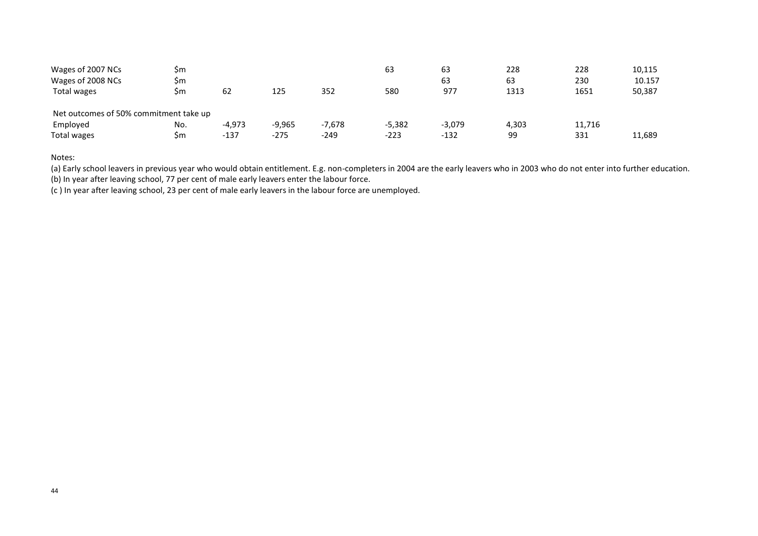| Wages of 2007 NCs                      | Sm  |          |          |          | 63       | 63       | 228   | 228    | 10,115 |
|----------------------------------------|-----|----------|----------|----------|----------|----------|-------|--------|--------|
| Wages of 2008 NCs                      | Sm  |          |          |          |          | 63       | 63    | 230    | 10.157 |
| Total wages                            | \$m | 62       | 125      | 352      | 580      | 977      | 1313  | 1651   | 50,387 |
|                                        |     |          |          |          |          |          |       |        |        |
| Net outcomes of 50% commitment take up |     |          |          |          |          |          |       |        |        |
| Employed                               | No. | $-4,973$ | $-9,965$ | $-7,678$ | $-5,382$ | $-3,079$ | 4,303 | 11,716 |        |
| Total wages                            | Sm  | $-137$   | $-275$   | $-249$   | $-223$   | $-132$   | 99    | 331    | 11,689 |

Notes:

(a) Early school leavers in previous year who would obtain entitlement. E.g. non-completers in 2004 are the early leavers who in 2003 who do not enter into further education.

(b) In year after leaving school, 77 per cent of male early leavers enter the labour force.

(c ) In year after leaving school, 23 per cent of male early leavers in the labour force are unemployed.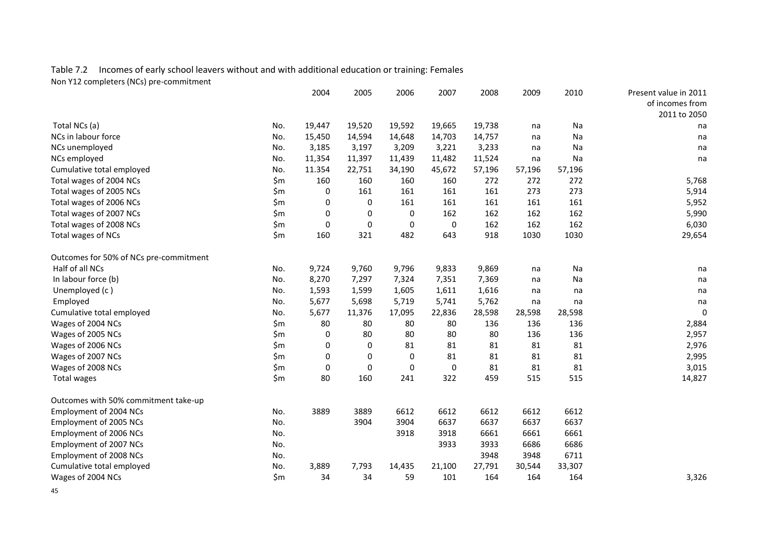#### Table 7.2 Incomes of early school leavers without and with additional education or training: Females Non Y12 completers (NCs) pre-commitment

|                                        |       | 2004        | 2005        | 2006        | 2007        | 2008   | 2009   | 2010   | Present value in 2011 |
|----------------------------------------|-------|-------------|-------------|-------------|-------------|--------|--------|--------|-----------------------|
|                                        |       |             |             |             |             |        |        |        | of incomes from       |
|                                        |       |             |             |             |             |        |        |        | 2011 to 2050          |
| Total NCs (a)                          | No.   | 19,447      | 19,520      | 19,592      | 19,665      | 19,738 | na     | Na     | na                    |
| NCs in labour force                    | No.   | 15,450      | 14,594      | 14,648      | 14,703      | 14,757 | na     | Na     | na                    |
| NCs unemployed                         | No.   | 3,185       | 3,197       | 3,209       | 3,221       | 3,233  | na     | Na     | na                    |
| NCs employed                           | No.   | 11,354      | 11,397      | 11,439      | 11,482      | 11,524 | na     | Na     | na                    |
| Cumulative total employed              | No.   | 11.354      | 22,751      | 34,190      | 45,672      | 57,196 | 57,196 | 57,196 |                       |
| Total wages of 2004 NCs                | \$m\$ | 160         | 160         | 160         | 160         | 272    | 272    | 272    | 5,768                 |
| Total wages of 2005 NCs                | \$m   | $\Omega$    | 161         | 161         | 161         | 161    | 273    | 273    | 5,914                 |
| Total wages of 2006 NCs                | \$m   | 0           | 0           | 161         | 161         | 161    | 161    | 161    | 5,952                 |
| Total wages of 2007 NCs                | \$m   | $\Omega$    | 0           | 0           | 162         | 162    | 162    | 162    | 5,990                 |
| Total wages of 2008 NCs                | \$m\$ | $\mathbf 0$ | $\pmb{0}$   | 0           | $\mathbf 0$ | 162    | 162    | 162    | 6,030                 |
| Total wages of NCs                     | \$m\$ | 160         | 321         | 482         | 643         | 918    | 1030   | 1030   | 29,654                |
| Outcomes for 50% of NCs pre-commitment |       |             |             |             |             |        |        |        |                       |
| Half of all NCs                        | No.   | 9,724       | 9,760       | 9,796       | 9,833       | 9,869  | na     | Na     | na                    |
| In labour force (b)                    | No.   | 8,270       | 7,297       | 7,324       | 7,351       | 7,369  | na     | Na     | na                    |
| Unemployed (c)                         | No.   | 1,593       | 1,599       | 1,605       | 1,611       | 1,616  | na     | na     | na                    |
| Employed                               | No.   | 5,677       | 5,698       | 5,719       | 5,741       | 5,762  | na     | na     | na                    |
| Cumulative total employed              | No.   | 5,677       | 11,376      | 17,095      | 22,836      | 28,598 | 28,598 | 28,598 | 0                     |
| Wages of 2004 NCs                      | \$m\$ | 80          | 80          | 80          | 80          | 136    | 136    | 136    | 2,884                 |
| Wages of 2005 NCs                      | \$m   | 0           | 80          | 80          | 80          | 80     | 136    | 136    | 2,957                 |
| Wages of 2006 NCs                      | \$m   | $\Omega$    | $\mathbf 0$ | 81          | 81          | 81     | 81     | 81     | 2,976                 |
| Wages of 2007 NCs                      | \$m   | 0           | 0           | 0           | 81          | 81     | 81     | 81     | 2,995                 |
| Wages of 2008 NCs                      | \$m\$ | 0           | 0           | $\mathbf 0$ | $\mathbf 0$ | 81     | 81     | 81     | 3,015                 |
| Total wages                            | \$m\$ | 80          | 160         | 241         | 322         | 459    | 515    | 515    | 14,827                |
| Outcomes with 50% commitment take-up   |       |             |             |             |             |        |        |        |                       |
| Employment of 2004 NCs                 | No.   | 3889        | 3889        | 6612        | 6612        | 6612   | 6612   | 6612   |                       |
| Employment of 2005 NCs                 | No.   |             | 3904        | 3904        | 6637        | 6637   | 6637   | 6637   |                       |
| Employment of 2006 NCs                 | No.   |             |             | 3918        | 3918        | 6661   | 6661   | 6661   |                       |
| Employment of 2007 NCs                 | No.   |             |             |             | 3933        | 3933   | 6686   | 6686   |                       |
| Employment of 2008 NCs                 | No.   |             |             |             |             | 3948   | 3948   | 6711   |                       |
| Cumulative total employed              | No.   | 3,889       | 7,793       | 14,435      | 21,100      | 27,791 | 30,544 | 33,307 |                       |
| Wages of 2004 NCs                      | \$m\$ | 34          | 34          | 59          | 101         | 164    | 164    | 164    | 3,326                 |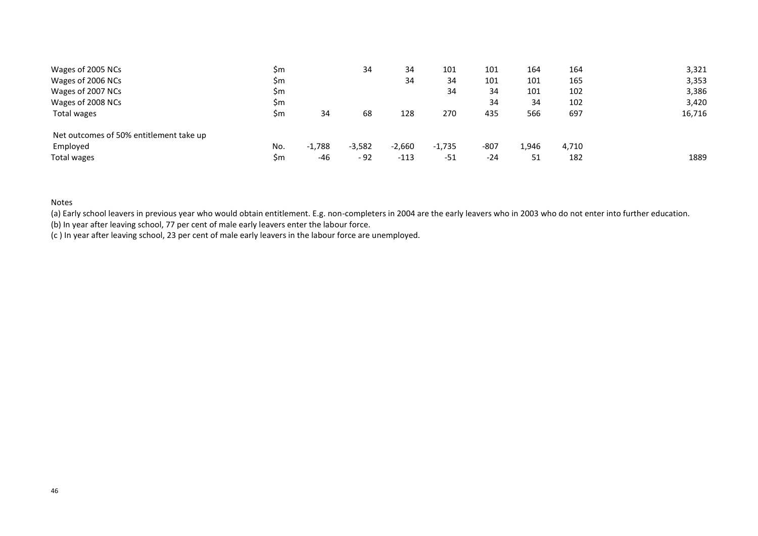| Wages of 2005 NCs                       | \$m |          | 34       | 34       | 101      | 101    | 164   | 164   | 3,321  |
|-----------------------------------------|-----|----------|----------|----------|----------|--------|-------|-------|--------|
| Wages of 2006 NCs                       | \$m |          |          | 34       | 34       | 101    | 101   | 165   | 3,353  |
| Wages of 2007 NCs                       | \$m |          |          |          | 34       | 34     | 101   | 102   | 3,386  |
| Wages of 2008 NCs                       | \$m |          |          |          |          | 34     | 34    | 102   | 3,420  |
| Total wages                             | \$m | 34       | 68       | 128      | 270      | 435    | 566   | 697   | 16,716 |
| Net outcomes of 50% entitlement take up |     |          |          |          |          |        |       |       |        |
| Employed                                | No. | $-1,788$ | $-3,582$ | $-2,660$ | $-1,735$ | $-807$ | 1,946 | 4,710 |        |
| Total wages                             | \$m | -46      | $-92$    | $-113$   | -51      | $-24$  | 51    | 182   | 1889   |

#### Notes

(a) Early school leavers in previous year who would obtain entitlement. E.g. non-completers in 2004 are the early leavers who in 2003 who do not enter into further education.

(b) In year after leaving school, 77 per cent of male early leavers enter the labour force.

(c ) In year after leaving school, 23 per cent of male early leavers in the labour force are unemployed.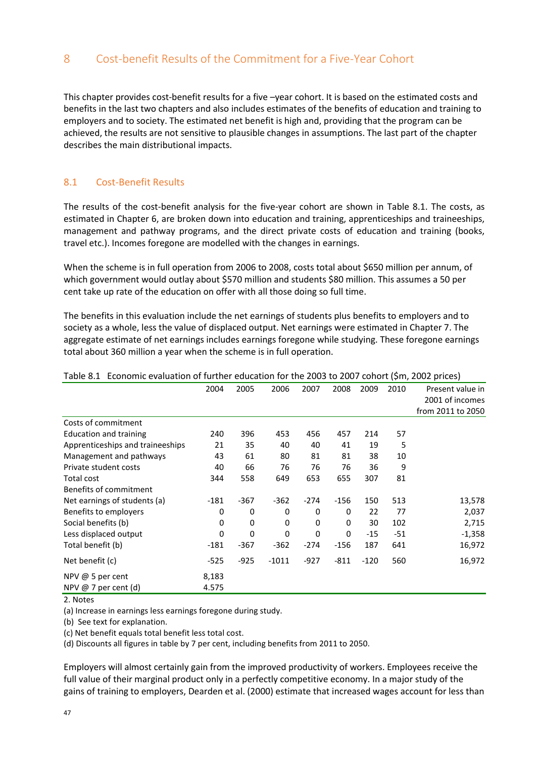# <span id="page-46-0"></span>8 Cost-benefit Results of the Commitment for a Five-Year Cohort

This chapter provides cost-benefit results for a five –year cohort. It is based on the estimated costs and benefits in the last two chapters and also includes estimates of the benefits of education and training to employers and to society. The estimated net benefit is high and, providing that the program can be achieved, the results are not sensitive to plausible changes in assumptions. The last part of the chapter describes the main distributional impacts.

#### <span id="page-46-1"></span>8.1 Cost-Benefit Results

The results of the cost-benefit analysis for the five-year cohort are shown in Table 8.1. The costs, as estimated in Chapter 6, are broken down into education and training, apprenticeships and traineeships, management and pathway programs, and the direct private costs of education and training (books, travel etc.). Incomes foregone are modelled with the changes in earnings.

When the scheme is in full operation from 2006 to 2008, costs total about \$650 million per annum, of which government would outlay about \$570 million and students \$80 million. This assumes a 50 per cent take up rate of the education on offer with all those doing so full time.

The benefits in this evaluation include the net earnings of students plus benefits to employers and to society as a whole, less the value of displaced output. Net earnings were estimated in Chapter 7. The aggregate estimate of net earnings includes earnings foregone while studying. These foregone earnings total about 360 million a year when the scheme is in full operation.

|                                  | 2004   | 2005   | 2006    | 2007         | 2008   | 2009   | 2010 | Present value in  |
|----------------------------------|--------|--------|---------|--------------|--------|--------|------|-------------------|
|                                  |        |        |         |              |        |        |      | 2001 of incomes   |
|                                  |        |        |         |              |        |        |      | from 2011 to 2050 |
| Costs of commitment              |        |        |         |              |        |        |      |                   |
| <b>Education and training</b>    | 240    | 396    | 453     | 456          | 457    | 214    | 57   |                   |
| Apprenticeships and traineeships | 21     | 35     | 40      | 40           | 41     | 19     | 5    |                   |
| Management and pathways          | 43     | 61     | 80      | 81           | 81     | 38     | 10   |                   |
| Private student costs            | 40     | 66     | 76      | 76           | 76     | 36     | 9    |                   |
| Total cost                       | 344    | 558    | 649     | 653          | 655    | 307    | 81   |                   |
| Benefits of commitment           |        |        |         |              |        |        |      |                   |
| Net earnings of students (a)     | -181   | $-367$ | $-362$  | $-274$       | -156   | 150    | 513  | 13,578            |
| Benefits to employers            | 0      | 0      | 0       | 0            | 0      | 22     | 77   | 2,037             |
| Social benefits (b)              | 0      | 0      | 0       | $\mathbf{0}$ | 0      | 30     | 102  | 2,715             |
| Less displaced output            | 0      | 0      | 0       | 0            | 0      | $-15$  | -51  | $-1,358$          |
| Total benefit (b)                | $-181$ | $-367$ | $-362$  | $-274$       | $-156$ | 187    | 641  | 16,972            |
| Net benefit (c)                  | $-525$ | $-925$ | $-1011$ | $-927$       | $-811$ | $-120$ | 560  | 16,972            |
| NPV @ 5 per cent                 | 8,183  |        |         |              |        |        |      |                   |
| NPV @ 7 per cent (d)             | 4.575  |        |         |              |        |        |      |                   |

#### Table 8.1 Economic evaluation of further education for the 2003 to 2007 cohort (\$m, 2002 prices)

2. Notes

(a) Increase in earnings less earnings foregone during study.

(b) See text for explanation.

(c) Net benefit equals total benefit less total cost.

(d) Discounts all figures in table by 7 per cent, including benefits from 2011 to 2050.

Employers will almost certainly gain from the improved productivity of workers. Employees receive the full value of their marginal product only in a perfectly competitive economy. In a major study of the gains of training to employers, Dearden et al. (2000) estimate that increased wages account for less than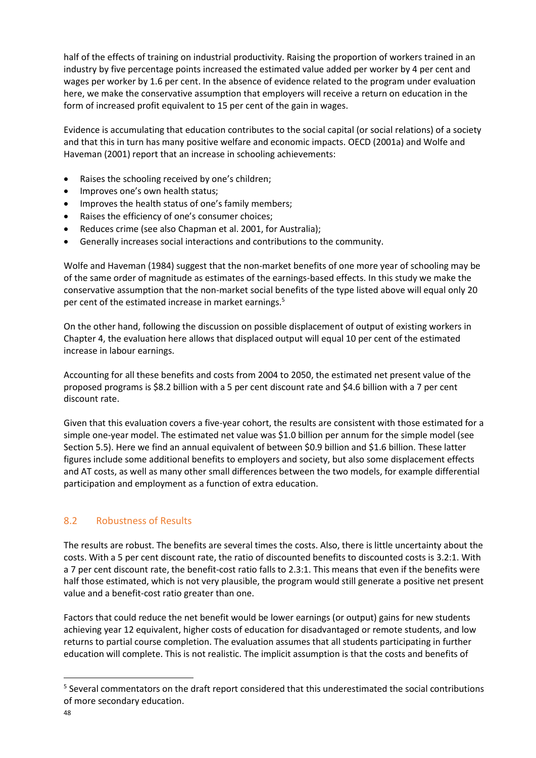half of the effects of training on industrial productivity. Raising the proportion of workers trained in an industry by five percentage points increased the estimated value added per worker by 4 per cent and wages per worker by 1.6 per cent. In the absence of evidence related to the program under evaluation here, we make the conservative assumption that employers will receive a return on education in the form of increased profit equivalent to 15 per cent of the gain in wages.

Evidence is accumulating that education contributes to the social capital (or social relations) of a society and that this in turn has many positive welfare and economic impacts. OECD (2001a) and Wolfe and Haveman (2001) report that an increase in schooling achievements:

- Raises the schooling received by one's children;
- Improves one's own health status;
- Improves the health status of one's family members;
- Raises the efficiency of one's consumer choices;
- Reduces crime (see also Chapman et al. 2001, for Australia);
- Generally increases social interactions and contributions to the community.

Wolfe and Haveman (1984) suggest that the non-market benefits of one more year of schooling may be of the same order of magnitude as estimates of the earnings-based effects. In this study we make the conservative assumption that the non-market social benefits of the type listed above will equal only 20 per cent of the estimated increase in market earnings.<sup>5</sup>

On the other hand, following the discussion on possible displacement of output of existing workers in Chapter 4, the evaluation here allows that displaced output will equal 10 per cent of the estimated increase in labour earnings.

Accounting for all these benefits and costs from 2004 to 2050, the estimated net present value of the proposed programs is \$8.2 billion with a 5 per cent discount rate and \$4.6 billion with a 7 per cent discount rate.

Given that this evaluation covers a five-year cohort, the results are consistent with those estimated for a simple one-year model. The estimated net value was \$1.0 billion per annum for the simple model (see Section 5.5). Here we find an annual equivalent of between \$0.9 billion and \$1.6 billion. These latter figures include some additional benefits to employers and society, but also some displacement effects and AT costs, as well as many other small differences between the two models, for example differential participation and employment as a function of extra education.

#### <span id="page-47-0"></span>8.2 Robustness of Results

The results are robust. The benefits are several times the costs. Also, there is little uncertainty about the costs. With a 5 per cent discount rate, the ratio of discounted benefits to discounted costs is 3.2:1. With a 7 per cent discount rate, the benefit-cost ratio falls to 2.3:1. This means that even if the benefits were half those estimated, which is not very plausible, the program would still generate a positive net present value and a benefit-cost ratio greater than one.

Factors that could reduce the net benefit would be lower earnings (or output) gains for new students achieving year 12 equivalent, higher costs of education for disadvantaged or remote students, and low returns to partial course completion. The evaluation assumes that all students participating in further education will complete. This is not realistic. The implicit assumption is that the costs and benefits of

**.** 

<sup>&</sup>lt;sup>5</sup> Several commentators on the draft report considered that this underestimated the social contributions of more secondary education.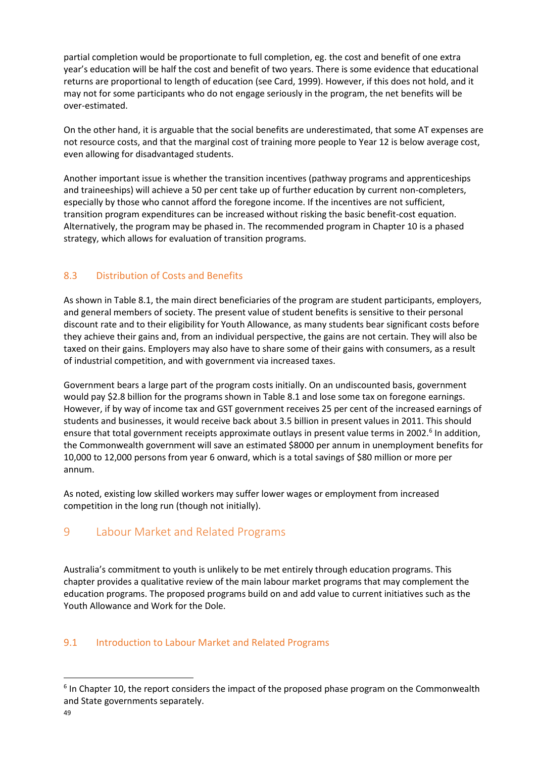partial completion would be proportionate to full completion, eg. the cost and benefit of one extra year's education will be half the cost and benefit of two years. There is some evidence that educational returns are proportional to length of education (see Card, 1999). However, if this does not hold, and it may not for some participants who do not engage seriously in the program, the net benefits will be over-estimated.

On the other hand, it is arguable that the social benefits are underestimated, that some AT expenses are not resource costs, and that the marginal cost of training more people to Year 12 is below average cost, even allowing for disadvantaged students.

Another important issue is whether the transition incentives (pathway programs and apprenticeships and traineeships) will achieve a 50 per cent take up of further education by current non-completers, especially by those who cannot afford the foregone income. If the incentives are not sufficient, transition program expenditures can be increased without risking the basic benefit-cost equation. Alternatively, the program may be phased in. The recommended program in Chapter 10 is a phased strategy, which allows for evaluation of transition programs.

# <span id="page-48-0"></span>8.3 Distribution of Costs and Benefits

As shown in Table 8.1, the main direct beneficiaries of the program are student participants, employers, and general members of society. The present value of student benefits is sensitive to their personal discount rate and to their eligibility for Youth Allowance, as many students bear significant costs before they achieve their gains and, from an individual perspective, the gains are not certain. They will also be taxed on their gains. Employers may also have to share some of their gains with consumers, as a result of industrial competition, and with government via increased taxes.

Government bears a large part of the program costs initially. On an undiscounted basis, government would pay \$2.8 billion for the programs shown in Table 8.1 and lose some tax on foregone earnings. However, if by way of income tax and GST government receives 25 per cent of the increased earnings of students and businesses, it would receive back about 3.5 billion in present values in 2011. This should ensure that total government receipts approximate outlays in present value terms in 2002.<sup>6</sup> In addition, the Commonwealth government will save an estimated \$8000 per annum in unemployment benefits for 10,000 to 12,000 persons from year 6 onward, which is a total savings of \$80 million or more per annum.

As noted, existing low skilled workers may suffer lower wages or employment from increased competition in the long run (though not initially).

# <span id="page-48-1"></span>9 Labour Market and Related Programs

Australia's commitment to youth is unlikely to be met entirely through education programs. This chapter provides a qualitative review of the main labour market programs that may complement the education programs. The proposed programs build on and add value to current initiatives such as the Youth Allowance and Work for the Dole.

#### <span id="page-48-2"></span>9.1 Introduction to Labour Market and Related Programs

**<sup>.</sup>**  $<sup>6</sup>$  In Chapter 10, the report considers the impact of the proposed phase program on the Commonwealth</sup> and State governments separately.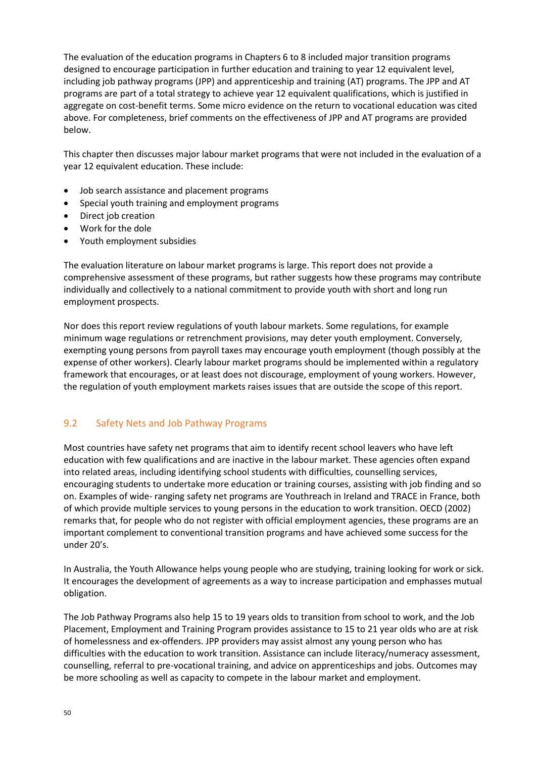The evaluation of the education programs in Chapters 6 to 8 included major transition programs designed to encourage participation in further education and training to year 12 equivalent level, including job pathway programs (JPP) and apprenticeship and training (AT) programs. The JPP and AT programs are part of a total strategy to achieve year 12 equivalent qualifications, which is justified in aggregate on cost-benefit terms. Some micro evidence on the return to vocational education was cited above. For completeness, brief comments on the effectiveness of JPP and AT programs are provided below.

This chapter then discusses major labour market programs that were not included in the evaluation of a year 12 equivalent education. These include:

- Job search assistance and placement programs
- Special youth training and employment programs
- Direct job creation
- Work for the dole
- Youth employment subsidies

The evaluation literature on labour market programs is large. This report does not provide a comprehensive assessment of these programs, but rather suggests how these programs may contribute individually and collectively to a national commitment to provide youth with short and long run employment prospects.

Nor does this report review regulations of youth labour markets. Some regulations, for example minimum wage regulations or retrenchment provisions, may deter youth employment. Conversely, exempting young persons from payroll taxes may encourage youth employment (though possibly at the expense of other workers). Clearly labour market programs should be implemented within a regulatory framework that encourages, or at least does not discourage, employment of young workers. However, the regulation of youth employment markets raises issues that are outside the scope of this report.

#### <span id="page-49-0"></span>9.2 Safety Nets and Job Pathway Programs

Most countries have safety net programs that aim to identify recent school leavers who have left education with few qualifications and are inactive in the labour market. These agencies often expand into related areas, including identifying school students with difficulties, counselling services, encouraging students to undertake more education or training courses, assisting with job finding and so on. Examples of wide- ranging safety net programs are Youthreach in Ireland and TRACE in France, both of which provide multiple services to young persons in the education to work transition. OECD (2002) remarks that, for people who do not register with official employment agencies, these programs are an important complement to conventional transition programs and have achieved some success for the under 20's.

In Australia, the Youth Allowance helps young people who are studying, training looking for work or sick. It encourages the development of agreements as a way to increase participation and emphasses mutual obligation.

The Job Pathway Programs also help 15 to 19 years olds to transition from school to work, and the Job Placement, Employment and Training Program provides assistance to 15 to 21 year olds who are at risk of homelessness and ex-offenders. JPP providers may assist almost any young person who has difficulties with the education to work transition. Assistance can include literacy/numeracy assessment, counselling, referral to pre-vocational training, and advice on apprenticeships and jobs. Outcomes may be more schooling as well as capacity to compete in the labour market and employment.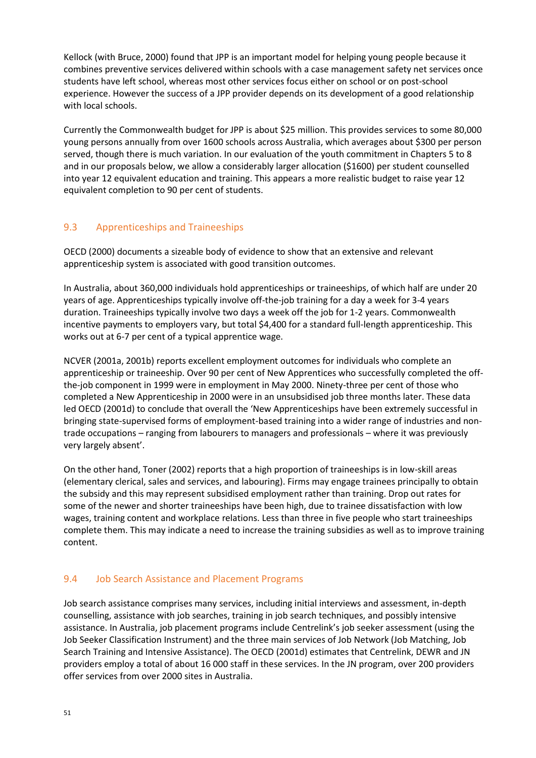Kellock (with Bruce, 2000) found that JPP is an important model for helping young people because it combines preventive services delivered within schools with a case management safety net services once students have left school, whereas most other services focus either on school or on post-school experience. However the success of a JPP provider depends on its development of a good relationship with local schools.

Currently the Commonwealth budget for JPP is about \$25 million. This provides services to some 80,000 young persons annually from over 1600 schools across Australia, which averages about \$300 per person served, though there is much variation. In our evaluation of the youth commitment in Chapters 5 to 8 and in our proposals below, we allow a considerably larger allocation (\$1600) per student counselled into year 12 equivalent education and training. This appears a more realistic budget to raise year 12 equivalent completion to 90 per cent of students.

#### <span id="page-50-0"></span>9.3 Apprenticeships and Traineeships

OECD (2000) documents a sizeable body of evidence to show that an extensive and relevant apprenticeship system is associated with good transition outcomes.

In Australia, about 360,000 individuals hold apprenticeships or traineeships, of which half are under 20 years of age. Apprenticeships typically involve off-the-job training for a day a week for 3-4 years duration. Traineeships typically involve two days a week off the job for 1-2 years. Commonwealth incentive payments to employers vary, but total \$4,400 for a standard full-length apprenticeship. This works out at 6-7 per cent of a typical apprentice wage.

NCVER (2001a, 2001b) reports excellent employment outcomes for individuals who complete an apprenticeship or traineeship. Over 90 per cent of New Apprentices who successfully completed the offthe-job component in 1999 were in employment in May 2000. Ninety-three per cent of those who completed a New Apprenticeship in 2000 were in an unsubsidised job three months later. These data led OECD (2001d) to conclude that overall the 'New Apprenticeships have been extremely successful in bringing state-supervised forms of employment-based training into a wider range of industries and nontrade occupations – ranging from labourers to managers and professionals – where it was previously very largely absent'.

On the other hand, Toner (2002) reports that a high proportion of traineeships is in low-skill areas (elementary clerical, sales and services, and labouring). Firms may engage trainees principally to obtain the subsidy and this may represent subsidised employment rather than training. Drop out rates for some of the newer and shorter traineeships have been high, due to trainee dissatisfaction with low wages, training content and workplace relations. Less than three in five people who start traineeships complete them. This may indicate a need to increase the training subsidies as well as to improve training content.

#### <span id="page-50-1"></span>9.4 Job Search Assistance and Placement Programs

Job search assistance comprises many services, including initial interviews and assessment, in-depth counselling, assistance with job searches, training in job search techniques, and possibly intensive assistance. In Australia, job placement programs include Centrelink's job seeker assessment (using the Job Seeker Classification Instrument) and the three main services of Job Network (Job Matching, Job Search Training and Intensive Assistance). The OECD (2001d) estimates that Centrelink, DEWR and JN providers employ a total of about 16 000 staff in these services. In the JN program, over 200 providers offer services from over 2000 sites in Australia.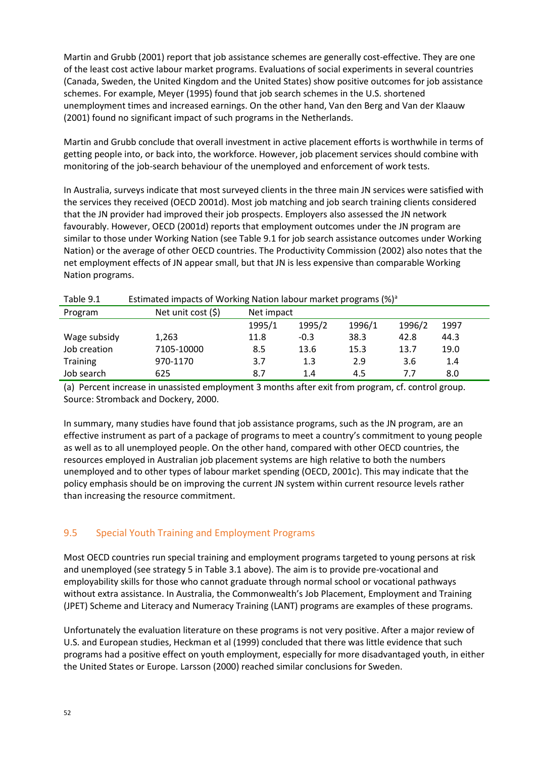Martin and Grubb (2001) report that job assistance schemes are generally cost-effective. They are one of the least cost active labour market programs. Evaluations of social experiments in several countries (Canada, Sweden, the United Kingdom and the United States) show positive outcomes for job assistance schemes. For example, Meyer (1995) found that job search schemes in the U.S. shortened unemployment times and increased earnings. On the other hand, Van den Berg and Van der Klaauw (2001) found no significant impact of such programs in the Netherlands.

Martin and Grubb conclude that overall investment in active placement efforts is worthwhile in terms of getting people into, or back into, the workforce. However, job placement services should combine with monitoring of the job-search behaviour of the unemployed and enforcement of work tests.

In Australia, surveys indicate that most surveyed clients in the three main JN services were satisfied with the services they received (OECD 2001d). Most job matching and job search training clients considered that the JN provider had improved their job prospects. Employers also assessed the JN network favourably. However, OECD (2001d) reports that employment outcomes under the JN program are similar to those under Working Nation (see Table 9.1 for job search assistance outcomes under Working Nation) or the average of other OECD countries. The Productivity Commission (2002) also notes that the net employment effects of JN appear small, but that JN is less expensive than comparable Working Nation programs.

| Taple 9.1       | <b>ESUINALED IMPACTS OF WOLKING NATION ROOM INSTRUCT DIORIGHTS (%)</b> |        |            |        |        |      |  |  |  |  |
|-----------------|------------------------------------------------------------------------|--------|------------|--------|--------|------|--|--|--|--|
| Program         | Net unit cost $(5)$                                                    |        | Net impact |        |        |      |  |  |  |  |
|                 |                                                                        | 1995/1 | 1995/2     | 1996/1 | 1996/2 | 1997 |  |  |  |  |
| Wage subsidy    | 1,263                                                                  | 11.8   | $-0.3$     | 38.3   | 42.8   | 44.3 |  |  |  |  |
| Job creation    | 7105-10000                                                             | 8.5    | 13.6       | 15.3   | 13.7   | 19.0 |  |  |  |  |
| <b>Training</b> | 970-1170                                                               | 3.7    | 1.3        | 2.9    | 3.6    | 1.4  |  |  |  |  |
| Job search      | 625                                                                    | 8.7    | 1.4        | 4.5    | 7.7    | 8.0  |  |  |  |  |

Table 9.1 Estimated impacts of Working Nation labour market programs (%)<sup>a</sup>

(a) Percent increase in unassisted employment 3 months after exit from program, cf. control group. Source: Stromback and Dockery, 2000.

In summary, many studies have found that job assistance programs, such as the JN program, are an effective instrument as part of a package of programs to meet a country's commitment to young people as well as to all unemployed people. On the other hand, compared with other OECD countries, the resources employed in Australian job placement systems are high relative to both the numbers unemployed and to other types of labour market spending (OECD, 2001c). This may indicate that the policy emphasis should be on improving the current JN system within current resource levels rather than increasing the resource commitment.

# <span id="page-51-0"></span>9.5 Special Youth Training and Employment Programs

Most OECD countries run special training and employment programs targeted to young persons at risk and unemployed (see strategy 5 in Table 3.1 above). The aim is to provide pre-vocational and employability skills for those who cannot graduate through normal school or vocational pathways without extra assistance. In Australia, the Commonwealth's Job Placement, Employment and Training (JPET) Scheme and Literacy and Numeracy Training (LANT) programs are examples of these programs.

Unfortunately the evaluation literature on these programs is not very positive. After a major review of U.S. and European studies, Heckman et al (1999) concluded that there was little evidence that such programs had a positive effect on youth employment, especially for more disadvantaged youth, in either the United States or Europe. Larsson (2000) reached similar conclusions for Sweden.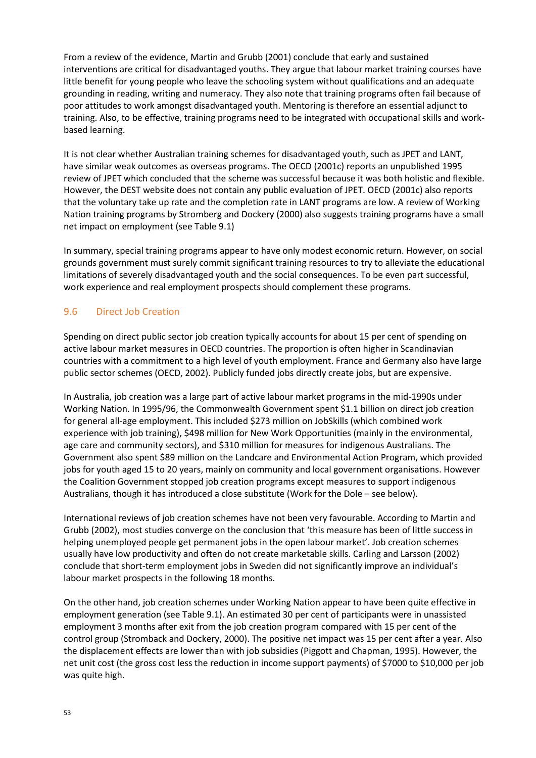From a review of the evidence, Martin and Grubb (2001) conclude that early and sustained interventions are critical for disadvantaged youths. They argue that labour market training courses have little benefit for young people who leave the schooling system without qualifications and an adequate grounding in reading, writing and numeracy. They also note that training programs often fail because of poor attitudes to work amongst disadvantaged youth. Mentoring is therefore an essential adjunct to training. Also, to be effective, training programs need to be integrated with occupational skills and workbased learning.

It is not clear whether Australian training schemes for disadvantaged youth, such as JPET and LANT, have similar weak outcomes as overseas programs. The OECD (2001c) reports an unpublished 1995 review of JPET which concluded that the scheme was successful because it was both holistic and flexible. However, the DEST website does not contain any public evaluation of JPET. OECD (2001c) also reports that the voluntary take up rate and the completion rate in LANT programs are low. A review of Working Nation training programs by Stromberg and Dockery (2000) also suggests training programs have a small net impact on employment (see Table 9.1)

In summary, special training programs appear to have only modest economic return. However, on social grounds government must surely commit significant training resources to try to alleviate the educational limitations of severely disadvantaged youth and the social consequences. To be even part successful, work experience and real employment prospects should complement these programs.

# <span id="page-52-0"></span>9.6 Direct Job Creation

Spending on direct public sector job creation typically accounts for about 15 per cent of spending on active labour market measures in OECD countries. The proportion is often higher in Scandinavian countries with a commitment to a high level of youth employment. France and Germany also have large public sector schemes (OECD, 2002). Publicly funded jobs directly create jobs, but are expensive.

In Australia, job creation was a large part of active labour market programs in the mid-1990s under Working Nation. In 1995/96, the Commonwealth Government spent \$1.1 billion on direct job creation for general all-age employment. This included \$273 million on JobSkills (which combined work experience with job training), \$498 million for New Work Opportunities (mainly in the environmental, age care and community sectors), and \$310 million for measures for indigenous Australians. The Government also spent \$89 million on the Landcare and Environmental Action Program, which provided jobs for youth aged 15 to 20 years, mainly on community and local government organisations. However the Coalition Government stopped job creation programs except measures to support indigenous Australians, though it has introduced a close substitute (Work for the Dole – see below).

International reviews of job creation schemes have not been very favourable. According to Martin and Grubb (2002), most studies converge on the conclusion that 'this measure has been of little success in helping unemployed people get permanent jobs in the open labour market'. Job creation schemes usually have low productivity and often do not create marketable skills. Carling and Larsson (2002) conclude that short-term employment jobs in Sweden did not significantly improve an individual's labour market prospects in the following 18 months.

On the other hand, job creation schemes under Working Nation appear to have been quite effective in employment generation (see Table 9.1). An estimated 30 per cent of participants were in unassisted employment 3 months after exit from the job creation program compared with 15 per cent of the control group (Stromback and Dockery, 2000). The positive net impact was 15 per cent after a year. Also the displacement effects are lower than with job subsidies (Piggott and Chapman, 1995). However, the net unit cost (the gross cost less the reduction in income support payments) of \$7000 to \$10,000 per job was quite high.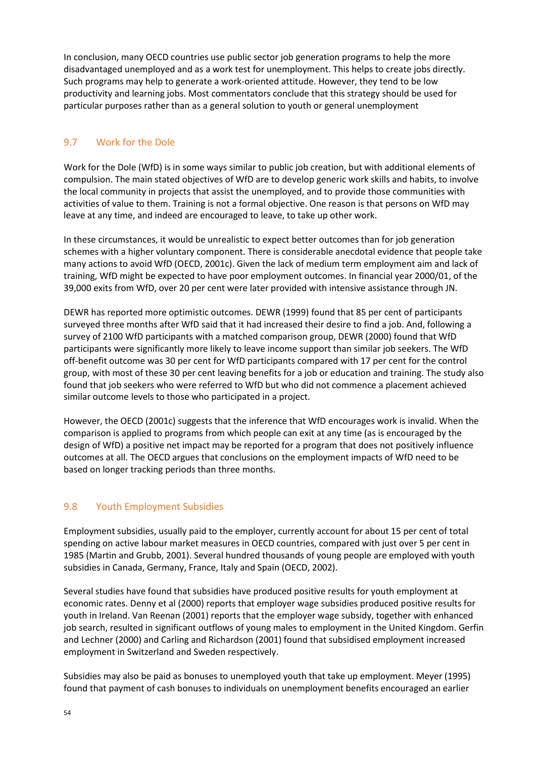In conclusion, many OECD countries use public sector job generation programs to help the more disadvantaged unemployed and as a work test for unemployment. This helps to create jobs directly. Such programs may help to generate a work-oriented attitude. However, they tend to be low productivity and learning jobs. Most commentators conclude that this strategy should be used for particular purposes rather than as a general solution to youth or general unemployment

## <span id="page-53-0"></span>9.7 Work for the Dole

Work for the Dole (WfD) is in some ways similar to public job creation, but with additional elements of compulsion. The main stated objectives of WfD are to develop generic work skills and habits, to involve the local community in projects that assist the unemployed, and to provide those communities with activities of value to them. Training is not a formal objective. One reason is that persons on WfD may leave at any time, and indeed are encouraged to leave, to take up other work.

In these circumstances, it would be unrealistic to expect better outcomes than for job generation schemes with a higher voluntary component. There is considerable anecdotal evidence that people take many actions to avoid WfD (OECD, 2001c). Given the lack of medium term employment aim and lack of training, WfD might be expected to have poor employment outcomes. In financial year 2000/01, of the 39,000 exits from WfD, over 20 per cent were later provided with intensive assistance through JN.

DEWR has reported more optimistic outcomes. DEWR (1999) found that 85 per cent of participants surveyed three months after WfD said that it had increased their desire to find a job. And, following a survey of 2100 WfD participants with a matched comparison group, DEWR (2000) found that WfD participants were significantly more likely to leave income support than similar job seekers. The WfD off-benefit outcome was 30 per cent for WfD participants compared with 17 per cent for the control group, with most of these 30 per cent leaving benefits for a job or education and training. The study also found that job seekers who were referred to WfD but who did not commence a placement achieved similar outcome levels to those who participated in a project.

However, the OECD (2001c) suggests that the inference that WfD encourages work is invalid. When the comparison is applied to programs from which people can exit at any time (as is encouraged by the design of WfD) a positive net impact may be reported for a program that does not positively influence outcomes at all. The OECD argues that conclusions on the employment impacts of WfD need to be based on longer tracking periods than three months.

#### <span id="page-53-1"></span>9.8 Youth Employment Subsidies

Employment subsidies, usually paid to the employer, currently account for about 15 per cent of total spending on active labour market measures in OECD countries, compared with just over 5 per cent in 1985 (Martin and Grubb, 2001). Several hundred thousands of young people are employed with youth subsidies in Canada, Germany, France, Italy and Spain (OECD, 2002).

Several studies have found that subsidies have produced positive results for youth employment at economic rates. Denny et al (2000) reports that employer wage subsidies produced positive results for youth in Ireland. Van Reenan (2001) reports that the employer wage subsidy, together with enhanced job search, resulted in significant outflows of young males to employment in the United Kingdom. Gerfin and Lechner (2000) and Carling and Richardson (2001) found that subsidised employment increased employment in Switzerland and Sweden respectively.

Subsidies may also be paid as bonuses to unemployed youth that take up employment. Meyer (1995) found that payment of cash bonuses to individuals on unemployment benefits encouraged an earlier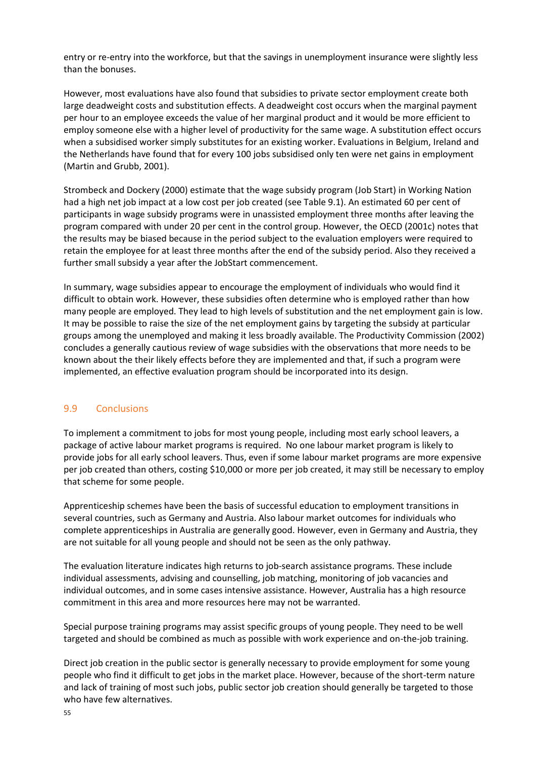entry or re-entry into the workforce, but that the savings in unemployment insurance were slightly less than the bonuses.

However, most evaluations have also found that subsidies to private sector employment create both large deadweight costs and substitution effects. A deadweight cost occurs when the marginal payment per hour to an employee exceeds the value of her marginal product and it would be more efficient to employ someone else with a higher level of productivity for the same wage. A substitution effect occurs when a subsidised worker simply substitutes for an existing worker. Evaluations in Belgium, Ireland and the Netherlands have found that for every 100 jobs subsidised only ten were net gains in employment (Martin and Grubb, 2001).

Strombeck and Dockery (2000) estimate that the wage subsidy program (Job Start) in Working Nation had a high net job impact at a low cost per job created (see Table 9.1). An estimated 60 per cent of participants in wage subsidy programs were in unassisted employment three months after leaving the program compared with under 20 per cent in the control group. However, the OECD (2001c) notes that the results may be biased because in the period subject to the evaluation employers were required to retain the employee for at least three months after the end of the subsidy period. Also they received a further small subsidy a year after the JobStart commencement.

In summary, wage subsidies appear to encourage the employment of individuals who would find it difficult to obtain work. However, these subsidies often determine who is employed rather than how many people are employed. They lead to high levels of substitution and the net employment gain is low. It may be possible to raise the size of the net employment gains by targeting the subsidy at particular groups among the unemployed and making it less broadly available. The Productivity Commission (2002) concludes a generally cautious review of wage subsidies with the observations that more needs to be known about the their likely effects before they are implemented and that, if such a program were implemented, an effective evaluation program should be incorporated into its design.

#### <span id="page-54-0"></span>9.9 Conclusions

To implement a commitment to jobs for most young people, including most early school leavers, a package of active labour market programs is required. No one labour market program is likely to provide jobs for all early school leavers. Thus, even if some labour market programs are more expensive per job created than others, costing \$10,000 or more per job created, it may still be necessary to employ that scheme for some people.

Apprenticeship schemes have been the basis of successful education to employment transitions in several countries, such as Germany and Austria. Also labour market outcomes for individuals who complete apprenticeships in Australia are generally good. However, even in Germany and Austria, they are not suitable for all young people and should not be seen as the only pathway.

The evaluation literature indicates high returns to job-search assistance programs. These include individual assessments, advising and counselling, job matching, monitoring of job vacancies and individual outcomes, and in some cases intensive assistance. However, Australia has a high resource commitment in this area and more resources here may not be warranted.

Special purpose training programs may assist specific groups of young people. They need to be well targeted and should be combined as much as possible with work experience and on-the-job training.

Direct job creation in the public sector is generally necessary to provide employment for some young people who find it difficult to get jobs in the market place. However, because of the short-term nature and lack of training of most such jobs, public sector job creation should generally be targeted to those who have few alternatives.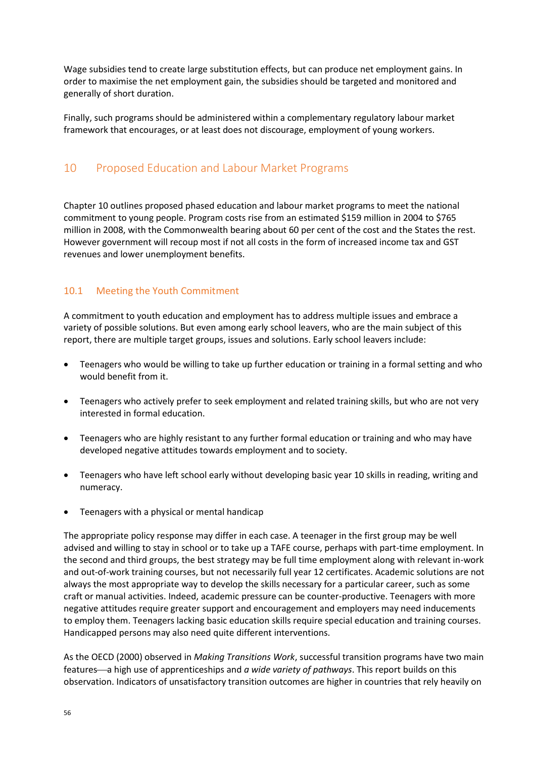Wage subsidies tend to create large substitution effects, but can produce net employment gains. In order to maximise the net employment gain, the subsidies should be targeted and monitored and generally of short duration.

Finally, such programs should be administered within a complementary regulatory labour market framework that encourages, or at least does not discourage, employment of young workers.

# <span id="page-55-0"></span>10 Proposed Education and Labour Market Programs

Chapter 10 outlines proposed phased education and labour market programs to meet the national commitment to young people. Program costs rise from an estimated \$159 million in 2004 to \$765 million in 2008, with the Commonwealth bearing about 60 per cent of the cost and the States the rest. However government will recoup most if not all costs in the form of increased income tax and GST revenues and lower unemployment benefits.

#### <span id="page-55-1"></span>10.1 Meeting the Youth Commitment

A commitment to youth education and employment has to address multiple issues and embrace a variety of possible solutions. But even among early school leavers, who are the main subject of this report, there are multiple target groups, issues and solutions. Early school leavers include:

- Teenagers who would be willing to take up further education or training in a formal setting and who would benefit from it.
- Teenagers who actively prefer to seek employment and related training skills, but who are not very interested in formal education.
- Teenagers who are highly resistant to any further formal education or training and who may have developed negative attitudes towards employment and to society.
- Teenagers who have left school early without developing basic year 10 skills in reading, writing and numeracy.
- Teenagers with a physical or mental handicap

The appropriate policy response may differ in each case. A teenager in the first group may be well advised and willing to stay in school or to take up a TAFE course, perhaps with part-time employment. In the second and third groups, the best strategy may be full time employment along with relevant in-work and out-of-work training courses, but not necessarily full year 12 certificates. Academic solutions are not always the most appropriate way to develop the skills necessary for a particular career, such as some craft or manual activities. Indeed, academic pressure can be counter-productive. Teenagers with more negative attitudes require greater support and encouragement and employers may need inducements to employ them. Teenagers lacking basic education skills require special education and training courses. Handicapped persons may also need quite different interventions.

As the OECD (2000) observed in *Making Transitions Work*, successful transition programs have two main features—a high use of apprenticeships and *a wide variety of pathways*. This report builds on this observation. Indicators of unsatisfactory transition outcomes are higher in countries that rely heavily on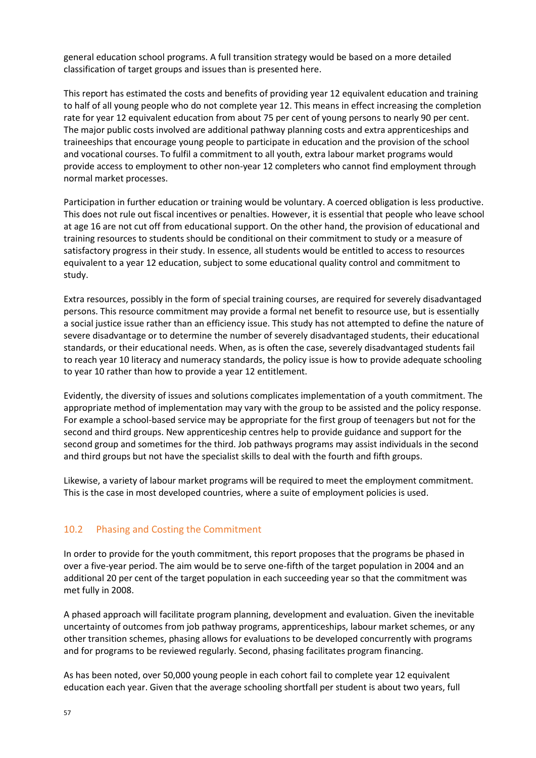general education school programs. A full transition strategy would be based on a more detailed classification of target groups and issues than is presented here.

This report has estimated the costs and benefits of providing year 12 equivalent education and training to half of all young people who do not complete year 12. This means in effect increasing the completion rate for year 12 equivalent education from about 75 per cent of young persons to nearly 90 per cent. The major public costs involved are additional pathway planning costs and extra apprenticeships and traineeships that encourage young people to participate in education and the provision of the school and vocational courses. To fulfil a commitment to all youth, extra labour market programs would provide access to employment to other non-year 12 completers who cannot find employment through normal market processes.

Participation in further education or training would be voluntary. A coerced obligation is less productive. This does not rule out fiscal incentives or penalties. However, it is essential that people who leave school at age 16 are not cut off from educational support. On the other hand, the provision of educational and training resources to students should be conditional on their commitment to study or a measure of satisfactory progress in their study. In essence, all students would be entitled to access to resources equivalent to a year 12 education, subject to some educational quality control and commitment to study.

Extra resources, possibly in the form of special training courses, are required for severely disadvantaged persons. This resource commitment may provide a formal net benefit to resource use, but is essentially a social justice issue rather than an efficiency issue. This study has not attempted to define the nature of severe disadvantage or to determine the number of severely disadvantaged students, their educational standards, or their educational needs. When, as is often the case, severely disadvantaged students fail to reach year 10 literacy and numeracy standards, the policy issue is how to provide adequate schooling to year 10 rather than how to provide a year 12 entitlement.

Evidently, the diversity of issues and solutions complicates implementation of a youth commitment. The appropriate method of implementation may vary with the group to be assisted and the policy response. For example a school-based service may be appropriate for the first group of teenagers but not for the second and third groups. New apprenticeship centres help to provide guidance and support for the second group and sometimes for the third. Job pathways programs may assist individuals in the second and third groups but not have the specialist skills to deal with the fourth and fifth groups.

Likewise, a variety of labour market programs will be required to meet the employment commitment. This is the case in most developed countries, where a suite of employment policies is used.

#### <span id="page-56-0"></span>10.2 Phasing and Costing the Commitment

In order to provide for the youth commitment, this report proposes that the programs be phased in over a five-year period. The aim would be to serve one-fifth of the target population in 2004 and an additional 20 per cent of the target population in each succeeding year so that the commitment was met fully in 2008.

A phased approach will facilitate program planning, development and evaluation. Given the inevitable uncertainty of outcomes from job pathway programs, apprenticeships, labour market schemes, or any other transition schemes, phasing allows for evaluations to be developed concurrently with programs and for programs to be reviewed regularly. Second, phasing facilitates program financing.

As has been noted, over 50,000 young people in each cohort fail to complete year 12 equivalent education each year. Given that the average schooling shortfall per student is about two years, full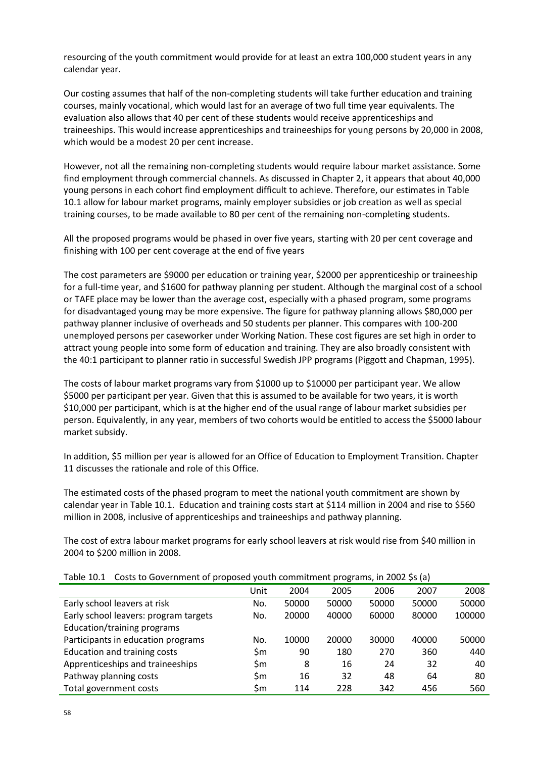resourcing of the youth commitment would provide for at least an extra 100,000 student years in any calendar year.

Our costing assumes that half of the non-completing students will take further education and training courses, mainly vocational, which would last for an average of two full time year equivalents. The evaluation also allows that 40 per cent of these students would receive apprenticeships and traineeships. This would increase apprenticeships and traineeships for young persons by 20,000 in 2008, which would be a modest 20 per cent increase.

However, not all the remaining non-completing students would require labour market assistance. Some find employment through commercial channels. As discussed in Chapter 2, it appears that about 40,000 young persons in each cohort find employment difficult to achieve. Therefore, our estimates in Table 10.1 allow for labour market programs, mainly employer subsidies or job creation as well as special training courses, to be made available to 80 per cent of the remaining non-completing students.

All the proposed programs would be phased in over five years, starting with 20 per cent coverage and finishing with 100 per cent coverage at the end of five years

The cost parameters are \$9000 per education or training year, \$2000 per apprenticeship or traineeship for a full-time year, and \$1600 for pathway planning per student. Although the marginal cost of a school or TAFE place may be lower than the average cost, especially with a phased program, some programs for disadvantaged young may be more expensive. The figure for pathway planning allows \$80,000 per pathway planner inclusive of overheads and 50 students per planner. This compares with 100-200 unemployed persons per caseworker under Working Nation. These cost figures are set high in order to attract young people into some form of education and training. They are also broadly consistent with the 40:1 participant to planner ratio in successful Swedish JPP programs (Piggott and Chapman, 1995).

The costs of labour market programs vary from \$1000 up to \$10000 per participant year. We allow \$5000 per participant per year. Given that this is assumed to be available for two years, it is worth \$10,000 per participant, which is at the higher end of the usual range of labour market subsidies per person. Equivalently, in any year, members of two cohorts would be entitled to access the \$5000 labour market subsidy.

In addition, \$5 million per year is allowed for an Office of Education to Employment Transition. Chapter 11 discusses the rationale and role of this Office.

The estimated costs of the phased program to meet the national youth commitment are shown by calendar year in Table 10.1. Education and training costs start at \$114 million in 2004 and rise to \$560 million in 2008, inclusive of apprenticeships and traineeships and pathway planning.

The cost of extra labour market programs for early school leavers at risk would rise from \$40 million in 2004 to \$200 million in 2008.

| <u>odoto to odverminent or proposed youth commutinent programs) in Edge os (a)</u> |      |       |       |       |       |        |
|------------------------------------------------------------------------------------|------|-------|-------|-------|-------|--------|
|                                                                                    | Unit | 2004  | 2005  | 2006  | 2007  | 2008   |
| Early school leavers at risk                                                       | No.  | 50000 | 50000 | 50000 | 50000 | 50000  |
| Early school leavers: program targets                                              | No.  | 20000 | 40000 | 60000 | 80000 | 100000 |
| Education/training programs                                                        |      |       |       |       |       |        |
| Participants in education programs                                                 | No.  | 10000 | 20000 | 30000 | 40000 | 50000  |
| Education and training costs                                                       | \$m  | 90    | 180   | 270   | 360   | 440    |
| Apprenticeships and traineeships                                                   | \$m  | 8     | 16    | 24    | 32    | 40     |
| Pathway planning costs                                                             | \$m  | 16    | 32    | 48    | 64    | 80     |
| Total government costs                                                             | \$m  | 114   | 228   | 342   | 456   | 560    |

Table 10.1 Costs to Government of proposed youth commitment programs, in 2002 \$s (a)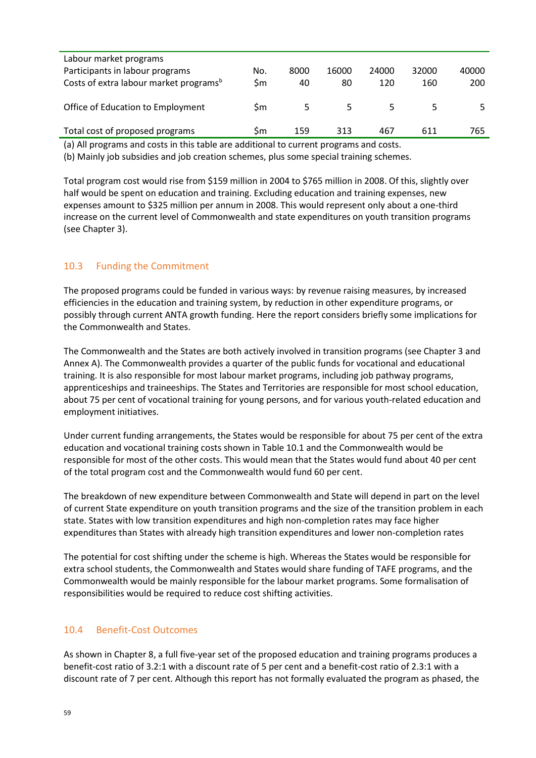| Labour market programs                             |     |      |       |       |       |       |
|----------------------------------------------------|-----|------|-------|-------|-------|-------|
| Participants in labour programs                    | No. | 8000 | 16000 | 24000 | 32000 | 40000 |
| Costs of extra labour market programs <sup>b</sup> | \$m | 40   | 80    | 120   | 160   | 200   |
| Office of Education to Employment                  | Sm  |      |       |       |       |       |
| Total cost of proposed programs                    | Sm  | 159  | 313   | 467   | 611   | 765   |

(a) All programs and costs in this table are additional to current programs and costs.

(b) Mainly job subsidies and job creation schemes, plus some special training schemes.

Total program cost would rise from \$159 million in 2004 to \$765 million in 2008. Of this, slightly over half would be spent on education and training. Excluding education and training expenses, new expenses amount to \$325 million per annum in 2008. This would represent only about a one-third increase on the current level of Commonwealth and state expenditures on youth transition programs (see Chapter 3).

#### <span id="page-58-0"></span>10.3 Funding the Commitment

The proposed programs could be funded in various ways: by revenue raising measures, by increased efficiencies in the education and training system, by reduction in other expenditure programs, or possibly through current ANTA growth funding. Here the report considers briefly some implications for the Commonwealth and States.

The Commonwealth and the States are both actively involved in transition programs (see Chapter 3 and Annex A). The Commonwealth provides a quarter of the public funds for vocational and educational training. It is also responsible for most labour market programs, including job pathway programs, apprenticeships and traineeships. The States and Territories are responsible for most school education, about 75 per cent of vocational training for young persons, and for various youth-related education and employment initiatives.

Under current funding arrangements, the States would be responsible for about 75 per cent of the extra education and vocational training costs shown in Table 10.1 and the Commonwealth would be responsible for most of the other costs. This would mean that the States would fund about 40 per cent of the total program cost and the Commonwealth would fund 60 per cent.

The breakdown of new expenditure between Commonwealth and State will depend in part on the level of current State expenditure on youth transition programs and the size of the transition problem in each state. States with low transition expenditures and high non-completion rates may face higher expenditures than States with already high transition expenditures and lower non-completion rates

The potential for cost shifting under the scheme is high. Whereas the States would be responsible for extra school students, the Commonwealth and States would share funding of TAFE programs, and the Commonwealth would be mainly responsible for the labour market programs. Some formalisation of responsibilities would be required to reduce cost shifting activities.

#### <span id="page-58-1"></span>10.4 Benefit-Cost Outcomes

As shown in Chapter 8, a full five-year set of the proposed education and training programs produces a benefit-cost ratio of 3.2:1 with a discount rate of 5 per cent and a benefit-cost ratio of 2.3:1 with a discount rate of 7 per cent. Although this report has not formally evaluated the program as phased, the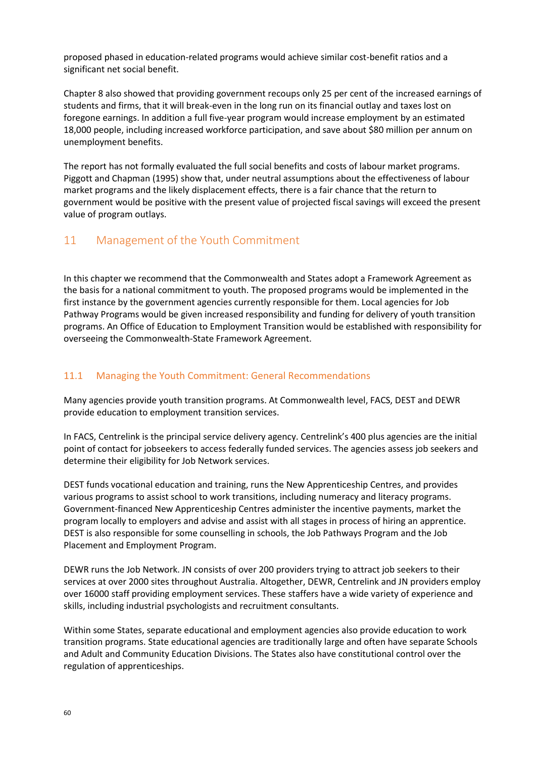proposed phased in education-related programs would achieve similar cost-benefit ratios and a significant net social benefit.

Chapter 8 also showed that providing government recoups only 25 per cent of the increased earnings of students and firms, that it will break-even in the long run on its financial outlay and taxes lost on foregone earnings. In addition a full five-year program would increase employment by an estimated 18,000 people, including increased workforce participation, and save about \$80 million per annum on unemployment benefits.

The report has not formally evaluated the full social benefits and costs of labour market programs. Piggott and Chapman (1995) show that, under neutral assumptions about the effectiveness of labour market programs and the likely displacement effects, there is a fair chance that the return to government would be positive with the present value of projected fiscal savings will exceed the present value of program outlays.

# <span id="page-59-0"></span>11 Management of the Youth Commitment

In this chapter we recommend that the Commonwealth and States adopt a Framework Agreement as the basis for a national commitment to youth. The proposed programs would be implemented in the first instance by the government agencies currently responsible for them. Local agencies for Job Pathway Programs would be given increased responsibility and funding for delivery of youth transition programs. An Office of Education to Employment Transition would be established with responsibility for overseeing the Commonwealth-State Framework Agreement.

#### <span id="page-59-1"></span>11.1 Managing the Youth Commitment: General Recommendations

Many agencies provide youth transition programs. At Commonwealth level, FACS, DEST and DEWR provide education to employment transition services.

In FACS, Centrelink is the principal service delivery agency. Centrelink's 400 plus agencies are the initial point of contact for jobseekers to access federally funded services. The agencies assess job seekers and determine their eligibility for Job Network services.

DEST funds vocational education and training, runs the New Apprenticeship Centres, and provides various programs to assist school to work transitions, including numeracy and literacy programs. Government-financed New Apprenticeship Centres administer the incentive payments, market the program locally to employers and advise and assist with all stages in process of hiring an apprentice. DEST is also responsible for some counselling in schools, the Job Pathways Program and the Job Placement and Employment Program.

DEWR runs the Job Network. JN consists of over 200 providers trying to attract job seekers to their services at over 2000 sites throughout Australia. Altogether, DEWR, Centrelink and JN providers employ over 16000 staff providing employment services. These staffers have a wide variety of experience and skills, including industrial psychologists and recruitment consultants.

Within some States, separate educational and employment agencies also provide education to work transition programs. State educational agencies are traditionally large and often have separate Schools and Adult and Community Education Divisions. The States also have constitutional control over the regulation of apprenticeships.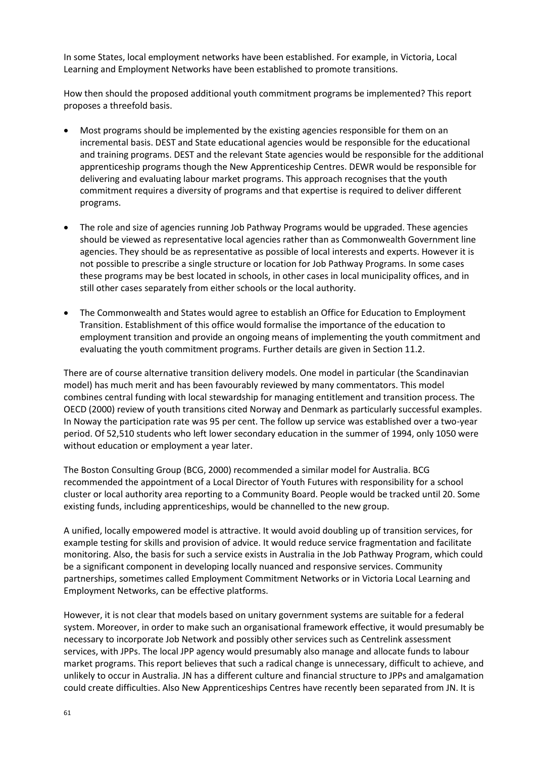In some States, local employment networks have been established. For example, in Victoria, Local Learning and Employment Networks have been established to promote transitions.

How then should the proposed additional youth commitment programs be implemented? This report proposes a threefold basis.

- Most programs should be implemented by the existing agencies responsible for them on an incremental basis. DEST and State educational agencies would be responsible for the educational and training programs. DEST and the relevant State agencies would be responsible for the additional apprenticeship programs though the New Apprenticeship Centres. DEWR would be responsible for delivering and evaluating labour market programs. This approach recognises that the youth commitment requires a diversity of programs and that expertise is required to deliver different programs.
- The role and size of agencies running Job Pathway Programs would be upgraded. These agencies should be viewed as representative local agencies rather than as Commonwealth Government line agencies. They should be as representative as possible of local interests and experts. However it is not possible to prescribe a single structure or location for Job Pathway Programs. In some cases these programs may be best located in schools, in other cases in local municipality offices, and in still other cases separately from either schools or the local authority.
- The Commonwealth and States would agree to establish an Office for Education to Employment Transition. Establishment of this office would formalise the importance of the education to employment transition and provide an ongoing means of implementing the youth commitment and evaluating the youth commitment programs. Further details are given in Section 11.2.

There are of course alternative transition delivery models. One model in particular (the Scandinavian model) has much merit and has been favourably reviewed by many commentators. This model combines central funding with local stewardship for managing entitlement and transition process. The OECD (2000) review of youth transitions cited Norway and Denmark as particularly successful examples. In Noway the participation rate was 95 per cent. The follow up service was established over a two-year period. Of 52,510 students who left lower secondary education in the summer of 1994, only 1050 were without education or employment a year later.

The Boston Consulting Group (BCG, 2000) recommended a similar model for Australia. BCG recommended the appointment of a Local Director of Youth Futures with responsibility for a school cluster or local authority area reporting to a Community Board. People would be tracked until 20. Some existing funds, including apprenticeships, would be channelled to the new group.

A unified, locally empowered model is attractive. It would avoid doubling up of transition services, for example testing for skills and provision of advice. It would reduce service fragmentation and facilitate monitoring. Also, the basis for such a service exists in Australia in the Job Pathway Program, which could be a significant component in developing locally nuanced and responsive services. Community partnerships, sometimes called Employment Commitment Networks or in Victoria Local Learning and Employment Networks, can be effective platforms.

However, it is not clear that models based on unitary government systems are suitable for a federal system. Moreover, in order to make such an organisational framework effective, it would presumably be necessary to incorporate Job Network and possibly other services such as Centrelink assessment services, with JPPs. The local JPP agency would presumably also manage and allocate funds to labour market programs. This report believes that such a radical change is unnecessary, difficult to achieve, and unlikely to occur in Australia. JN has a different culture and financial structure to JPPs and amalgamation could create difficulties. Also New Apprenticeships Centres have recently been separated from JN. It is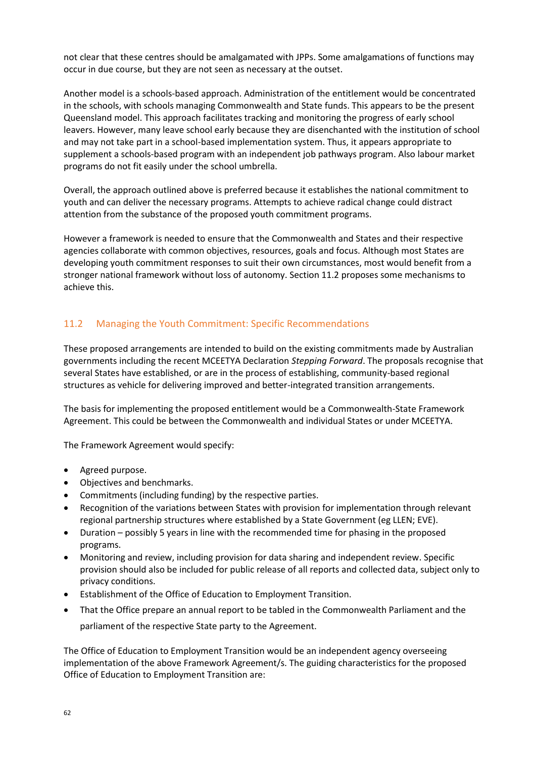not clear that these centres should be amalgamated with JPPs. Some amalgamations of functions may occur in due course, but they are not seen as necessary at the outset.

Another model is a schools-based approach. Administration of the entitlement would be concentrated in the schools, with schools managing Commonwealth and State funds. This appears to be the present Queensland model. This approach facilitates tracking and monitoring the progress of early school leavers. However, many leave school early because they are disenchanted with the institution of school and may not take part in a school-based implementation system. Thus, it appears appropriate to supplement a schools-based program with an independent job pathways program. Also labour market programs do not fit easily under the school umbrella.

Overall, the approach outlined above is preferred because it establishes the national commitment to youth and can deliver the necessary programs. Attempts to achieve radical change could distract attention from the substance of the proposed youth commitment programs.

However a framework is needed to ensure that the Commonwealth and States and their respective agencies collaborate with common objectives, resources, goals and focus. Although most States are developing youth commitment responses to suit their own circumstances, most would benefit from a stronger national framework without loss of autonomy. Section 11.2 proposes some mechanisms to achieve this.

# <span id="page-61-0"></span>11.2 Managing the Youth Commitment: Specific Recommendations

These proposed arrangements are intended to build on the existing commitments made by Australian governments including the recent MCEETYA Declaration *Stepping Forward*. The proposals recognise that several States have established, or are in the process of establishing, community-based regional structures as vehicle for delivering improved and better-integrated transition arrangements.

The basis for implementing the proposed entitlement would be a Commonwealth-State Framework Agreement. This could be between the Commonwealth and individual States or under MCEETYA.

The Framework Agreement would specify:

- Agreed purpose.
- Objectives and benchmarks.
- Commitments (including funding) by the respective parties.
- Recognition of the variations between States with provision for implementation through relevant regional partnership structures where established by a State Government (eg LLEN; EVE).
- Duration possibly 5 years in line with the recommended time for phasing in the proposed programs.
- Monitoring and review, including provision for data sharing and independent review. Specific provision should also be included for public release of all reports and collected data, subject only to privacy conditions.
- Establishment of the Office of Education to Employment Transition.
- That the Office prepare an annual report to be tabled in the Commonwealth Parliament and the parliament of the respective State party to the Agreement.

The Office of Education to Employment Transition would be an independent agency overseeing implementation of the above Framework Agreement/s. The guiding characteristics for the proposed Office of Education to Employment Transition are: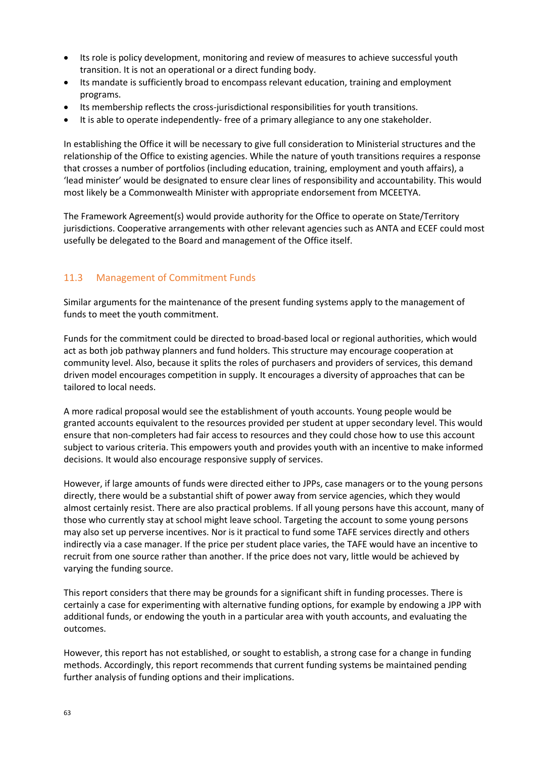- Its role is policy development, monitoring and review of measures to achieve successful youth transition. It is not an operational or a direct funding body.
- Its mandate is sufficiently broad to encompass relevant education, training and employment programs.
- Its membership reflects the cross-jurisdictional responsibilities for youth transitions.
- It is able to operate independently- free of a primary allegiance to any one stakeholder.

In establishing the Office it will be necessary to give full consideration to Ministerial structures and the relationship of the Office to existing agencies. While the nature of youth transitions requires a response that crosses a number of portfolios (including education, training, employment and youth affairs), a 'lead minister' would be designated to ensure clear lines of responsibility and accountability. This would most likely be a Commonwealth Minister with appropriate endorsement from MCEETYA.

The Framework Agreement(s) would provide authority for the Office to operate on State/Territory jurisdictions. Cooperative arrangements with other relevant agencies such as ANTA and ECEF could most usefully be delegated to the Board and management of the Office itself.

#### <span id="page-62-0"></span>11.3 Management of Commitment Funds

Similar arguments for the maintenance of the present funding systems apply to the management of funds to meet the youth commitment.

Funds for the commitment could be directed to broad-based local or regional authorities, which would act as both job pathway planners and fund holders. This structure may encourage cooperation at community level. Also, because it splits the roles of purchasers and providers of services, this demand driven model encourages competition in supply. It encourages a diversity of approaches that can be tailored to local needs.

A more radical proposal would see the establishment of youth accounts. Young people would be granted accounts equivalent to the resources provided per student at upper secondary level. This would ensure that non-completers had fair access to resources and they could chose how to use this account subject to various criteria. This empowers youth and provides youth with an incentive to make informed decisions. It would also encourage responsive supply of services.

However, if large amounts of funds were directed either to JPPs, case managers or to the young persons directly, there would be a substantial shift of power away from service agencies, which they would almost certainly resist. There are also practical problems. If all young persons have this account, many of those who currently stay at school might leave school. Targeting the account to some young persons may also set up perverse incentives. Nor is it practical to fund some TAFE services directly and others indirectly via a case manager. If the price per student place varies, the TAFE would have an incentive to recruit from one source rather than another. If the price does not vary, little would be achieved by varying the funding source.

This report considers that there may be grounds for a significant shift in funding processes. There is certainly a case for experimenting with alternative funding options, for example by endowing a JPP with additional funds, or endowing the youth in a particular area with youth accounts, and evaluating the outcomes.

However, this report has not established, or sought to establish, a strong case for a change in funding methods. Accordingly, this report recommends that current funding systems be maintained pending further analysis of funding options and their implications.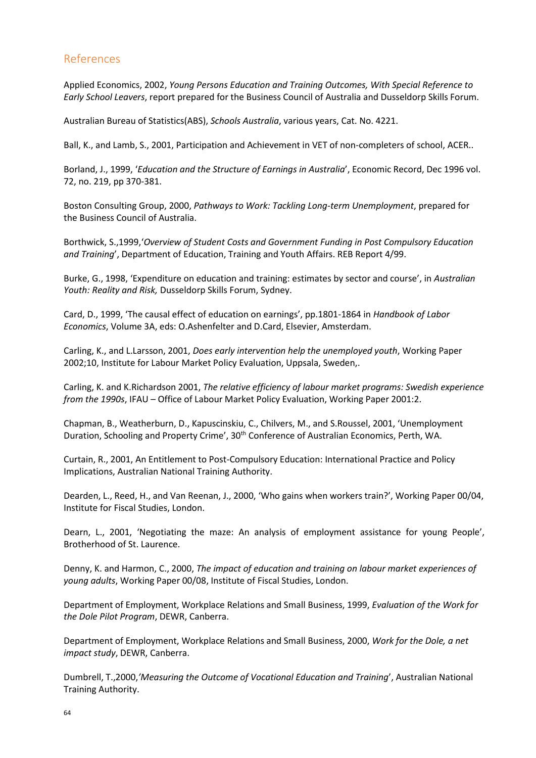# <span id="page-63-0"></span>References

Applied Economics, 2002, *Young Persons Education and Training Outcomes, With Special Reference to Early School Leavers*, report prepared for the Business Council of Australia and Dusseldorp Skills Forum.

Australian Bureau of Statistics(ABS), *Schools Australia*, various years, Cat. No. 4221.

Ball, K., and Lamb, S., 2001, Participation and Achievement in VET of non-completers of school, ACER..

Borland, J., 1999, '*Education and the Structure of Earnings in Australia*', Economic Record, Dec 1996 vol. 72, no. 219, pp 370-381.

Boston Consulting Group, 2000, *Pathways to Work: Tackling Long-term Unemployment*, prepared for the Business Council of Australia.

Borthwick, S.,1999,'*Overview of Student Costs and Government Funding in Post Compulsory Education and Training*', Department of Education, Training and Youth Affairs. REB Report 4/99.

Burke, G., 1998, 'Expenditure on education and training: estimates by sector and course', in *Australian Youth: Reality and Risk,* Dusseldorp Skills Forum, Sydney.

Card, D., 1999, 'The causal effect of education on earnings', pp.1801-1864 in *Handbook of Labor Economics*, Volume 3A, eds: O.Ashenfelter and D.Card, Elsevier, Amsterdam.

Carling, K., and L.Larsson, 2001, *Does early intervention help the unemployed youth*, Working Paper 2002;10, Institute for Labour Market Policy Evaluation, Uppsala, Sweden,.

Carling, K. and K.Richardson 2001, *The relative efficiency of labour market programs: Swedish experience from the 1990s*, IFAU – Office of Labour Market Policy Evaluation, Working Paper 2001:2.

Chapman, B., Weatherburn, D., Kapuscinskiu, C., Chilvers, M., and S.Roussel, 2001, 'Unemployment Duration, Schooling and Property Crime', 30<sup>th</sup> Conference of Australian Economics, Perth, WA.

Curtain, R., 2001, An Entitlement to Post-Compulsory Education: International Practice and Policy Implications, Australian National Training Authority.

Dearden, L., Reed, H., and Van Reenan, J., 2000, 'Who gains when workers train?', Working Paper 00/04, Institute for Fiscal Studies, London.

Dearn, L., 2001, 'Negotiating the maze: An analysis of employment assistance for young People', Brotherhood of St. Laurence.

Denny, K. and Harmon, C., 2000, *The impact of education and training on labour market experiences of young adults*, Working Paper 00/08, Institute of Fiscal Studies, London.

Department of Employment, Workplace Relations and Small Business, 1999, *Evaluation of the Work for the Dole Pilot Program*, DEWR, Canberra.

Department of Employment, Workplace Relations and Small Business, 2000, *Work for the Dole, a net impact study*, DEWR, Canberra.

Dumbrell, T.,2000,*'Measuring the Outcome of Vocational Education and Training*', Australian National Training Authority.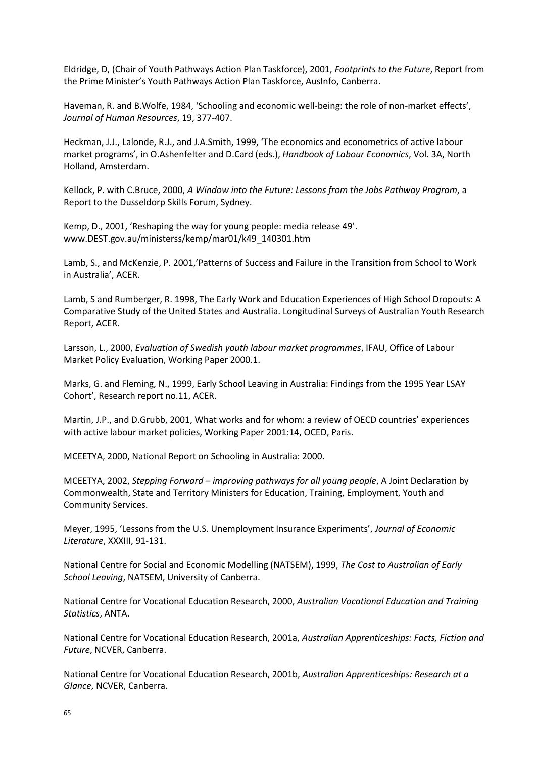Eldridge, D, (Chair of Youth Pathways Action Plan Taskforce), 2001, *Footprints to the Future*, Report from the Prime Minister's Youth Pathways Action Plan Taskforce, AusInfo, Canberra.

Haveman, R. and B.Wolfe, 1984, 'Schooling and economic well-being: the role of non-market effects', *Journal of Human Resources*, 19, 377-407.

Heckman, J.J., Lalonde, R.J., and J.A.Smith, 1999, 'The economics and econometrics of active labour market programs', in O.Ashenfelter and D.Card (eds.), *Handbook of Labour Economics*, Vol. 3A, North Holland, Amsterdam.

Kellock, P. with C.Bruce, 2000, *A Window into the Future: Lessons from the Jobs Pathway Program*, a Report to the Dusseldorp Skills Forum, Sydney.

Kemp, D., 2001, 'Reshaping the way for young people: media release 49'. www.DEST.gov.au/ministerss/kemp/mar01/k49\_140301.htm

Lamb, S., and McKenzie, P. 2001,'Patterns of Success and Failure in the Transition from School to Work in Australia', ACER.

Lamb, S and Rumberger, R. 1998, The Early Work and Education Experiences of High School Dropouts: A Comparative Study of the United States and Australia. Longitudinal Surveys of Australian Youth Research Report, ACER.

Larsson, L., 2000, *Evaluation of Swedish youth labour market programmes*, IFAU, Office of Labour Market Policy Evaluation, Working Paper 2000.1.

Marks, G. and Fleming, N., 1999, Early School Leaving in Australia: Findings from the 1995 Year LSAY Cohort', Research report no.11, ACER.

Martin, J.P., and D.Grubb, 2001, What works and for whom: a review of OECD countries' experiences with active labour market policies, Working Paper 2001:14, OCED, Paris.

MCEETYA, 2000, National Report on Schooling in Australia: 2000.

MCEETYA, 2002, *Stepping Forward – improving pathways for all young people*, A Joint Declaration by Commonwealth, State and Territory Ministers for Education, Training, Employment, Youth and Community Services.

Meyer, 1995, 'Lessons from the U.S. Unemployment Insurance Experiments', *Journal of Economic Literature*, XXXIII, 91-131.

National Centre for Social and Economic Modelling (NATSEM), 1999, *The Cost to Australian of Early School Leaving*, NATSEM, University of Canberra.

National Centre for Vocational Education Research, 2000, *Australian Vocational Education and Training Statistics*, ANTA.

National Centre for Vocational Education Research, 2001a, *Australian Apprenticeships: Facts, Fiction and Future*, NCVER, Canberra.

National Centre for Vocational Education Research, 2001b, *Australian Apprenticeships: Research at a Glance*, NCVER, Canberra.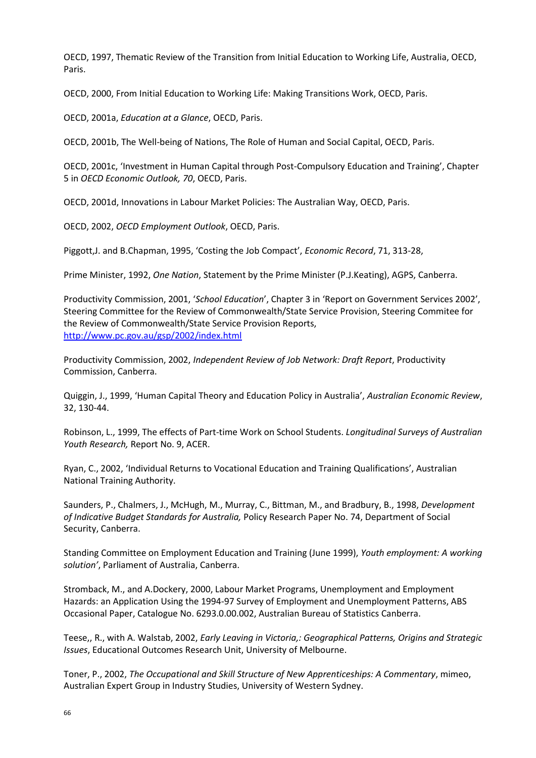OECD, 1997, Thematic Review of the Transition from Initial Education to Working Life, Australia, OECD, Paris.

OECD, 2000, From Initial Education to Working Life: Making Transitions Work, OECD, Paris.

OECD, 2001a, *Education at a Glance*, OECD, Paris.

OECD, 2001b, The Well-being of Nations, The Role of Human and Social Capital, OECD, Paris.

OECD, 2001c, 'Investment in Human Capital through Post-Compulsory Education and Training', Chapter 5 in *OECD Economic Outlook, 70*, OECD, Paris.

OECD, 2001d, Innovations in Labour Market Policies: The Australian Way, OECD, Paris.

OECD, 2002, *OECD Employment Outlook*, OECD, Paris.

Piggott,J. and B.Chapman, 1995, 'Costing the Job Compact', *Economic Record*, 71, 313-28,

Prime Minister, 1992, *One Nation*, Statement by the Prime Minister (P.J.Keating), AGPS, Canberra.

Productivity Commission, 2001, '*School Education*', Chapter 3 in 'Report on Government Services 2002', Steering Committee for the Review of Commonwealth/State Service Provision, Steering Commitee for the Review of Commonwealth/State Service Provision Reports, <http://www.pc.gov.au/gsp/2002/index.html>

Productivity Commission, 2002, *Independent Review of Job Network: Draft Report*, Productivity Commission, Canberra.

Quiggin, J., 1999, 'Human Capital Theory and Education Policy in Australia', *Australian Economic Review*, 32, 130-44.

Robinson, L., 1999, The effects of Part-time Work on School Students. *Longitudinal Surveys of Australian Youth Research,* Report No. 9, ACER.

Ryan, C., 2002, 'Individual Returns to Vocational Education and Training Qualifications', Australian National Training Authority.

Saunders, P., Chalmers, J., McHugh, M., Murray, C., Bittman, M., and Bradbury, B., 1998, *Development of Indicative Budget Standards for Australia,* Policy Research Paper No. 74, Department of Social Security, Canberra.

Standing Committee on Employment Education and Training (June 1999), *Youth employment: A working solution'*, Parliament of Australia, Canberra.

Stromback, M., and A.Dockery, 2000, Labour Market Programs, Unemployment and Employment Hazards: an Application Using the 1994-97 Survey of Employment and Unemployment Patterns, ABS Occasional Paper, Catalogue No. 6293.0.00.002, Australian Bureau of Statistics Canberra.

Teese,, R., with A. Walstab, 2002, *Early Leaving in Victoria,: Geographical Patterns, Origins and Strategic Issues*, Educational Outcomes Research Unit, University of Melbourne.

Toner, P., 2002, *The Occupational and Skill Structure of New Apprenticeships: A Commentary*, mimeo, Australian Expert Group in Industry Studies, University of Western Sydney.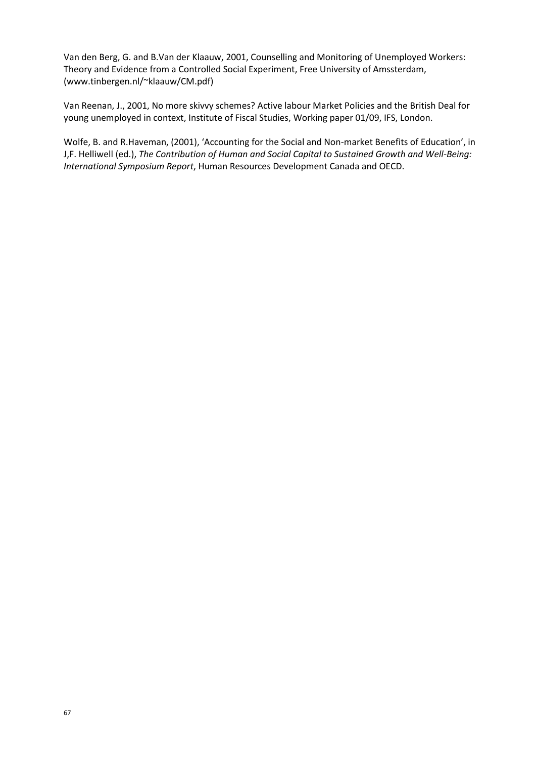Van den Berg, G. and B.Van der Klaauw, 2001, Counselling and Monitoring of Unemployed Workers: Theory and Evidence from a Controlled Social Experiment, Free University of Amssterdam, (www.tinbergen.nl/~klaauw/CM.pdf)

Van Reenan, J., 2001, No more skivvy schemes? Active labour Market Policies and the British Deal for young unemployed in context, Institute of Fiscal Studies, Working paper 01/09, IFS, London.

Wolfe, B. and R.Haveman, (2001), 'Accounting for the Social and Non-market Benefits of Education', in J,F. Helliwell (ed.), *The Contribution of Human and Social Capital to Sustained Growth and Well-Being: International Symposium Report*, Human Resources Development Canada and OECD.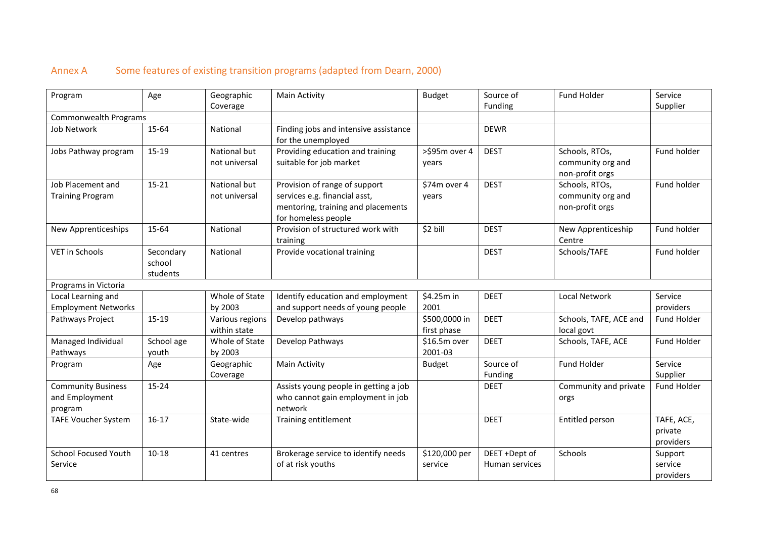# Annex A Some features of existing transition programs (adapted from Dearn, 2000)

<span id="page-67-0"></span>

| Program                                                | Age                             | Geographic<br>Coverage          | <b>Main Activity</b>                                                                                                        | <b>Budget</b>                | Source of<br>Funding            | Fund Holder                                            | Service<br>Supplier                |
|--------------------------------------------------------|---------------------------------|---------------------------------|-----------------------------------------------------------------------------------------------------------------------------|------------------------------|---------------------------------|--------------------------------------------------------|------------------------------------|
| Commonwealth Programs                                  |                                 |                                 |                                                                                                                             |                              |                                 |                                                        |                                    |
| Job Network                                            | 15-64                           | National                        | Finding jobs and intensive assistance<br>for the unemployed                                                                 |                              | <b>DEWR</b>                     |                                                        |                                    |
| Jobs Pathway program                                   | 15-19                           | National but<br>not universal   | Providing education and training<br>suitable for job market                                                                 | >\$95m over 4<br>years       | <b>DEST</b>                     | Schools, RTOs,<br>community org and<br>non-profit orgs | Fund holder                        |
| Job Placement and<br><b>Training Program</b>           | $15 - 21$                       | National but<br>not universal   | Provision of range of support<br>services e.g. financial asst,<br>mentoring, training and placements<br>for homeless people | \$74m over 4<br>years        | <b>DEST</b>                     | Schools, RTOs,<br>community org and<br>non-profit orgs | Fund holder                        |
| New Apprenticeships                                    | 15-64                           | National                        | Provision of structured work with<br>training                                                                               | \$2 bill                     | <b>DEST</b>                     | New Apprenticeship<br>Centre                           | Fund holder                        |
| VET in Schools                                         | Secondary<br>school<br>students | National                        | Provide vocational training                                                                                                 |                              | <b>DEST</b>                     | Schools/TAFE                                           | Fund holder                        |
| Programs in Victoria                                   |                                 |                                 |                                                                                                                             |                              |                                 |                                                        |                                    |
| Local Learning and<br><b>Employment Networks</b>       |                                 | Whole of State<br>by 2003       | Identify education and employment<br>and support needs of young people                                                      | \$4.25m in<br>2001           | <b>DEET</b>                     | <b>Local Network</b>                                   | Service<br>providers               |
| Pathways Project                                       | 15-19                           | Various regions<br>within state | Develop pathways                                                                                                            | \$500,0000 in<br>first phase | <b>DEET</b>                     | Schools, TAFE, ACE and<br>local govt                   | Fund Holder                        |
| Managed Individual<br>Pathways                         | School age<br>youth             | Whole of State<br>by 2003       | Develop Pathways                                                                                                            | \$16.5m over<br>2001-03      | <b>DEET</b>                     | Schools, TAFE, ACE                                     | Fund Holder                        |
| Program                                                | Age                             | Geographic<br>Coverage          | <b>Main Activity</b>                                                                                                        | <b>Budget</b>                | Source of<br>Funding            | <b>Fund Holder</b>                                     | Service<br>Supplier                |
| <b>Community Business</b><br>and Employment<br>program | 15-24                           |                                 | Assists young people in getting a job<br>who cannot gain employment in job<br>network                                       |                              | <b>DEET</b>                     | Community and private<br>orgs                          | Fund Holder                        |
| <b>TAFE Voucher System</b>                             | $16 - 17$                       | State-wide                      | Training entitlement                                                                                                        |                              | <b>DEET</b>                     | Entitled person                                        | TAFE, ACE,<br>private<br>providers |
| <b>School Focused Youth</b><br>Service                 | $10 - 18$                       | 41 centres                      | Brokerage service to identify needs<br>of at risk youths                                                                    | \$120,000 per<br>service     | DEET +Dept of<br>Human services | Schools                                                | Support<br>service<br>providers    |